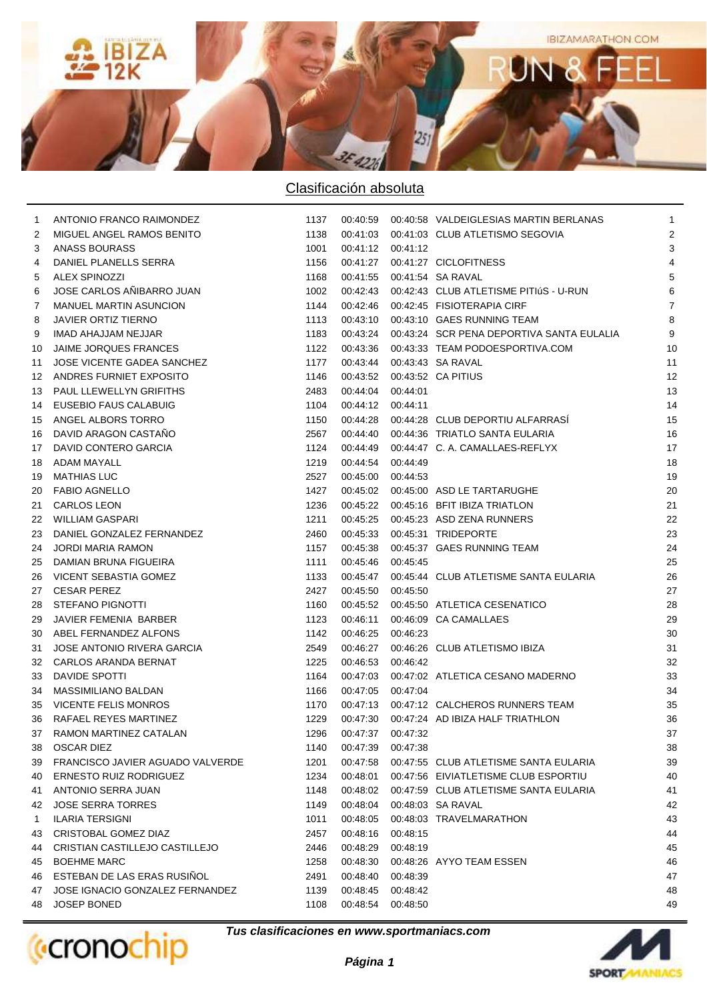

| 1  | ANTONIO FRANCO RAIMONDEZ         | 1137 |                   |          | 00:40:59  00:40:58  VALDEIGLESIAS MARTIN BERLANAS | $\mathbf{1}$   |
|----|----------------------------------|------|-------------------|----------|---------------------------------------------------|----------------|
| 2  | MIGUEL ANGEL RAMOS BENITO        | 1138 | 00:41:03          |          | 00:41:03 CLUB ATLETISMO SEGOVIA                   | $\overline{2}$ |
| 3  | ANASS BOURASS                    | 1001 | 00:41:12 00:41:12 |          |                                                   | 3              |
| 4  | DANIEL PLANELLS SERRA            | 1156 | 00:41:27          |          | 00:41:27 CICLOFITNESS                             | 4              |
| 5  | <b>ALEX SPINOZZI</b>             | 1168 | 00:41:55          |          | 00:41:54 SA RAVAL                                 | 5              |
| 6  | JOSE CARLOS AÑIBARRO JUAN        | 1002 | 00:42:43          |          | 00:42:43 CLUB ATLETISME PITIÚS - U-RUN            | 6              |
| 7  | MANUEL MARTIN ASUNCION           | 1144 | 00:42:46          |          | 00:42:45 FISIOTERAPIA CIRF                        | $\overline{7}$ |
| 8  | JAVIER ORTIZ TIERNO              | 1113 | 00:43:10          |          | 00:43:10 GAES RUNNING TEAM                        | 8              |
| 9  | IMAD AHAJJAM NEJJAR              | 1183 | 00:43:24          |          | 00:43:24 SCR PENA DEPORTIVA SANTA EULALIA         | 9              |
| 10 | JAIME JORQUES FRANCES            | 1122 | 00:43:36          |          | 00:43:33 TEAM PODOESPORTIVA.COM                   | 10             |
| 11 | JOSE VICENTE GADEA SANCHEZ       | 1177 | 00:43:44          |          | 00:43:43 SA RAVAL                                 | 11             |
| 12 | ANDRES FURNIET EXPOSITO          | 1146 | 00:43:52          |          | 00:43:52 CA PITIUS                                | 12             |
| 13 | PAUL LLEWELLYN GRIFITHS          | 2483 | 00:44:04          | 00:44:01 |                                                   | 13             |
| 14 | <b>EUSEBIO FAUS CALABUIG</b>     | 1104 | 00:44:12 00:44:11 |          |                                                   | 14             |
| 15 | ANGEL ALBORS TORRO               | 1150 | 00:44:28          |          | 00:44:28 CLUB DEPORTIU ALFARRASI                  | 15             |
| 16 | DAVID ARAGON CASTAÑO             | 2567 |                   |          | 00:44:40  00:44:36  TRIATLO SANTA EULARIA         | 16             |
| 17 | DAVID CONTERO GARCIA             | 1124 | 00:44:49          |          | 00:44:47 C. A. CAMALLAES-REFLYX                   | 17             |
| 18 | <b>ADAM MAYALL</b>               | 1219 | 00:44:54          | 00:44:49 |                                                   | 18             |
| 19 | <b>MATHIAS LUC</b>               | 2527 | 00:45:00          | 00:44:53 |                                                   | 19             |
| 20 | <b>FABIO AGNELLO</b>             | 1427 |                   |          | 00:45:02  00:45:00  ASD LE TARTARUGHE             | 20             |
| 21 | <b>CARLOS LEON</b>               | 1236 |                   |          | 00:45:22  00:45:16  BFIT IBIZA TRIATLON           | 21             |
| 22 | WILLIAM GASPARI                  | 1211 |                   |          | 00:45:25  00:45:23  ASD ZENA RUNNERS              | 22             |
| 23 | DANIEL GONZALEZ FERNANDEZ        | 2460 |                   |          | 00:45:33  00:45:31  TRIDEPORTE                    | 23             |
| 24 | <b>JORDI MARIA RAMON</b>         | 1157 | 00:45:38          |          | 00:45:37 GAES RUNNING TEAM                        | 24             |
| 25 | DAMIAN BRUNA FIGUEIRA            | 1111 | 00:45:46          | 00:45:45 |                                                   | 25             |
| 26 | VICENT SEBASTIA GOMEZ            | 1133 | 00:45:47          |          | 00:45:44 CLUB ATLETISME SANTA EULARIA             | 26             |
| 27 | <b>CESAR PEREZ</b>               | 2427 | 00:45:50 00:45:50 |          |                                                   | 27             |
| 28 | <b>STEFANO PIGNOTTI</b>          | 1160 |                   |          | 00:45:52  00:45:50  ATLETICA CESENATICO           | 28             |
| 29 | JAVIER FEMENIA BARBER            | 1123 | 00:46:11          |          | 00:46:09 CA CAMALLAES                             | 29             |
| 30 | ABEL FERNANDEZ ALFONS            | 1142 | 00:46:25          | 00:46:23 |                                                   | 30             |
| 31 | JOSE ANTONIO RIVERA GARCIA       | 2549 | 00:46:27          |          | 00:46:26 CLUB ATLETISMO IBIZA                     | 31             |
| 32 | CARLOS ARANDA BERNAT             | 1225 | 00:46:53          | 00:46:42 |                                                   | 32             |
| 33 | <b>DAVIDE SPOTTI</b>             | 1164 | 00:47:03          |          | 00:47:02 ATLETICA CESANO MADERNO                  | 33             |
| 34 | MASSIMILIANO BALDAN              | 1166 | 00:47:05          | 00:47:04 |                                                   | 34             |
| 35 | <b>VICENTE FELIS MONROS</b>      | 1170 | 00:47:13          |          | 00:47:12 CALCHEROS RUNNERS TEAM                   | 35             |
| 36 | RAFAEL REYES MARTINEZ            | 1229 | 00:47:30          |          | 00:47:24 AD IBIZA HALF TRIATHLON                  | 36             |
| 37 | RAMON MARTINEZ CATALAN           | 1296 | 00:47:37          | 00:47:32 |                                                   | 37             |
| 38 | <b>OSCAR DIEZ</b>                | 1140 | 00:47:39          | 00:47:38 |                                                   | 38             |
| 39 | FRANCISCO JAVIER AGUADO VALVERDE | 1201 | 00:47:58          |          | 00:47:55 CLUB ATLETISME SANTA EULARIA             | 39             |
| 40 | <b>ERNESTO RUIZ RODRIGUEZ</b>    | 1234 | 00:48:01          |          | 00:47:56 EIVIATLETISME CLUB ESPORTIU              | 40             |
| 41 | ANTONIO SERRA JUAN               | 1148 | 00:48:02          |          | 00:47:59 CLUB ATLETISME SANTA EULARIA             | 41             |
| 42 | <b>JOSE SERRA TORRES</b>         | 1149 | 00:48:04          |          | 00:48:03 SA RAVAL                                 | 42             |
| 1  | <b>ILARIA TERSIGNI</b>           | 1011 | 00:48:05          |          | 00:48:03 TRAVELMARATHON                           | 43             |
| 43 | CRISTOBAL GOMEZ DIAZ             | 2457 | 00:48:16          | 00:48:15 |                                                   | 44             |
| 44 | CRISTIAN CASTILLEJO CASTILLEJO   | 2446 | 00:48:29          | 00:48:19 |                                                   | 45             |
| 45 | <b>BOEHME MARC</b>               | 1258 | 00:48:30          |          | 00:48:26 AYYO TEAM ESSEN                          | 46             |
| 46 | ESTEBAN DE LAS ERAS RUSIÑOL      | 2491 | 00:48:40          | 00:48:39 |                                                   | 47             |
| 47 | JOSE IGNACIO GONZALEZ FERNANDEZ  | 1139 | 00:48:45          | 00:48:42 |                                                   | 48             |
| 48 | JOSEP BONED                      | 1108 | 00:48:54          | 00:48:50 |                                                   | 49             |

**(**cronochip

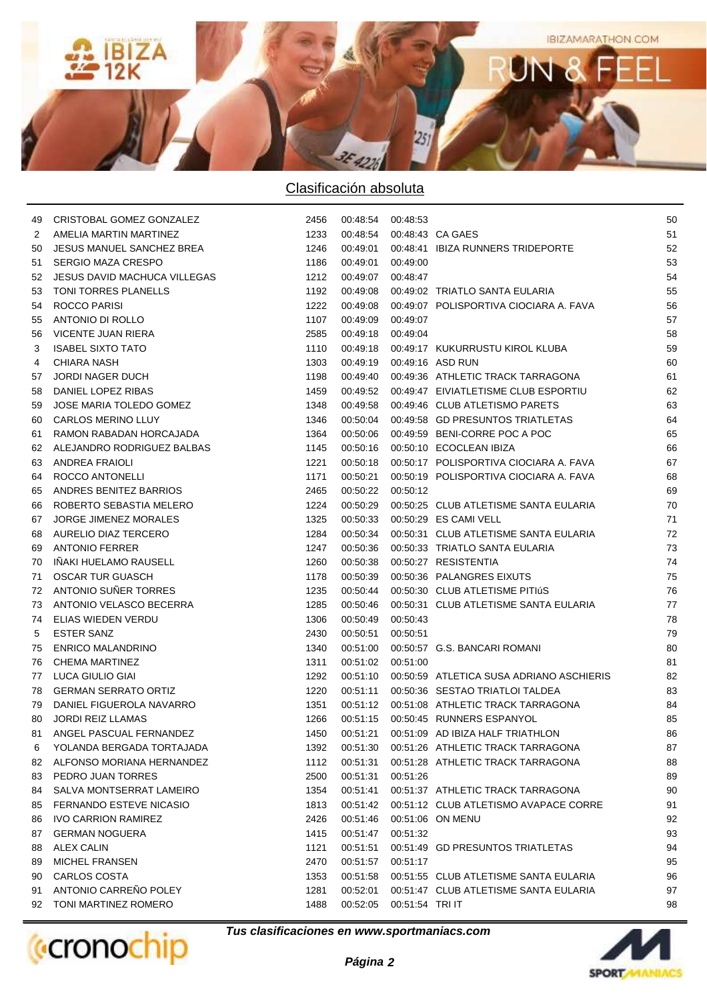

| 49 | CRISTOBAL GOMEZ GONZALEZ       | 2456 | 00:48:54 00:48:53 |                 |                                          | 50 |
|----|--------------------------------|------|-------------------|-----------------|------------------------------------------|----|
| 2  | AMELIA MARTIN MARTINEZ         | 1233 | 00:48:54          |                 | 00:48:43 CA GAES                         | 51 |
| 50 | JESUS MANUEL SANCHEZ BREA      | 1246 | 00:49:01          |                 | 00:48:41 IBIZA RUNNERS TRIDEPORTE        | 52 |
| 51 | <b>SERGIO MAZA CRESPO</b>      | 1186 | 00:49:01          | 00:49:00        |                                          | 53 |
| 52 | JESUS DAVID MACHUCA VILLEGAS   | 1212 | 00:49:07          | 00:48:47        |                                          | 54 |
| 53 | TONI TORRES PLANELLS           | 1192 | 00:49:08          |                 | 00:49:02 TRIATLO SANTA EULARIA           | 55 |
| 54 | ROCCO PARISI                   | 1222 | 00:49:08          |                 | 00:49:07 POLISPORTIVA CIOCIARA A. FAVA   | 56 |
| 55 | ANTONIO DI ROLLO               | 1107 | 00:49:09          | 00:49:07        |                                          | 57 |
| 56 | VICENTE JUAN RIERA             | 2585 | 00:49:18          | 00:49:04        |                                          | 58 |
| 3  | <b>ISABEL SIXTO TATO</b>       | 1110 | 00:49:18          |                 | 00:49:17 KUKURRUSTU KIROL KLUBA          | 59 |
| 4  | <b>CHIARA NASH</b>             | 1303 | 00:49:19          |                 | 00:49:16 ASD RUN                         | 60 |
| 57 | <b>JORDI NAGER DUCH</b>        | 1198 | 00:49:40          |                 | 00:49:36 ATHLETIC TRACK TARRAGONA        | 61 |
| 58 | DANIEL LOPEZ RIBAS             | 1459 | 00:49:52          |                 | 00:49:47 EIVIATLETISME CLUB ESPORTIU     | 62 |
| 59 | JOSE MARIA TOLEDO GOMEZ        | 1348 | 00:49:58          |                 | 00:49:46 CLUB ATLETISMO PARETS           | 63 |
| 60 | <b>CARLOS MERINO LLUY</b>      | 1346 | 00:50:04          |                 | 00:49:58 GD PRESUNTOS TRIATLETAS         | 64 |
| 61 | RAMON RABADAN HORCAJADA        | 1364 | 00:50:06          |                 | 00:49:59 BENI-CORRE POC A POC            | 65 |
| 62 | ALEJANDRO RODRIGUEZ BALBAS     | 1145 | 00:50:16          |                 | 00:50:10 ECOCLEAN IBIZA                  | 66 |
| 63 | <b>ANDREA FRAIOLI</b>          | 1221 | 00:50:18          |                 | 00:50:17 POLISPORTIVA CIOCIARA A. FAVA   | 67 |
| 64 | ROCCO ANTONELLI                | 1171 | 00:50:21          |                 | 00:50:19 POLISPORTIVA CIOCIARA A. FAVA   | 68 |
| 65 | ANDRES BENITEZ BARRIOS         | 2465 | 00:50:22          | 00:50:12        |                                          | 69 |
| 66 | ROBERTO SEBASTIA MELERO        | 1224 | 00:50:29          |                 | 00:50:25 CLUB ATLETISME SANTA EULARIA    | 70 |
| 67 | <b>JORGE JIMENEZ MORALES</b>   | 1325 | 00:50:33          |                 | 00:50:29 ES CAMI VELL                    | 71 |
| 68 | AURELIO DIAZ TERCERO           | 1284 | 00:50:34          |                 | 00:50:31 CLUB ATLETISME SANTA EULARIA    | 72 |
| 69 | <b>ANTONIO FERRER</b>          | 1247 | 00:50:36          |                 | 00:50:33 TRIATLO SANTA EULARIA           | 73 |
| 70 | IÑAKI HUELAMO RAUSELL          | 1260 | 00:50:38          |                 | 00:50:27 RESISTENTIA                     | 74 |
| 71 | <b>OSCAR TUR GUASCH</b>        | 1178 | 00:50:39          |                 | 00:50:36 PALANGRES EIXUTS                | 75 |
| 72 | ANTONIO SUÑER TORRES           | 1235 | 00:50:44          |                 | 00:50:30 CLUB ATLETISME PITIÚS           | 76 |
| 73 | ANTONIO VELASCO BECERRA        | 1285 | 00:50:46          |                 | 00:50:31 CLUB ATLETISME SANTA EULARIA    | 77 |
| 74 | ELIAS WIEDEN VERDU             | 1306 | 00:50:49          | 00:50:43        |                                          | 78 |
| 5  | <b>ESTER SANZ</b>              | 2430 | 00:50:51          | 00:50:51        |                                          | 79 |
| 75 | <b>ENRICO MALANDRINO</b>       | 1340 | 00:51:00          |                 | 00:50:57 G.S. BANCARI ROMANI             | 80 |
| 76 | CHEMA MARTINEZ                 | 1311 | 00:51:02          | 00:51:00        |                                          | 81 |
| 77 | LUCA GIULIO GIAI               | 1292 | 00:51:10          |                 | 00:50:59 ATLETICA SUSA ADRIANO ASCHIERIS | 82 |
| 78 | <b>GERMAN SERRATO ORTIZ</b>    | 1220 | 00:51:11          |                 | 00:50:36 SESTAO TRIATLOI TALDEA          | 83 |
| 79 | DANIEL FIGUEROLA NAVARRO       | 1351 | 00:51:12          |                 | 00:51:08 ATHLETIC TRACK TARRAGONA        | 84 |
| 80 | <b>JORDI REIZ LLAMAS</b>       | 1266 | 00:51:15          |                 | 00:50:45 RUNNERS ESPANYOL                | 85 |
| 81 | ANGEL PASCUAL FERNANDEZ        | 1450 | 00:51:21          |                 | 00:51:09 AD IBIZA HALF TRIATHLON         | 86 |
| 6  | YOLANDA BERGADA TORTAJADA      | 1392 | 00:51:30          |                 | 00:51:26 ATHLETIC TRACK TARRAGONA        | 87 |
| 82 | ALFONSO MORIANA HERNANDEZ      | 1112 | 00:51:31          |                 | 00:51:28 ATHLETIC TRACK TARRAGONA        | 88 |
| 83 | PEDRO JUAN TORRES              | 2500 | 00:51:31          | 00:51:26        |                                          | 89 |
| 84 | SALVA MONTSERRAT LAMEIRO       | 1354 | 00:51:41          |                 | 00:51:37 ATHLETIC TRACK TARRAGONA        | 90 |
| 85 | <b>FERNANDO ESTEVE NICASIO</b> | 1813 | 00:51:42          |                 | 00:51:12 CLUB ATLETISMO AVAPACE CORRE    | 91 |
| 86 | <b>IVO CARRION RAMIREZ</b>     | 2426 | 00:51:46          |                 | 00:51:06 ON MENU                         | 92 |
| 87 | <b>GERMAN NOGUERA</b>          | 1415 | 00:51:47          | 00:51:32        |                                          | 93 |
| 88 | ALEX CALIN                     | 1121 | 00:51:51          |                 | 00:51:49 GD PRESUNTOS TRIATLETAS         | 94 |
| 89 | <b>MICHEL FRANSEN</b>          | 2470 | 00:51:57          | 00:51:17        |                                          | 95 |
| 90 | CARLOS COSTA                   | 1353 | 00:51:58          |                 | 00:51:55 CLUB ATLETISME SANTA EULARIA    | 96 |
| 91 | ANTONIO CARREÑO POLEY          | 1281 | 00:52:01          |                 | 00:51:47 CLUB ATLETISME SANTA EULARIA    | 97 |
| 92 | TONI MARTINEZ ROMERO           | 1488 | 00:52:05          | 00:51:54 TRI IT |                                          | 98 |
|    |                                |      |                   |                 |                                          |    |



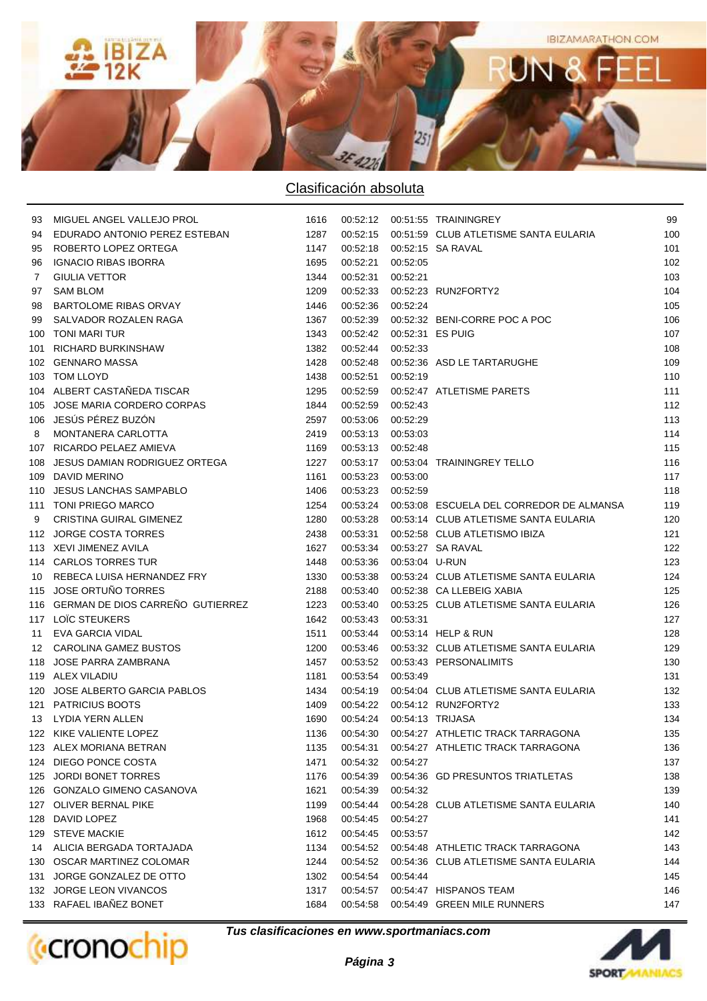

| 93  | MIGUEL ANGEL VALLEJO PROL            | 1616 |                   |                             |                                                | 99  |
|-----|--------------------------------------|------|-------------------|-----------------------------|------------------------------------------------|-----|
| 94  | EDURADO ANTONIO PEREZ ESTEBAN        | 1287 | 00:52:15          |                             | 00:51:59 CLUB ATLETISME SANTA EULARIA          | 100 |
| 95  | ROBERTO LOPEZ ORTEGA                 | 1147 |                   |                             | 00:52:18 00:52:15 SA RAVAL                     | 101 |
| 96  | <b>IGNACIO RIBAS IBORRA</b>          | 1695 | 00:52:21          | 00:52:05                    |                                                | 102 |
| 7   | <b>GIULIA VETTOR</b>                 | 1344 | 00:52:31          | 00:52:21                    |                                                | 103 |
| 97  | <b>SAM BLOM</b>                      | 1209 | 00:52:33          |                             | 00:52:23 RUN2FORTY2                            | 104 |
| 98  | <b>BARTOLOME RIBAS ORVAY</b>         | 1446 | 00:52:36 00:52:24 |                             |                                                | 105 |
| 99  | SALVADOR ROZALEN RAGA                | 1367 | 00:52:39          |                             | 00:52:32 BENI-CORRE POC A POC                  | 106 |
| 100 | TONI MARI TUR                        | 1343 |                   | 00:52:42  00:52:31  ES PUIG |                                                | 107 |
| 101 | <b>RICHARD BURKINSHAW</b>            | 1382 | 00:52:44          | 00:52:33                    |                                                | 108 |
|     | 102 GENNARO MASSA                    | 1428 | 00:52:48          |                             | 00:52:36 ASD LE TARTARUGHE                     | 109 |
|     | 103 TOM LLOYD                        | 1438 | 00:52:51          | 00:52:19                    |                                                | 110 |
|     | 104 ALBERT CASTAÑEDA TISCAR          | 1295 | 00:52:59          |                             | 00:52:47 ATLETISME PARETS                      | 111 |
|     | 105 JOSE MARIA CORDERO CORPAS        | 1844 | 00:52:59          | 00:52:43                    |                                                | 112 |
|     | 106 JESÚS PÉREZ BUZÓN                | 2597 | 00:53:06 00:52:29 |                             |                                                | 113 |
| 8   | MONTANERA CARLOTTA                   | 2419 | 00:53:13 00:53:03 |                             |                                                | 114 |
|     | 107 RICARDO PELAEZ AMIEVA            | 1169 | 00:53:13 00:52:48 |                             |                                                | 115 |
|     | 108 JESUS DAMIAN RODRIGUEZ ORTEGA    | 1227 |                   |                             | 00:53:17   00:53:04   TRAININGREY TELLO        | 116 |
|     | 109 DAVID MERINO                     | 1161 | 00:53:23 00:53:00 |                             |                                                | 117 |
|     | 110 JESUS LANCHAS SAMPABLO           | 1406 | 00:53:23          | 00:52:59                    |                                                | 118 |
|     | 111 TONI PRIEGO MARCO                | 1254 | 00:53:24          |                             | 00:53:08 ESCUELA DEL CORREDOR DE ALMANSA       | 119 |
| 9   | CRISTINA GUIRAL GIMENEZ              | 1280 |                   |                             | 00:53:28 00:53:14 CLUB ATLETISME SANTA EULARIA | 120 |
|     | 112 JORGE COSTA TORRES               | 2438 | 00:53:31          |                             | 00:52:58 CLUB ATLETISMO IBIZA                  | 121 |
|     | 113 XEVI JIMENEZ AVILA               | 1627 | 00:53:34          |                             | 00:53:27 SA RAVAL                              | 122 |
|     | 114 CARLOS TORRES TUR                | 1448 | 00:53:36          | 00:53:04 U-RUN              |                                                | 123 |
| 10  | REBECA LUISA HERNANDEZ FRY           | 1330 | 00:53:38          |                             | 00:53:24 CLUB ATLETISME SANTA EULARIA          | 124 |
|     | 115 JOSE ORTUÑO TORRES               | 2188 | 00:53:40          |                             | 00:52:38 CA LLEBEIG XABIA                      | 125 |
|     | 116 GERMAN DE DIOS CARREÑO GUTIERREZ | 1223 | 00:53:40          |                             | 00:53:25 CLUB ATLETISME SANTA EULARIA          | 126 |
|     | 117 LOIC STEUKERS                    | 1642 | 00:53:43          | 00:53:31                    |                                                | 127 |
| 11  | EVA GARCIA VIDAL                     | 1511 | 00:53:44          |                             | 00:53:14 HELP & RUN                            | 128 |
|     | 12 CAROLINA GAMEZ BUSTOS             | 1200 | 00:53:46          |                             | 00:53:32 CLUB ATLETISME SANTA EULARIA          | 129 |
|     | 118 JOSE PARRA ZAMBRANA              | 1457 |                   |                             | 00:53:52    00:53:43    PERSONALIMITS          | 130 |
|     | 119 ALEX VILADIU                     | 1181 | 00:53:54          | 00:53:49                    |                                                | 131 |
|     | 120 JOSE ALBERTO GARCIA PABLOS       | 1434 | 00:54:19          |                             | 00:54:04 CLUB ATLETISME SANTA EULARIA          | 132 |
|     | 121 PATRICIUS BOOTS                  | 1409 |                   |                             | 00:54:22  00:54:12  RUN2FORTY2                 | 133 |
|     | 13 LYDIA YERN ALLEN                  | 1690 |                   |                             | 00:54:24  00:54:13  TRIJASA                    | 134 |
|     | 122 KIKE VALIENTE LOPEZ              | 1136 |                   |                             | 00:54:30 00:54:27 ATHLETIC TRACK TARRAGONA     | 135 |
|     | 123 ALEX MORIANA BETRAN              | 1135 | 00:54:31          |                             | 00:54:27 ATHLETIC TRACK TARRAGONA              | 136 |
|     | 124 DIEGO PONCE COSTA                | 1471 | 00:54:32          | 00:54:27                    |                                                | 137 |
|     | 125 JORDI BONET TORRES               | 1176 | 00:54:39          |                             | 00:54:36 GD PRESUNTOS TRIATLETAS               | 138 |
|     | 126 GONZALO GIMENO CASANOVA          | 1621 | 00:54:39          | 00:54:32                    |                                                | 139 |
|     | 127 OLIVER BERNAL PIKE               | 1199 | 00:54:44          |                             | 00:54:28 CLUB ATLETISME SANTA EULARIA          | 140 |
|     | 128 DAVID LOPEZ                      | 1968 | 00:54:45          | 00:54:27                    |                                                | 141 |
|     | 129 STEVE MACKIE                     | 1612 | 00:54:45          | 00:53:57                    |                                                | 142 |
|     | 14 ALICIA BERGADA TORTAJADA          | 1134 | 00:54:52          |                             | 00:54:48 ATHLETIC TRACK TARRAGONA              | 143 |
|     | 130 OSCAR MARTINEZ COLOMAR           | 1244 | 00:54:52          |                             | 00:54:36 CLUB ATLETISME SANTA EULARIA          | 144 |
|     | 131 JORGE GONZALEZ DE OTTO           | 1302 | 00:54:54          | 00:54:44                    |                                                | 145 |
|     | 132 JORGE LEON VIVANCOS              | 1317 | 00:54:57          |                             | 00:54:47 HISPANOS TEAM                         | 146 |
|     | 133 RAFAEL IBAÑEZ BONET              | 1684 | 00:54:58          |                             | 00:54:49 GREEN MILE RUNNERS                    | 147 |
|     |                                      |      |                   |                             |                                                |     |



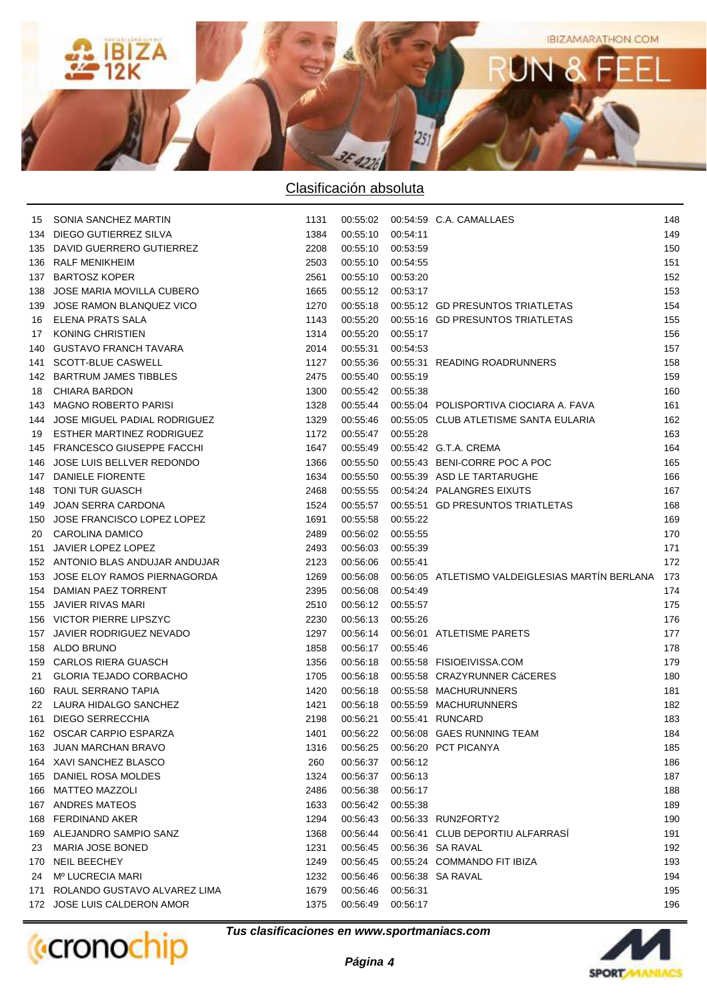

|     | 15 SONIA SANCHEZ MARTIN          | 1131 |          |          | 00:55:02  00:54:59  C.A. CAMALLAES              | 148 |
|-----|----------------------------------|------|----------|----------|-------------------------------------------------|-----|
| 134 | DIEGO GUTIERREZ SILVA            | 1384 | 00:55:10 | 00:54:11 |                                                 | 149 |
|     | 135 DAVID GUERRERO GUTIERREZ     | 2208 | 00:55:10 | 00:53:59 |                                                 | 150 |
| 136 | RALF MENIKHEIM                   | 2503 | 00:55:10 | 00:54:55 |                                                 | 151 |
| 137 | <b>BARTOSZ KOPER</b>             | 2561 | 00:55:10 | 00:53:20 |                                                 | 152 |
| 138 | JOSE MARIA MOVILLA CUBERO        | 1665 | 00:55:12 | 00:53:17 |                                                 | 153 |
| 139 | JOSE RAMON BLANQUEZ VICO         | 1270 | 00:55:18 |          | 00:55:12 GD PRESUNTOS TRIATLETAS                | 154 |
| 16  | ELENA PRATS SALA                 | 1143 | 00:55:20 |          | 00:55:16 GD PRESUNTOS TRIATLETAS                | 155 |
| 17  | KONING CHRISTIEN                 | 1314 | 00:55:20 | 00:55:17 |                                                 | 156 |
|     | 140 GUSTAVO FRANCH TAVARA        | 2014 | 00:55:31 | 00:54:53 |                                                 | 157 |
|     | 141 SCOTT-BLUE CASWELL           | 1127 | 00:55:36 |          | 00:55:31 READING ROADRUNNERS                    | 158 |
|     | 142 BARTRUM JAMES TIBBLES        | 2475 | 00:55:40 | 00:55:19 |                                                 | 159 |
| 18  | <b>CHIARA BARDON</b>             | 1300 | 00:55:42 | 00:55:38 |                                                 | 160 |
| 143 | MAGNO ROBERTO PARISI             | 1328 | 00:55:44 |          | 00:55:04 POLISPORTIVA CIOCIARA A. FAVA          | 161 |
|     | 144 JOSE MIGUEL PADIAL RODRIGUEZ | 1329 | 00:55:46 |          | 00:55:05 CLUB ATLETISME SANTA EULARIA           | 162 |
|     | 19 ESTHER MARTINEZ RODRIGUEZ     | 1172 | 00:55:47 | 00:55:28 |                                                 | 163 |
|     | 145 FRANCESCO GIUSEPPE FACCHI    | 1647 | 00:55:49 |          | 00:55:42 G.T.A. CREMA                           | 164 |
|     | 146 JOSE LUIS BELLVER REDONDO    | 1366 | 00:55:50 |          | 00:55:43 BENI-CORRE POC A POC                   | 165 |
|     | 147 DANIELE FIORENTE             | 1634 | 00:55:50 |          | 00:55:39 ASD LE TARTARUGHE                      | 166 |
|     | 148 TONI TUR GUASCH              | 2468 | 00:55:55 |          | 00:54:24 PALANGRES EIXUTS                       | 167 |
|     | 149 JOAN SERRA CARDONA           | 1524 | 00:55:57 |          | 00:55:51 GD PRESUNTOS TRIATLETAS                | 168 |
|     | 150 JOSE FRANCISCO LOPEZ LOPEZ   | 1691 | 00:55:58 | 00:55:22 |                                                 | 169 |
| 20  | CAROLINA DAMICO                  | 2489 | 00:56:02 | 00:55:55 |                                                 | 170 |
|     | 151 JAVIER LOPEZ LOPEZ           | 2493 | 00:56:03 | 00:55:39 |                                                 | 171 |
|     | 152 ANTONIO BLAS ANDUJAR ANDUJAR | 2123 | 00:56:06 | 00:55:41 |                                                 | 172 |
| 153 | JOSE ELOY RAMOS PIERNAGORDA      | 1269 | 00:56:08 |          | 00:56:05 ATLETISMO VALDEIGLESIAS MARTIN BERLANA | 173 |
|     | 154 DAMIAN PAEZ TORRENT          | 2395 | 00:56:08 | 00:54:49 |                                                 | 174 |
| 155 | JAVIER RIVAS MARI                | 2510 | 00:56:12 | 00:55:57 |                                                 | 175 |
|     | 156 VICTOR PIERRE LIPSZYC        | 2230 | 00:56:13 | 00:55:26 |                                                 | 176 |
|     | 157 JAVIER RODRIGUEZ NEVADO      | 1297 | 00:56:14 |          | 00:56:01 ATLETISME PARETS                       | 177 |
|     | 158 ALDO BRUNO                   | 1858 | 00:56:17 | 00:55:46 |                                                 | 178 |
|     | 159 CARLOS RIERA GUASCH          | 1356 | 00:56:18 |          | 00:55:58 FISIOEIVISSA.COM                       | 179 |
|     | 21 GLORIA TEJADO CORBACHO        | 1705 |          |          | 00:56:18  00:55:58  CRAZYRUNNER CáCERES         | 180 |
|     | 160 RAUL SERRANO TAPIA           | 1420 | 00:56:18 |          | 00:55:58 MACHURUNNERS                           | 181 |
|     | 22 LAURA HIDALGO SANCHEZ         | 1421 | 00:56:18 |          | 00:55:59 MACHURUNNERS                           | 182 |
|     | 161 DIEGO SERRECCHIA             | 2198 | 00:56:21 |          | 00:55:41 RUNCARD                                | 183 |
|     | 162 OSCAR CARPIO ESPARZA         | 1401 |          |          | 00:56:22  00:56:08  GAES RUNNING TEAM           | 184 |
|     | 163 JUAN MARCHAN BRAVO           | 1316 | 00:56:25 |          | 00:56:20 PCT PICANYA                            | 185 |
|     | 164 XAVI SANCHEZ BLASCO          | 260  | 00:56:37 | 00:56:12 |                                                 | 186 |
|     | 165 DANIEL ROSA MOLDES           | 1324 | 00:56:37 | 00:56:13 |                                                 | 187 |
|     | 166 MATTEO MAZZOLI               | 2486 | 00:56:38 | 00:56:17 |                                                 | 188 |
|     | 167 ANDRES MATEOS                | 1633 | 00:56:42 | 00:55:38 |                                                 | 189 |
|     | 168 FERDINAND AKER               | 1294 | 00:56:43 |          | 00:56:33 RUN2FORTY2                             | 190 |
|     | 169 ALEJANDRO SAMPIO SANZ        | 1368 | 00:56:44 |          | 00:56:41 CLUB DEPORTIU ALFARRASI                | 191 |
| 23  | <b>MARIA JOSE BONED</b>          | 1231 | 00:56:45 |          | 00:56:36 SA RAVAL                               | 192 |
|     | 170 NEIL BEECHEY                 | 1249 | 00:56:45 |          | 00:55:24 COMMANDO FIT IBIZA                     | 193 |
| 24  | Mº LUCRECIA MARI                 | 1232 | 00:56:46 |          | 00:56:38 SA RAVAL                               | 194 |
| 171 | ROLANDO GUSTAVO ALVAREZ LIMA     | 1679 | 00:56:46 | 00:56:31 |                                                 | 195 |
|     | 172 JOSE LUIS CALDERON AMOR      | 1375 | 00:56:49 | 00:56:17 |                                                 | 196 |
|     |                                  |      |          |          |                                                 |     |



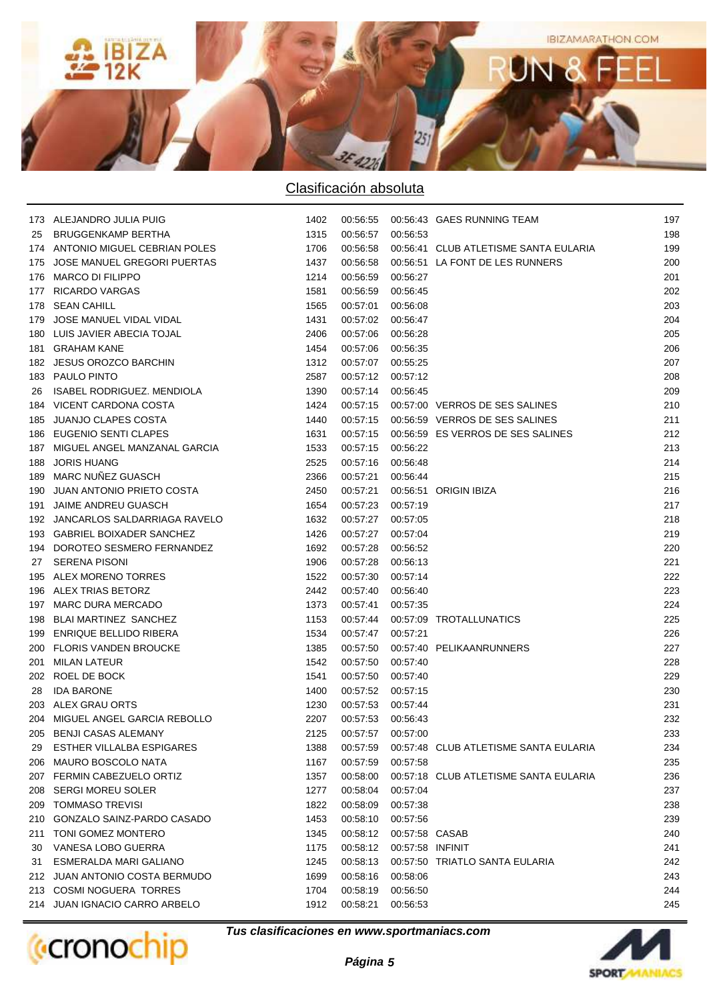

|     | 173 ALEJANDRO JULIA PUIG         | 1402 |                   |                  | 00:56:55  00:56:43  GAES RUNNING TEAM        | 197 |
|-----|----------------------------------|------|-------------------|------------------|----------------------------------------------|-----|
| 25  | BRUGGENKAMP BERTHA               | 1315 | 00:56:57          | 00:56:53         |                                              | 198 |
|     | 174 ANTONIO MIGUEL CEBRIAN POLES | 1706 | 00:56:58          |                  | 00:56:41 CLUB ATLETISME SANTA EULARIA        | 199 |
|     | 175 JOSE MANUEL GREGORI PUERTAS  | 1437 | 00:56:58          |                  | 00:56:51 LA FONT DE LES RUNNERS              | 200 |
|     | 176 MARCO DI FILIPPO             | 1214 | 00:56:59          | 00:56:27         |                                              | 201 |
| 177 | <b>RICARDO VARGAS</b>            | 1581 | 00:56:59          | 00:56:45         |                                              | 202 |
| 178 | <b>SEAN CAHILL</b>               | 1565 | 00:57:01          | 00:56:08         |                                              | 203 |
| 179 | JOSE MANUEL VIDAL VIDAL          | 1431 | 00:57:02 00:56:47 |                  |                                              | 204 |
|     | 180 LUIS JAVIER ABECIA TOJAL     | 2406 | 00:57:06          | 00:56:28         |                                              | 205 |
|     | 181 GRAHAM KANE                  | 1454 | 00:57:06          | 00:56:35         |                                              | 206 |
|     | 182 JESUS OROZCO BARCHIN         | 1312 | 00:57:07          | 00:55:25         |                                              | 207 |
|     | 183 PAULO PINTO                  | 2587 | 00:57:12 00:57:12 |                  |                                              | 208 |
| 26  | ISABEL RODRIGUEZ. MENDIOLA       | 1390 | 00:57:14 00:56:45 |                  |                                              | 209 |
|     | 184 VICENT CARDONA COSTA         | 1424 |                   |                  | 00:57:15  00:57:00  VERROS DE SES SALINES    | 210 |
|     | 185 JUANJO CLAPES COSTA          | 1440 |                   |                  | 00:57:15  00:56:59  VERROS DE SES SALINES    | 211 |
|     | 186 EUGENIO SENTI CLAPES         | 1631 |                   |                  | 00:57:15  00:56:59  ES VERROS DE SES SALINES | 212 |
|     | 187 MIGUEL ANGEL MANZANAL GARCIA | 1533 | 00:57:15 00:56:22 |                  |                                              | 213 |
|     | 188 JORIS HUANG                  | 2525 | 00:57:16          | 00:56:48         |                                              | 214 |
|     | 189 MARC NUÑEZ GUASCH            | 2366 | 00:57:21          | 00:56:44         |                                              | 215 |
|     | 190 JUAN ANTONIO PRIETO COSTA    | 2450 | 00:57:21          |                  | 00:56:51 ORIGIN IBIZA                        | 216 |
|     | 191 JAIME ANDREU GUASCH          | 1654 | 00:57:23          | 00:57:19         |                                              | 217 |
|     | 192 JANCARLOS SALDARRIAGA RAVELO | 1632 | 00:57:27          | 00:57:05         |                                              | 218 |
|     | 193 GABRIEL BOIXADER SANCHEZ     | 1426 | 00:57:27          | 00:57:04         |                                              | 219 |
|     | 194 DOROTEO SESMERO FERNANDEZ    | 1692 | 00:57:28          | 00:56:52         |                                              | 220 |
| 27  | <b>SERENA PISONI</b>             | 1906 | 00:57:28          | 00:56:13         |                                              | 221 |
|     | 195 ALEX MORENO TORRES           | 1522 | 00:57:30          | 00:57:14         |                                              | 222 |
|     | 196 ALEX TRIAS BETORZ            | 2442 | 00:57:40          | 00:56:40         |                                              | 223 |
|     | 197 MARC DURA MERCADO            | 1373 | 00:57:41          | 00:57:35         |                                              | 224 |
|     | 198 BLAI MARTINEZ SANCHEZ        | 1153 | 00:57:44          |                  | 00:57:09 TROTALLUNATICS                      | 225 |
|     | 199 ENRIQUE BELLIDO RIBERA       | 1534 | 00:57:47          | 00:57:21         |                                              | 226 |
|     | 200 FLORIS VANDEN BROUCKE        | 1385 | 00:57:50          |                  | 00:57:40 PELIKAANRUNNERS                     | 227 |
|     | 201 MILAN LATEUR                 | 1542 | 00:57:50          | 00:57:40         |                                              | 228 |
|     | 202 ROEL DE BOCK                 | 1541 | 00:57:50          | 00:57:40         |                                              | 229 |
| 28  | <b>IDA BARONE</b>                | 1400 | 00:57:52 00:57:15 |                  |                                              | 230 |
|     | 203 ALEX GRAU ORTS               | 1230 | 00:57:53 00:57:44 |                  |                                              | 231 |
|     | 204 MIGUEL ANGEL GARCIA REBOLLO  | 2207 | 00:57:53 00:56:43 |                  |                                              | 232 |
|     | 205 BENJI CASAS ALEMANY          | 2125 | 00:57:57 00:57:00 |                  |                                              | 233 |
| 29  | <b>ESTHER VILLALBA ESPIGARES</b> | 1388 | 00:57:59          |                  | 00:57:48 CLUB ATLETISME SANTA EULARIA        | 234 |
|     | 206 MAURO BOSCOLO NATA           | 1167 | 00:57:59          | 00:57:58         |                                              | 235 |
| 207 | FERMIN CABEZUELO ORTIZ           | 1357 | 00:58:00          |                  | 00:57:18 CLUB ATLETISME SANTA EULARIA        | 236 |
| 208 | <b>SERGI MOREU SOLER</b>         | 1277 | 00:58:04          | 00:57:04         |                                              | 237 |
| 209 | TOMMASO TREVISI                  | 1822 | 00:58:09          | 00:57:38         |                                              | 238 |
| 210 | GONZALO SAINZ-PARDO CASADO       | 1453 | 00:58:10          | 00:57:56         |                                              | 239 |
|     | 211 TONI GOMEZ MONTERO           | 1345 | 00:58:12          | 00:57:58 CASAB   |                                              | 240 |
| 30  | VANESA LOBO GUERRA               | 1175 | 00:58:12          | 00:57:58 INFINIT |                                              | 241 |
| 31  | ESMERALDA MARI GALIANO           | 1245 | 00:58:13          |                  | 00:57:50 TRIATLO SANTA EULARIA               | 242 |
|     | 212 JUAN ANTONIO COSTA BERMUDO   | 1699 | 00:58:16          | 00:58:06         |                                              | 243 |
|     | 213 COSMI NOGUERA TORRES         | 1704 | 00:58:19          | 00:56:50         |                                              | 244 |
|     | 214 JUAN IGNACIO CARRO ARBELO    | 1912 | 00:58:21          | 00:56:53         |                                              | 245 |
|     |                                  |      |                   |                  |                                              |     |



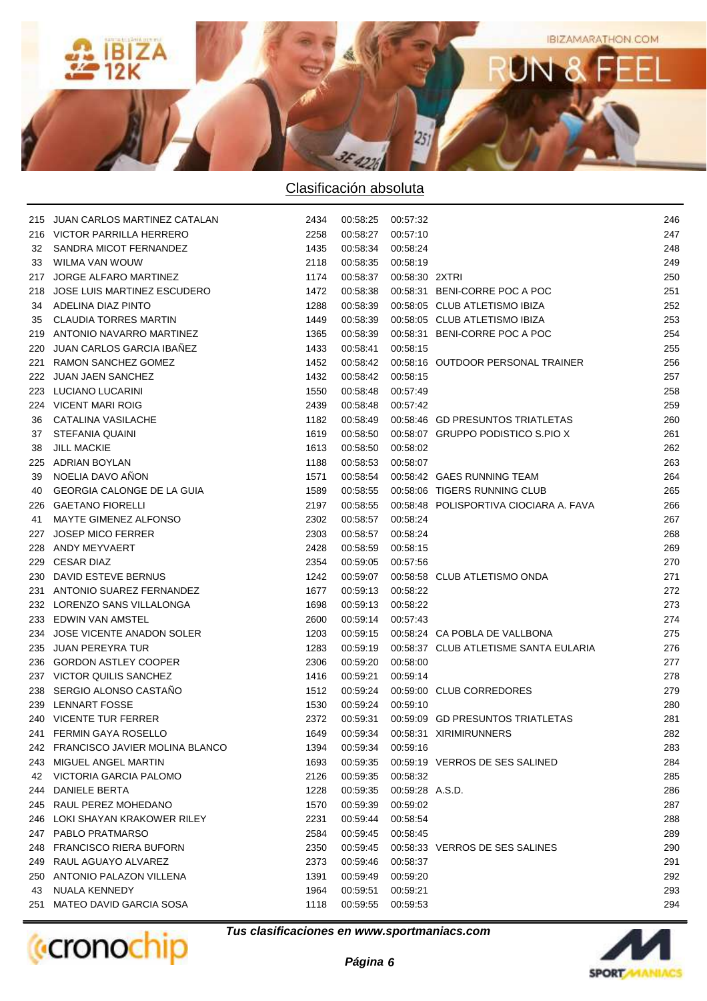

|     | 215 JUAN CARLOS MARTINEZ CATALAN   | 2434 | 00:58:25 00:57:32 |                 |                                                 | 246 |
|-----|------------------------------------|------|-------------------|-----------------|-------------------------------------------------|-----|
|     | 216 VICTOR PARRILLA HERRERO        | 2258 | 00:58:27          | 00:57:10        |                                                 | 247 |
|     | 32 SANDRA MICOT FERNANDEZ          | 1435 | 00:58:34          | 00:58:24        |                                                 | 248 |
| 33  | WILMA VAN WOUW                     | 2118 | 00:58:35          | 00:58:19        |                                                 | 249 |
|     | 217 JORGE ALFARO MARTINEZ          | 1174 | 00:58:37          | 00:58:30 2XTRI  |                                                 | 250 |
|     | 218 JOSE LUIS MARTINEZ ESCUDERO    | 1472 | 00:58:38          |                 | 00:58:31 BENI-CORRE POC A POC                   | 251 |
|     | 34 ADELINA DIAZ PINTO              | 1288 | 00:58:39          |                 | 00:58:05 CLUB ATLETISMO IBIZA                   | 252 |
| 35  | <b>CLAUDIA TORRES MARTIN</b>       | 1449 | 00:58:39          |                 | 00:58:05 CLUB ATLETISMO IBIZA                   | 253 |
|     | 219 ANTONIO NAVARRO MARTINEZ       | 1365 | 00:58:39          |                 | 00:58:31 BENI-CORRE POC A POC                   | 254 |
|     | 220 JUAN CARLOS GARCIA IBAÑEZ      | 1433 | 00:58:41          | 00:58:15        |                                                 | 255 |
|     | 221 RAMON SANCHEZ GOMEZ            | 1452 | 00:58:42          |                 | 00:58:16 OUTDOOR PERSONAL TRAINER               | 256 |
|     | 222 JUAN JAEN SANCHEZ              | 1432 | 00:58:42          | 00:58:15        |                                                 | 257 |
|     | 223 LUCIANO LUCARINI               | 1550 | 00:58:48          | 00:57:49        |                                                 | 258 |
|     | 224 VICENT MARI ROIG               | 2439 | 00:58:48          | 00:57:42        |                                                 | 259 |
| 36  | CATALINA VASILACHE                 | 1182 | 00:58:49          |                 | 00:58:46 GD PRESUNTOS TRIATLETAS                | 260 |
| 37  | STEFANIA QUAINI                    | 1619 | 00:58:50          |                 | 00:58:07 GRUPPO PODISTICO S.PIO X               | 261 |
| 38  | <b>JILL MACKIE</b>                 | 1613 | 00:58:50          | 00:58:02        |                                                 | 262 |
|     | 225 ADRIAN BOYLAN                  | 1188 | 00:58:53          | 00:58:07        |                                                 | 263 |
| 39  | NOELIA DAVO ANON                   | 1571 |                   |                 | 00:58:54  00:58:42  GAES RUNNING TEAM           | 264 |
| 40  | GEORGIA CALONGE DE LA GUIA         | 1589 |                   |                 | 00:58:55  00:58:06  TIGERS RUNNING CLUB         | 265 |
|     | 226 GAETANO FIORELLI               | 2197 |                   |                 | 00:58:55 00:58:48 POLISPORTIVA CIOCIARA A. FAVA | 266 |
| 41  | MAYTE GIMENEZ ALFONSO              | 2302 | 00:58:57          | 00:58:24        |                                                 | 267 |
| 227 | JOSEP MICO FERRER                  | 2303 | 00:58:57          | 00:58:24        |                                                 | 268 |
|     | 228 ANDY MEYVAERT                  | 2428 | 00:58:59          | 00:58:15        |                                                 | 269 |
|     | 229 CESAR DIAZ                     | 2354 | 00:59:05 00:57:56 |                 |                                                 | 270 |
|     | 230 DAVID ESTEVE BERNUS            | 1242 | 00:59:07          |                 | 00:58:58 CLUB ATLETISMO ONDA                    | 271 |
|     | 231 ANTONIO SUAREZ FERNANDEZ       | 1677 | 00:59:13          | 00:58:22        |                                                 | 272 |
|     | 232 LORENZO SANS VILLALONGA        | 1698 | 00:59:13          | 00:58:22        |                                                 | 273 |
|     | 233 EDWIN VAN AMSTEL               | 2600 | 00:59:14          | 00:57:43        |                                                 | 274 |
|     | 234 JOSE VICENTE ANADON SOLER      | 1203 | 00:59:15          |                 | 00:58:24 CA POBLA DE VALLBONA                   | 275 |
|     | 235 JUAN PEREYRA TUR               | 1283 | 00:59:19          |                 | 00:58:37 CLUB ATLETISME SANTA EULARIA           | 276 |
|     | 236 GORDON ASTLEY COOPER           | 2306 | 00:59:20          | 00:58:00        |                                                 | 277 |
|     | 237 VICTOR QUILIS SANCHEZ          | 1416 | 00:59:21          | 00:59:14        |                                                 | 278 |
|     | 238 SERGIO ALONSO CASTANO          | 1512 | 00:59:24          |                 | 00:59:00 CLUB CORREDORES                        | 279 |
|     | 239 LENNART FOSSE                  | 1530 | 00:59:24          | 00:59:10        |                                                 | 280 |
|     | 240 VICENTE TUR FERRER             | 2372 | 00:59:31          |                 | 00:59:09 GD PRESUNTOS TRIATLETAS                | 281 |
|     | 241 FERMIN GAYA ROSELLO            | 1649 | 00:59:34          |                 | 00:58:31 XIRIMIRUNNERS                          | 282 |
|     | 242 FRANCISCO JAVIER MOLINA BLANCO | 1394 | 00:59:34          | 00:59:16        |                                                 | 283 |
|     | 243 MIGUEL ANGEL MARTIN            | 1693 | 00:59:35          |                 | 00:59:19 VERROS DE SES SALINED                  | 284 |
|     | 42 VICTORIA GARCIA PALOMO          | 2126 | 00:59:35          | 00:58:32        |                                                 | 285 |
|     | 244 DANIELE BERTA                  | 1228 | 00:59:35          | 00:59:28 A.S.D. |                                                 | 286 |
|     | 245 RAUL PEREZ MOHEDANO            | 1570 | 00:59:39          | 00:59:02        |                                                 | 287 |
|     | 246 LOKI SHAYAN KRAKOWER RILEY     | 2231 | 00:59:44          | 00:58:54        |                                                 | 288 |
|     | 247 PABLO PRATMARSO                | 2584 | 00:59:45          | 00:58:45        |                                                 | 289 |
|     | 248 FRANCISCO RIERA BUFORN         | 2350 | 00:59:45          |                 | 00:58:33 VERROS DE SES SALINES                  | 290 |
|     | 249 RAUL AGUAYO ALVAREZ            | 2373 | 00:59:46          | 00:58:37        |                                                 | 291 |
|     | 250 ANTONIO PALAZON VILLENA        | 1391 | 00:59:49          | 00:59:20        |                                                 | 292 |
| 43  | NUALA KENNEDY                      | 1964 | 00:59:51          | 00:59:21        |                                                 | 293 |
|     | 251 MATEO DAVID GARCIA SOSA        | 1118 | 00:59:55          | 00:59:53        |                                                 | 294 |
|     |                                    |      |                   |                 |                                                 |     |



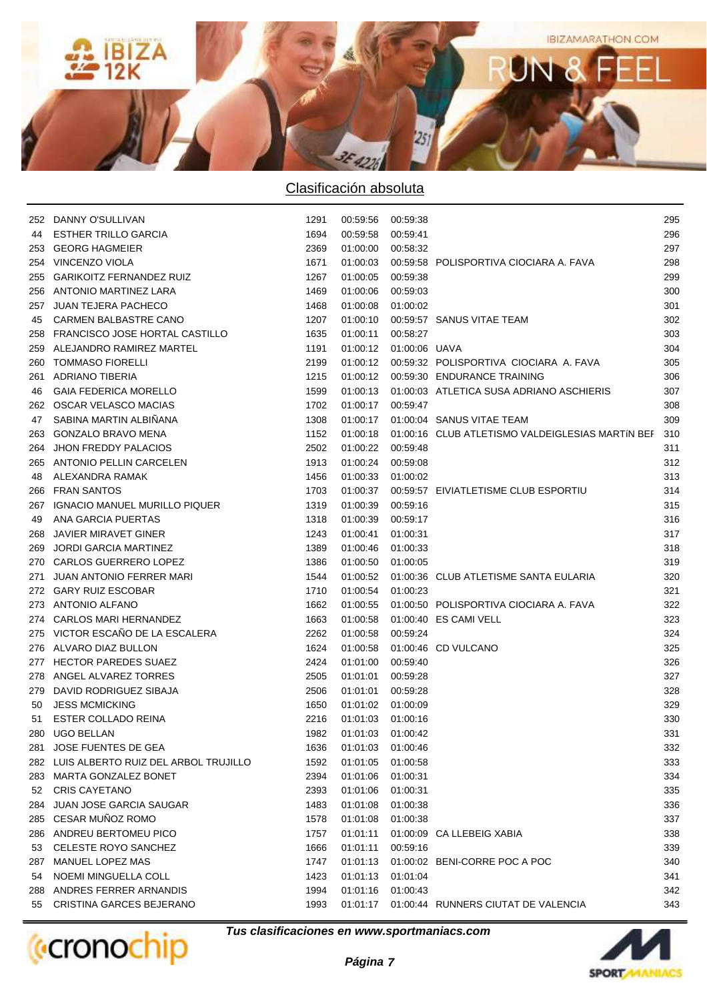

|     | 252 DANNY O'SULLIVAN                     | 1291 | 00:59:56 00:59:38        |          |                                                                  | 295 |
|-----|------------------------------------------|------|--------------------------|----------|------------------------------------------------------------------|-----|
| 44  | <b>ESTHER TRILLO GARCIA</b>              | 1694 | 00:59:58 00:59:41        |          |                                                                  | 296 |
| 253 | <b>GEORG HAGMEIER</b>                    | 2369 | 01:00:00 00:58:32        |          |                                                                  | 297 |
| 254 | VINCENZO VIOLA                           | 1671 |                          |          | 01:00:03  00:59:58  POLISPORTIVA CIOCIARA A. FAVA                | 298 |
| 255 | <b>GARIKOITZ FERNANDEZ RUIZ</b>          | 1267 | 01:00:05                 | 00:59:38 |                                                                  | 299 |
| 256 | ANTONIO MARTINEZ LARA                    | 1469 | 01:00:06                 | 00:59:03 |                                                                  | 300 |
| 257 | <b>JUAN TEJERA PACHECO</b>               | 1468 | 01:00:08 01:00:02        |          |                                                                  | 301 |
| 45  | CARMEN BALBASTRE CANO                    | 1207 |                          |          | 01:00:10  00:59:57  SANUS VITAE TEAM                             | 302 |
| 258 | FRANCISCO JOSE HORTAL CASTILLO           | 1635 | 01:00:11                 | 00:58:27 |                                                                  | 303 |
| 259 | ALEJANDRO RAMIREZ MARTEL                 | 1191 | 01:00:12  01:00:06  UAVA |          |                                                                  | 304 |
| 260 | <b>TOMMASO FIORELLI</b>                  | 2199 |                          |          | 01:00:12  00:59:32  POLISPORTIVA CIOCIARA A. FAVA                | 305 |
| 261 | <b>ADRIANO TIBERIA</b>                   | 1215 |                          |          | 01:00:12  00:59:30  ENDURANCE TRAINING                           | 306 |
| 46  | <b>GAIA FEDERICA MORELLO</b>             | 1599 |                          |          | 01:00:13  01:00:03  ATLETICA SUSA ADRIANO ASCHIERIS              | 307 |
|     | 262 OSCAR VELASCO MACIAS                 | 1702 | 01:00:17 00:59:47        |          |                                                                  | 308 |
| 47  | SABINA MARTIN ALBIÑANA                   | 1308 |                          |          | 01:00:17  01:00:04  SANUS VITAE TEAM                             | 309 |
| 263 | <b>GONZALO BRAVO MENA</b>                | 1152 |                          |          | 01:00:18  01:00:16  CLUB ATLETISMO VALDEIGLESIAS MARTIN BEF  310 |     |
| 264 | <b>JHON FREDDY PALACIOS</b>              | 2502 | 01:00:22 00:59:48        |          |                                                                  | 311 |
| 265 | ANTONIO PELLIN CARCELEN                  | 1913 | 01:00:24 00:59:08        |          |                                                                  | 312 |
| 48  | ALEXANDRA RAMAK                          | 1456 | 01:00:33 01:00:02        |          |                                                                  | 313 |
| 266 | <b>FRAN SANTOS</b>                       | 1703 |                          |          | 01:00:37  00:59:57  EIVIATLETISME CLUB ESPORTIU                  | 314 |
| 267 | <b>IGNACIO MANUEL MURILLO PIQUER</b>     | 1319 | 01:00:39 00:59:16        |          |                                                                  | 315 |
| 49  | ANA GARCIA PUERTAS                       | 1318 | 01:00:39 00:59:17        |          |                                                                  | 316 |
| 268 | JAVIER MIRAVET GINER                     | 1243 | 01:00:41 01:00:31        |          |                                                                  | 317 |
| 269 | <b>JORDI GARCIA MARTINEZ</b>             | 1389 | 01:00:46 01:00:33        |          |                                                                  | 318 |
| 270 | CARLOS GUERRERO LOPEZ                    | 1386 | 01:00:50 01:00:05        |          |                                                                  | 319 |
| 271 | <b>JUAN ANTONIO FERRER MARI</b>          | 1544 |                          |          | 01:00:52  01:00:36  CLUB ATLETISME SANTA EULARIA                 | 320 |
|     | 272 GARY RUIZ ESCOBAR                    | 1710 | 01:00:54 01:00:23        |          |                                                                  | 321 |
|     | 273 ANTONIO ALFANO                       | 1662 | 01:00:55                 |          | 01:00:50 POLISPORTIVA CIOCIARA A. FAVA                           | 322 |
|     | 274 CARLOS MARI HERNANDEZ                | 1663 | 01:00:58                 |          | 01:00:40 ES CAMI VELL                                            | 323 |
|     | 275 VICTOR ESCAÑO DE LA ESCALERA         | 2262 | 01:00:58 00:59:24        |          |                                                                  | 324 |
|     | 276 ALVARO DIAZ BULLON                   | 1624 | 01:00:58                 |          | 01:00:46 CD VULCANO                                              | 325 |
|     | 277 HECTOR PAREDES SUAEZ                 | 2424 | 01:01:00                 | 00:59:40 |                                                                  | 326 |
|     | 278 ANGEL ALVAREZ TORRES                 | 2505 | 01:01:01 00:59:28        |          |                                                                  | 327 |
|     | 279 DAVID RODRIGUEZ SIBAJA               | 2506 | 01:01:01 00:59:28        |          |                                                                  | 328 |
| 50  | <b>JESS MCMICKING</b>                    | 1650 | 01:01:02 01:00:09        |          |                                                                  | 329 |
| 51  | ESTER COLLADO REINA                      | 2216 | 01:01:03 01:00:16        |          |                                                                  | 330 |
|     | 280 UGO BELLAN                           | 1982 | 01:01:03 01:00:42        |          |                                                                  | 331 |
| 281 | JOSE FUENTES DE GEA                      | 1636 | 01:01:03                 | 01:00:46 |                                                                  | 332 |
|     | 282 LUIS ALBERTO RUIZ DEL ARBOL TRUJILLO | 1592 | 01:01:05                 | 01:00:58 |                                                                  | 333 |
|     | 283 MARTA GONZALEZ BONET                 | 2394 | 01:01:06                 | 01:00:31 |                                                                  | 334 |
| 52  | <b>CRIS CAYETANO</b>                     | 2393 | 01:01:06                 | 01:00:31 |                                                                  | 335 |
|     | 284 JUAN JOSE GARCIA SAUGAR              | 1483 | 01:01:08                 | 01:00:38 |                                                                  | 336 |
|     | 285 CESAR MUÑOZ ROMO                     | 1578 | 01:01:08                 | 01:00:38 |                                                                  | 337 |
|     | 286 ANDREU BERTOMEU PICO                 | 1757 | 01:01:11                 |          | 01:00:09 CA LLEBEIG XABIA                                        | 338 |
| 53  | CELESTE ROYO SANCHEZ                     | 1666 | 01:01:11                 | 00:59:16 |                                                                  | 339 |
| 287 | MANUEL LOPEZ MAS                         | 1747 | 01:01:13                 |          | 01:00:02 BENI-CORRE POC A POC                                    | 340 |
| 54  | NOEMI MINGUELLA COLL                     | 1423 | 01:01:13                 | 01:01:04 |                                                                  | 341 |
|     | 288 ANDRES FERRER ARNANDIS               | 1994 | 01:01:16                 | 01:00:43 |                                                                  | 342 |
| 55  | CRISTINA GARCES BEJERANO                 | 1993 | 01:01:17                 |          | 01:00:44 RUNNERS CIUTAT DE VALENCIA                              | 343 |



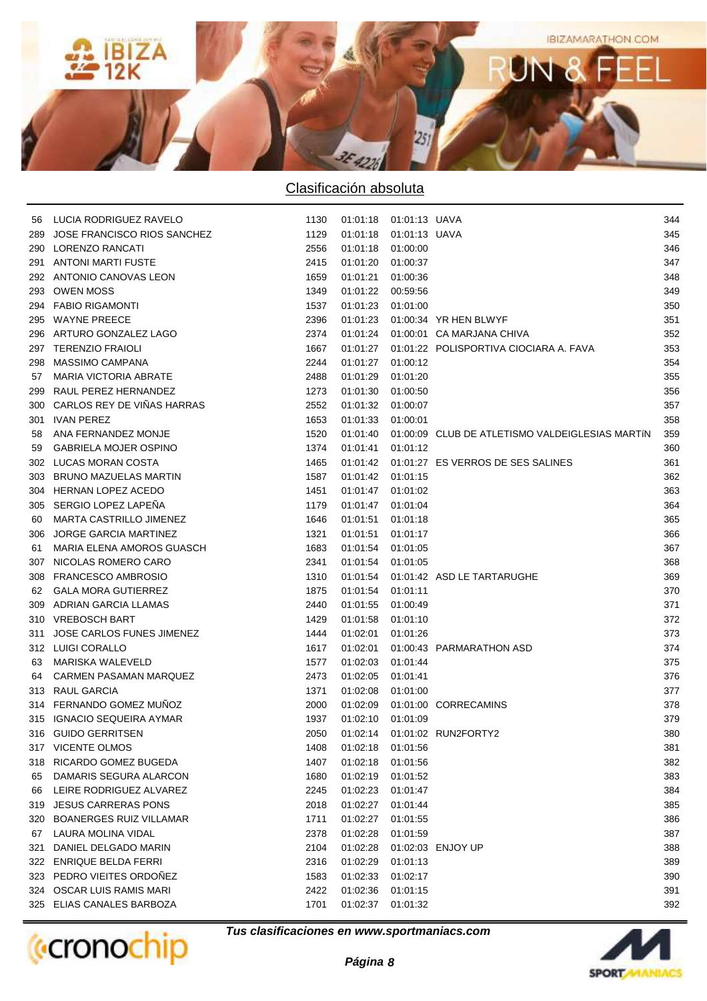

|     | 56 LUCIA RODRIGUEZ RAVELO        | 1130 | 01:01:18  01:01:13  UAVA |               |                                                   | 344 |
|-----|----------------------------------|------|--------------------------|---------------|---------------------------------------------------|-----|
| 289 | JOSE FRANCISCO RIOS SANCHEZ      | 1129 | 01:01:18                 | 01:01:13 UAVA |                                                   | 345 |
| 290 | LORENZO RANCATI                  | 2556 | 01:01:18                 | 01:00:00      |                                                   | 346 |
| 291 | <b>ANTONI MARTI FUSTE</b>        | 2415 | 01:01:20                 | 01:00:37      |                                                   | 347 |
| 292 | ANTONIO CANOVAS LEON             | 1659 | 01:01:21                 | 01:00:36      |                                                   | 348 |
| 293 | <b>OWEN MOSS</b>                 | 1349 | 01:01:22 00:59:56        |               |                                                   | 349 |
|     | 294 FABIO RIGAMONTI              | 1537 | 01:01:23                 | 01:01:00      |                                                   | 350 |
| 295 | <b>WAYNE PREECE</b>              | 2396 | 01:01:23                 |               | 01:00:34 YR HEN BLWYF                             | 351 |
| 296 | ARTURO GONZALEZ LAGO             | 2374 |                          |               | 01:01:24  01:00:01  CA MARJANA CHIVA              | 352 |
| 297 | <b>TERENZIO FRAIOLI</b>          | 1667 |                          |               | 01:01:27  01:01:22  POLISPORTIVA CIOCIARA A. FAVA | 353 |
| 298 | MASSIMO CAMPANA                  | 2244 | 01:01:27 01:00:12        |               |                                                   | 354 |
| 57  | <b>MARIA VICTORIA ABRATE</b>     | 2488 | 01:01:29                 | 01:01:20      |                                                   | 355 |
| 299 | RAUL PEREZ HERNANDEZ             | 1273 | 01:01:30                 | 01:00:50      |                                                   | 356 |
| 300 | CARLOS REY DE VIÑAS HARRAS       | 2552 | 01:01:32                 | 01:00:07      |                                                   | 357 |
|     | 301 IVAN PEREZ                   | 1653 | 01:01:33                 | 01:00:01      |                                                   | 358 |
| 58  | ANA FERNANDEZ MONJE              | 1520 | 01:01:40                 |               | 01:00:09 CLUB DE ATLETISMO VALDEIGLESIAS MARTÍN   | 359 |
| 59  | <b>GABRIELA MOJER OSPINO</b>     | 1374 | 01:01:41                 | 01:01:12      |                                                   | 360 |
| 302 | LUCAS MORAN COSTA                | 1465 |                          |               | 01:01:42  01:01:27  ES VERROS DE SES SALINES      | 361 |
| 303 | <b>BRUNO MAZUELAS MARTIN</b>     | 1587 | 01:01:42 01:01:15        |               |                                                   | 362 |
|     | 304 HERNAN LOPEZ ACEDO           | 1451 | 01:01:47 01:01:02        |               |                                                   | 363 |
| 305 | SERGIO LOPEZ LAPEÑA              | 1179 | 01:01:47 01:01:04        |               |                                                   | 364 |
| 60  | MARTA CASTRILLO JIMENEZ          | 1646 | 01:01:51                 | 01:01:18      |                                                   | 365 |
| 306 | <b>JORGE GARCIA MARTINEZ</b>     | 1321 | 01:01:51                 | 01:01:17      |                                                   | 366 |
| 61  | MARIA ELENA AMOROS GUASCH        | 1683 | 01:01:54                 | 01:01:05      |                                                   | 367 |
| 307 | NICOLAS ROMERO CARO              | 2341 | 01:01:54                 | 01:01:05      |                                                   | 368 |
| 308 | <b>FRANCESCO AMBROSIO</b>        | 1310 | 01:01:54                 |               | 01:01:42 ASD LE TARTARUGHE                        | 369 |
| 62  | <b>GALA MORA GUTIERREZ</b>       | 1875 | 01:01:54                 | 01:01:11      |                                                   | 370 |
| 309 | ADRIAN GARCIA LLAMAS             | 2440 | 01:01:55                 | 01:00:49      |                                                   | 371 |
| 310 | <b>VREBOSCH BART</b>             | 1429 | 01:01:58                 | 01:01:10      |                                                   | 372 |
| 311 | <b>JOSE CARLOS FUNES JIMENEZ</b> | 1444 | 01:02:01                 | 01:01:26      |                                                   | 373 |
|     | 312 LUIGI CORALLO                | 1617 | 01:02:01                 |               | 01:00:43 PARMARATHON ASD                          | 374 |
| 63  | MARISKA WALEVELD                 | 1577 | 01:02:03                 | 01:01:44      |                                                   | 375 |
| 64  | CARMEN PASAMAN MARQUEZ           | 2473 | 01:02:05                 | 01:01:41      |                                                   | 376 |
|     | 313 RAUL GARCIA                  | 1371 | 01:02:08                 | 01:01:00      |                                                   | 377 |
|     | 314 FERNANDO GOMEZ MUÑOZ         | 2000 | 01:02:09                 |               | 01:01:00 CORRECAMINS                              | 378 |
| 315 | IGNACIO SEQUEIRA AYMAR           | 1937 | 01:02:10                 | 01:01:09      |                                                   | 379 |
|     | 316 GUIDO GERRITSEN              | 2050 |                          |               | 01:02:14    01:01:02    RUN2FORTY2                | 380 |
|     | 317 VICENTE OLMOS                | 1408 | 01:02:18                 | 01:01:56      |                                                   | 381 |
| 318 | RICARDO GOMEZ BUGEDA             | 1407 | 01:02:18                 | 01:01:56      |                                                   | 382 |
| 65  | DAMARIS SEGURA ALARCON           | 1680 | 01:02:19                 | 01:01:52      |                                                   | 383 |
| 66  | LEIRE RODRIGUEZ ALVAREZ          | 2245 | 01:02:23                 | 01:01:47      |                                                   | 384 |
| 319 | <b>JESUS CARRERAS PONS</b>       | 2018 | 01:02:27                 | 01:01:44      |                                                   | 385 |
| 320 | <b>BOANERGES RUIZ VILLAMAR</b>   | 1711 | 01:02:27                 | 01:01:55      |                                                   | 386 |
| 67  | LAURA MOLINA VIDAL               | 2378 | 01:02:28                 | 01:01:59      |                                                   | 387 |
| 321 | DANIEL DELGADO MARIN             | 2104 | 01:02:28                 |               | 01:02:03 ENJOY UP                                 | 388 |
| 322 | <b>ENRIQUE BELDA FERRI</b>       | 2316 | 01:02:29                 | 01:01:13      |                                                   | 389 |
| 323 | PEDRO VIEITES ORDONEZ            | 1583 | 01:02:33                 | 01:02:17      |                                                   | 390 |
| 324 | <b>OSCAR LUIS RAMIS MARI</b>     | 2422 | 01:02:36                 | 01:01:15      |                                                   | 391 |
| 325 | ELIAS CANALES BARBOZA            | 1701 | 01:02:37                 | 01:01:32      |                                                   | 392 |
|     |                                  |      |                          |               |                                                   |     |

**(**cronochip

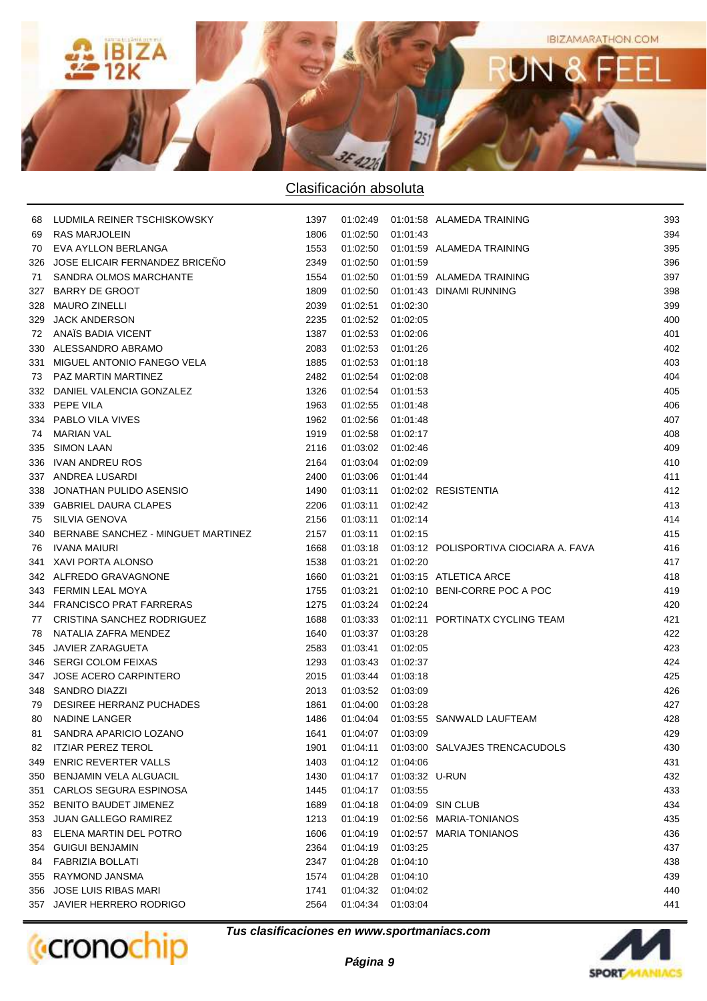

| 68 | LUDMILA REINER TSCHISKOWSKY            | 1397 |                   |                | 01:02:49  01:01:58  ALAMEDA TRAINING              | 393 |
|----|----------------------------------------|------|-------------------|----------------|---------------------------------------------------|-----|
|    | 69 RAS MARJOLEIN                       | 1806 | 01:02:50 01:01:43 |                |                                                   | 394 |
|    | 70 EVA AYLLON BERLANGA                 | 1553 |                   |                | 01:02:50  01:01:59  ALAMEDA TRAINING              | 395 |
|    | 326 JOSE ELICAIR FERNANDEZ BRICENO     | 2349 | 01:02:50 01:01:59 |                |                                                   | 396 |
|    | 71 SANDRA OLMOS MARCHANTE              | 1554 |                   |                | 01:02:50  01:01:59  ALAMEDA TRAINING              | 397 |
|    | 327 BARRY DE GROOT                     | 1809 |                   |                | 01:02:50  01:01:43  DINAMI RUNNING                | 398 |
|    | 328 MAURO ZINELLI                      | 2039 | 01:02:51 01:02:30 |                |                                                   | 399 |
|    | 329 JACK ANDERSON                      | 2235 | 01:02:52 01:02:05 |                |                                                   | 400 |
|    | 72 ANAÏS BADIA VICENT                  | 1387 | 01:02:53 01:02:06 |                |                                                   | 401 |
|    | 330 ALESSANDRO ABRAMO                  | 2083 | 01:02:53 01:01:26 |                |                                                   | 402 |
|    | 331 MIGUEL ANTONIO FANEGO VELA         | 1885 | 01:02:53 01:01:18 |                |                                                   | 403 |
|    | 73 PAZ MARTIN MARTINEZ                 | 2482 | 01:02:54 01:02:08 |                |                                                   | 404 |
|    | 332 DANIEL VALENCIA GONZALEZ           | 1326 | 01:02:54 01:01:53 |                |                                                   | 405 |
|    | 333 PEPE VILA                          | 1963 | 01:02:55 01:01:48 |                |                                                   | 406 |
|    | 334 PABLO VILA VIVES                   | 1962 | 01:02:56 01:01:48 |                |                                                   | 407 |
|    | 74 MARIAN VAL                          | 1919 | 01:02:58 01:02:17 |                |                                                   | 408 |
|    | 335 SIMON LAAN                         | 2116 | 01:03:02 01:02:46 |                |                                                   | 409 |
|    | 336 IVAN ANDREU ROS                    | 2164 | 01:03:04 01:02:09 |                |                                                   | 410 |
|    | 337 ANDREA LUSARDI                     | 2400 | 01:03:06 01:01:44 |                |                                                   | 411 |
|    | 338 JONATHAN PULIDO ASENSIO            | 1490 |                   |                | 01:03:11  01:02:02  RESISTENTIA                   | 412 |
|    | 339 GABRIEL DAURA CLAPES               | 2206 | 01:03:11 01:02:42 |                |                                                   | 413 |
|    | 75 SILVIA GENOVA                       | 2156 | 01:03:11 01:02:14 |                |                                                   | 414 |
|    | 340 BERNABE SANCHEZ - MINGUET MARTINEZ | 2157 | 01:03:11 01:02:15 |                |                                                   | 415 |
|    | 76 IVANA MAIURI                        | 1668 |                   |                | 01:03:18  01:03:12  POLISPORTIVA CIOCIARA A. FAVA | 416 |
|    | 341 XAVI PORTA ALONSO                  | 1538 | 01:03:21 01:02:20 |                |                                                   | 417 |
|    | 342 ALFREDO GRAVAGNONE                 | 1660 |                   |                | 01:03:21  01:03:15  ATLETICA ARCE                 | 418 |
|    | 343 FERMIN LEAL MOYA                   | 1755 |                   |                | 01:03:21  01:02:10  BENI-CORRE POC A POC          | 419 |
|    | 344 FRANCISCO PRAT FARRERAS            | 1275 | 01:03:24 01:02:24 |                |                                                   | 420 |
|    | 77 CRISTINA SANCHEZ RODRIGUEZ          | 1688 |                   |                | 01:03:33  01:02:11  PORTINATX CYCLING TEAM        | 421 |
|    | 78 NATALIA ZAFRA MENDEZ                | 1640 | 01:03:37 01:03:28 |                |                                                   | 422 |
|    | 345 JAVIER ZARAGUETA                   | 2583 | 01:03:41          | 01:02:05       |                                                   | 423 |
|    | 346 SERGI COLOM FEIXAS                 | 1293 | 01:03:43 01:02:37 |                |                                                   | 424 |
|    | 347 JOSE ACERO CARPINTERO              | 2015 | 01:03:44 01:03:18 |                |                                                   | 425 |
|    | 348 SANDRO DIAZZI                      | 2013 | 01:03:52 01:03:09 |                |                                                   | 426 |
| 79 | DESIREE HERRANZ PUCHADES               | 1861 | 01:04:00 01:03:28 |                |                                                   | 427 |
| 80 | NADINE LANGER                          | 1486 |                   |                | 01:04:04  01:03:55  SANWALD LAUFTEAM              | 428 |
| 81 | SANDRA APARICIO LOZANO                 | 1641 | 01:04:07 01:03:09 |                |                                                   | 429 |
|    | 82 ITZIAR PEREZ TEROL                  | 1901 | 01:04:11          |                | 01:03:00 SALVAJES TRENCACUDOLS                    | 430 |
|    | 349 ENRIC REVERTER VALLS               | 1403 | 01:04:12          | 01:04:06       |                                                   | 431 |
|    | 350 BENJAMIN VELA ALGUACIL             | 1430 | 01:04:17          | 01:03:32 U-RUN |                                                   | 432 |
|    | 351 CARLOS SEGURA ESPINOSA             | 1445 | 01:04:17          | 01:03:55       |                                                   | 433 |
|    | 352 BENITO BAUDET JIMENEZ              | 1689 | 01:04:18          |                | 01:04:09 SIN CLUB                                 | 434 |
|    | 353 JUAN GALLEGO RAMIREZ               | 1213 | 01:04:19          |                | 01:02:56 MARIA-TONIANOS                           | 435 |
| 83 | ELENA MARTIN DEL POTRO                 | 1606 | 01:04:19          |                | 01:02:57 MARIA TONIANOS                           | 436 |
|    | 354 GUIGUI BENJAMIN                    | 2364 | 01:04:19          | 01:03:25       |                                                   | 437 |
| 84 | <b>FABRIZIA BOLLATI</b>                | 2347 | 01:04:28          | 01:04:10       |                                                   | 438 |
|    | 355 RAYMOND JANSMA                     | 1574 | 01:04:28          | 01:04:10       |                                                   | 439 |
|    | 356 JOSE LUIS RIBAS MARI               | 1741 | 01:04:32          | 01:04:02       |                                                   | 440 |
|    | 357 JAVIER HERRERO RODRIGO             | 2564 | 01:04:34          | 01:03:04       |                                                   | 441 |
|    |                                        |      |                   |                |                                                   |     |



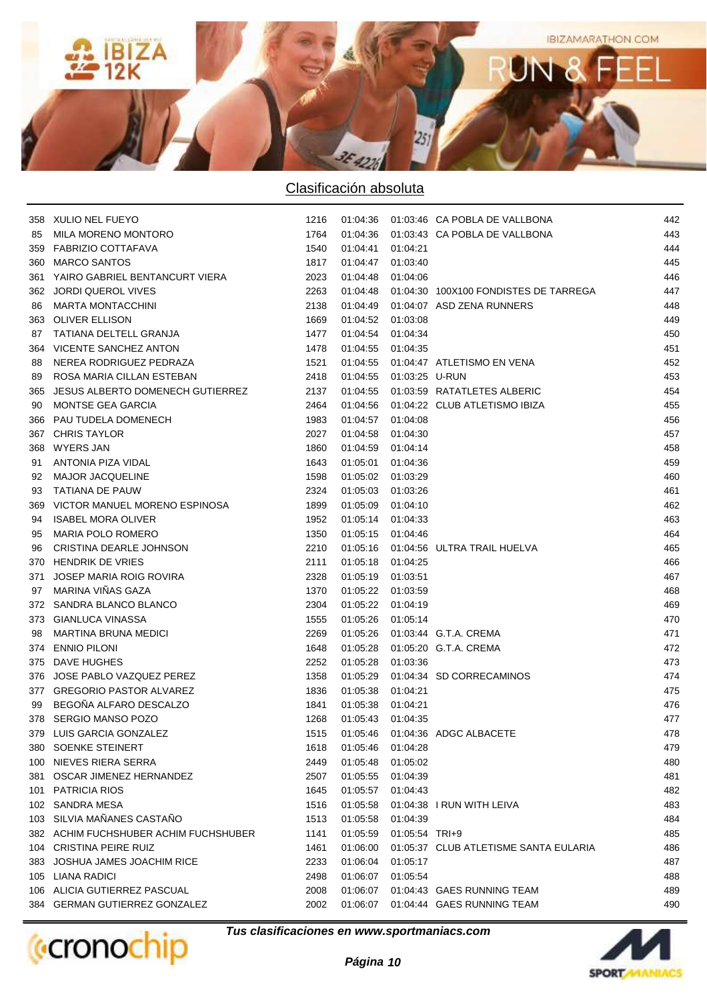

|     | 358 XULIO NEL FUEYO                   | 1216 |                   |                           | 01:04:36  01:03:46  CA POBLA DE VALLBONA | 442 |
|-----|---------------------------------------|------|-------------------|---------------------------|------------------------------------------|-----|
| 85  | MILA MORENO MONTORO                   | 1764 |                   |                           | 01:04:36  01:03:43  CA POBLA DE VALLBONA | 443 |
|     | 359 FABRIZIO COTTAFAVA                | 1540 | 01:04:41          | 01:04:21                  |                                          | 444 |
|     | 360 MARCO SANTOS                      | 1817 | 01:04:47          | 01:03:40                  |                                          | 445 |
|     | 361 YAIRO GABRIEL BENTANCURT VIERA    | 2023 | 01:04:48          | 01:04:06                  |                                          | 446 |
|     | 362 JORDI QUEROL VIVES                | 2263 | 01:04:48          |                           | 01:04:30 100X100 FONDISTES DE TARREGA    | 447 |
| 86  | <b>MARTA MONTACCHINI</b>              | 2138 | 01:04:49          |                           | 01:04:07 ASD ZENA RUNNERS                | 448 |
|     | 363 OLIVER ELLISON                    | 1669 | 01:04:52 01:03:08 |                           |                                          | 449 |
| 87  | TATIANA DELTELL GRANJA                | 1477 | 01:04:54          | 01:04:34                  |                                          | 450 |
|     | 364 VICENTE SANCHEZ ANTON             | 1478 | 01:04:55          | 01:04:35                  |                                          | 451 |
| 88  | NEREA RODRIGUEZ PEDRAZA               | 1521 |                   |                           | 01:04:55  01:04:47  ATLETISMO EN VENA    | 452 |
| 89  | ROSA MARIA CILLAN ESTEBAN             | 2418 |                   | 01:04:55  01:03:25  U-RUN |                                          | 453 |
| 365 | JESUS ALBERTO DOMENECH GUTIERREZ      | 2137 |                   |                           | 01:04:55  01:03:59  RATATLETES ALBERIC   | 454 |
| 90  | MONTSE GEA GARCIA                     | 2464 |                   |                           | 01:04:56  01:04:22  CLUB ATLETISMO IBIZA | 455 |
| 366 | PAU TUDELA DOMENECH                   | 1983 | 01:04:57 01:04:08 |                           |                                          | 456 |
|     | 367 CHRIS TAYLOR                      | 2027 | 01:04:58 01:04:30 |                           |                                          | 457 |
|     | 368 WYERS JAN                         | 1860 | 01:04:59 01:04:14 |                           |                                          | 458 |
| 91  | <b>ANTONIA PIZA VIDAL</b>             | 1643 | 01:05:01          | 01:04:36                  |                                          | 459 |
| 92  | <b>MAJOR JACQUELINE</b>               | 1598 | 01:05:02 01:03:29 |                           |                                          | 460 |
| 93  | TATIANA DE PAUW                       | 2324 | 01:05:03 01:03:26 |                           |                                          | 461 |
| 369 | VICTOR MANUEL MORENO ESPINOSA         | 1899 | 01:05:09 01:04:10 |                           |                                          | 462 |
| 94  | <b>ISABEL MORA OLIVER</b>             | 1952 | 01:05:14 01:04:33 |                           |                                          | 463 |
| 95  | <b>MARIA POLO ROMERO</b>              | 1350 | 01:05:15 01:04:46 |                           |                                          | 464 |
| 96  | CRISTINA DEARLE JOHNSON               | 2210 |                   |                           | 01:05:16  01:04:56  ULTRA TRAIL HUELVA   | 465 |
|     | 370 HENDRIK DE VRIES                  | 2111 | 01:05:18 01:04:25 |                           |                                          | 466 |
| 371 | JOSEP MARIA ROIG ROVIRA               | 2328 | 01:05:19          | 01:03:51                  |                                          | 467 |
| 97  | MARINA VIÑAS GAZA                     | 1370 | 01:05:22          | 01:03:59                  |                                          | 468 |
|     | 372 SANDRA BLANCO BLANCO              | 2304 | 01:05:22          | 01:04:19                  |                                          | 469 |
|     | 373 GIANLUCA VINASSA                  | 1555 | 01:05:26 01:05:14 |                           |                                          | 470 |
| 98  | <b>MARTINA BRUNA MEDICI</b>           | 2269 |                   |                           | 01:05:26  01:03:44  G.T.A. CREMA         | 471 |
|     | 374 ENNIO PILONI                      | 1648 |                   |                           | 01:05:28  01:05:20  G.T.A. CREMA         | 472 |
|     | 375 DAVE HUGHES                       | 2252 | 01:05:28          | 01:03:36                  |                                          | 473 |
|     | 376 JOSE PABLO VAZQUEZ PEREZ          | 1358 | 01:05:29          |                           | 01:04:34 SD CORRECAMINOS                 | 474 |
|     | 377 GREGORIO PASTOR ALVAREZ           | 1836 | 01:05:38          | 01:04:21                  |                                          | 475 |
| 99  | BEGOÑA ALFARO DESCALZO                | 1841 | 01:05:38          | 01:04:21                  |                                          | 476 |
|     | 378 SERGIO MANSO POZO                 | 1268 | 01:05:43          | 01:04:35                  |                                          | 477 |
|     | 379 LUIS GARCIA GONZALEZ              | 1515 |                   |                           | 01:05:46  01:04:36  ADGC ALBACETE        | 478 |
|     | 380 SOENKE STEINERT                   | 1618 | 01:05:46          | 01:04:28                  |                                          | 479 |
|     | 100 NIEVES RIERA SERRA                | 2449 | 01:05:48          | 01:05:02                  |                                          | 480 |
|     | 381 OSCAR JIMENEZ HERNANDEZ           | 2507 | 01:05:55          | 01:04:39                  |                                          | 481 |
|     | 101 PATRICIA RIOS                     | 1645 | 01:05:57          | 01:04:43                  |                                          | 482 |
|     | 102 SANDRA MESA                       | 1516 | 01:05:58          |                           | 01:04:38 I RUN WITH LEIVA                | 483 |
|     | 103 SILVIA MAÑANES CASTAÑO            | 1513 | 01:05:58          | 01:04:39                  |                                          | 484 |
|     | 382 ACHIM FUCHSHUBER ACHIM FUCHSHUBER | 1141 | 01:05:59          | 01:05:54 TRI+9            |                                          | 485 |
|     | 104 CRISTINA PEIRE RUIZ               | 1461 | 01:06:00          |                           | 01:05:37 CLUB ATLETISME SANTA EULARIA    | 486 |
|     | 383 JOSHUA JAMES JOACHIM RICE         | 2233 | 01:06:04          | 01:05:17                  |                                          | 487 |
|     | 105 LIANA RADICI                      | 2498 | 01:06:07          | 01:05:54                  |                                          | 488 |
|     | 106 ALICIA GUTIERREZ PASCUAL          | 2008 | 01:06:07          |                           | 01:04:43 GAES RUNNING TEAM               | 489 |
|     | 384 GERMAN GUTIERREZ GONZALEZ         | 2002 | 01:06:07          |                           | 01:04:44 GAES RUNNING TEAM               | 490 |
|     |                                       |      |                   |                           |                                          |     |

**(**cronochip

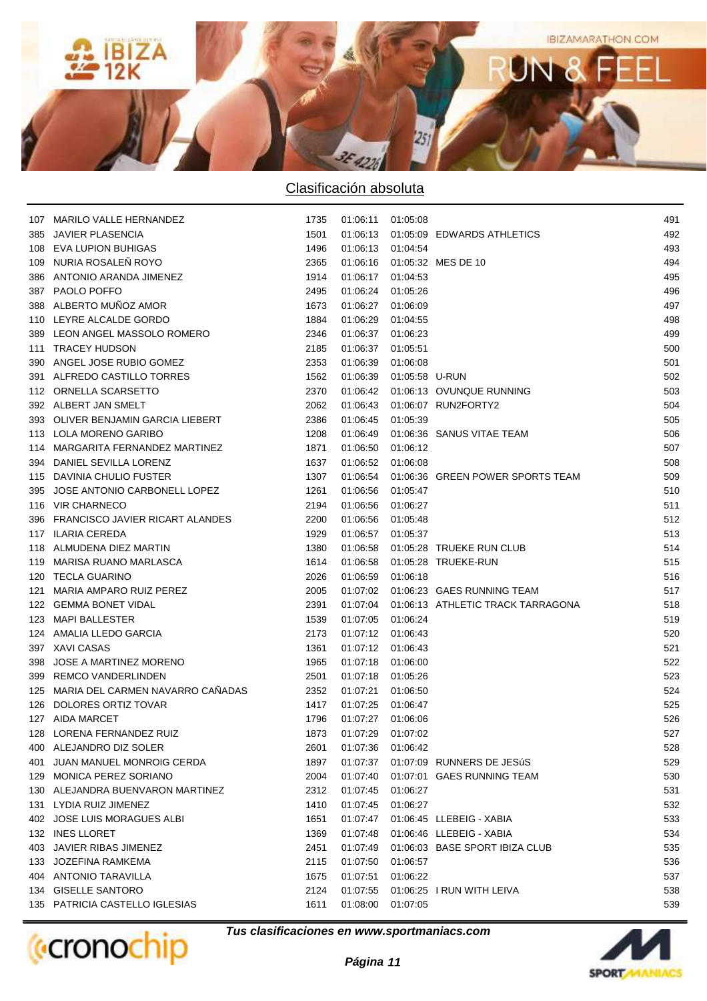

| 107 MARILO VALLE HERNANDEZ           | 1735 | 01:06:11 01:05:08 |                           |                                              | 491 |
|--------------------------------------|------|-------------------|---------------------------|----------------------------------------------|-----|
| 385 JAVIER PLASENCIA                 | 1501 |                   |                           | 01:06:13  01:05:09  EDWARDS ATHLETICS        | 492 |
| 108 EVA LUPION BUHIGAS               | 1496 | 01:06:13 01:04:54 |                           |                                              | 493 |
| 109 NURIA ROSALEÑ ROYO               | 2365 |                   |                           | 01:06:16  01:05:32  MES DE 10                | 494 |
| 386 ANTONIO ARANDA JIMENEZ           | 1914 | 01:06:17 01:04:53 |                           |                                              | 495 |
| 387 PAOLO POFFO                      | 2495 | 01:06:24          | 01:05:26                  |                                              | 496 |
| 388 ALBERTO MUÑOZ AMOR               | 1673 | 01:06:27          | 01:06:09                  |                                              | 497 |
| 110 LEYRE ALCALDE GORDO              | 1884 | 01:06:29          | 01:04:55                  |                                              | 498 |
| 389 LEON ANGEL MASSOLO ROMERO        | 2346 | 01:06:37          | 01:06:23                  |                                              | 499 |
| 111 TRACEY HUDSON                    | 2185 | 01:06:37          | 01:05:51                  |                                              | 500 |
| 390 ANGEL JOSE RUBIO GOMEZ           | 2353 | 01:06:39          | 01:06:08                  |                                              | 501 |
| 391 ALFREDO CASTILLO TORRES          | 1562 |                   | 01:06:39  01:05:58  U-RUN |                                              | 502 |
| 112 ORNELLA SCARSETTO                | 2370 |                   |                           | 01:06:42  01:06:13  OVUNQUE RUNNING          | 503 |
| 392 ALBERT JAN SMELT                 | 2062 | 01:06:43          |                           | 01:06:07 RUN2FORTY2                          | 504 |
| 393 OLIVER BENJAMIN GARCIA LIEBERT   | 2386 | 01:06:45          | 01:05:39                  |                                              | 505 |
| 113 LOLA MORENO GARIBO               | 1208 | 01:06:49          |                           | 01:06:36 SANUS VITAE TEAM                    | 506 |
| 114 MARGARITA FERNANDEZ MARTINEZ     | 1871 | 01:06:50          | 01:06:12                  |                                              | 507 |
| 394 DANIEL SEVILLA LORENZ            | 1637 | 01:06:52          | 01:06:08                  |                                              | 508 |
| 115 DAVINIA CHULIO FUSTER            | 1307 | 01:06:54          |                           | 01:06:36 GREEN POWER SPORTS TEAM             | 509 |
| 395 JOSE ANTONIO CARBONELL LOPEZ     | 1261 | 01:06:56          | 01:05:47                  |                                              | 510 |
| 116 VIR CHARNECO                     | 2194 | 01:06:56          | 01:06:27                  |                                              | 511 |
| 396 FRANCISCO JAVIER RICART ALANDES  | 2200 | 01:06:56          | 01:05:48                  |                                              | 512 |
| 117 ILARIA CEREDA                    | 1929 | 01:06:57 01:05:37 |                           |                                              | 513 |
| 118 ALMUDENA DIEZ MARTIN             | 1380 |                   |                           | 01:06:58  01:05:28  TRUEKE RUN CLUB          | 514 |
| 119 MARISA RUANO MARLASCA            | 1614 |                   |                           | 01:06:58  01:05:28  TRUEKE-RUN               | 515 |
| 120 TECLA GUARINO                    | 2026 | 01:06:59          | 01:06:18                  |                                              | 516 |
| 121 MARIA AMPARO RUIZ PEREZ          | 2005 |                   |                           | 01:07:02  01:06:23  GAES RUNNING TEAM        | 517 |
| 122 GEMMA BONET VIDAL                | 2391 |                   |                           | 01:07:04  01:06:13  ATHLETIC TRACK TARRAGONA | 518 |
| 123 MAPI BALLESTER                   | 1539 | 01:07:05 01:06:24 |                           |                                              | 519 |
| 124 AMALIA LLEDO GARCIA              | 2173 | 01:07:12 01:06:43 |                           |                                              | 520 |
| 397 XAVI CASAS                       | 1361 | 01:07:12 01:06:43 |                           |                                              | 521 |
| 398 JOSE A MARTINEZ MORENO           | 1965 | 01:07:18 01:06:00 |                           |                                              | 522 |
| 399 REMCO VANDERLINDEN               | 2501 | 01:07:18 01:05:26 |                           |                                              | 523 |
| 125 MARIA DEL CARMEN NAVARRO CANADAS | 2352 | 01:07:21          | 01:06:50                  |                                              | 524 |
| 126 DOLORES ORTIZ TOVAR              | 1417 | 01:07:25 01:06:47 |                           |                                              | 525 |
| 127 AIDA MARCET                      | 1796 | 01:07:27 01:06:06 |                           |                                              | 526 |
| 128 LORENA FERNANDEZ RUIZ            | 1873 | 01:07:29 01:07:02 |                           |                                              | 527 |
| 400 ALEJANDRO DIZ SOLER              | 2601 | 01:07:36          | 01:06:42                  |                                              | 528 |
| 401 JUAN MANUEL MONROIG CERDA        | 1897 | 01:07:37          |                           | 01:07:09 RUNNERS DE JESúS                    | 529 |
| 129 MONICA PEREZ SORIANO             | 2004 | 01:07:40          |                           | 01:07:01 GAES RUNNING TEAM                   | 530 |
| 130 ALEJANDRA BUENVARON MARTINEZ     | 2312 | 01:07:45          | 01:06:27                  |                                              | 531 |
| 131 LYDIA RUIZ JIMENEZ               | 1410 | 01:07:45          | 01:06:27                  |                                              | 532 |
| 402 JOSE LUIS MORAGUES ALBI          | 1651 | 01:07:47          |                           | 01:06:45 LLEBEIG - XABIA                     | 533 |
| 132 INES LLORET                      | 1369 | 01:07:48          |                           | 01:06:46 LLEBEIG - XABIA                     | 534 |
| 403 JAVIER RIBAS JIMENEZ             | 2451 | 01:07:49          |                           | 01:06:03 BASE SPORT IBIZA CLUB               | 535 |
| 133 JOZEFINA RAMKEMA                 | 2115 | 01:07:50          | 01:06:57                  |                                              | 536 |
| 404 ANTONIO TARAVILLA                | 1675 | 01:07:51          | 01:06:22                  |                                              | 537 |
| 134 GISELLE SANTORO                  | 2124 | 01:07:55          |                           | 01:06:25 I RUN WITH LEIVA                    | 538 |
| 135 PATRICIA CASTELLO IGLESIAS       | 1611 | 01:08:00          | 01:07:05                  |                                              | 539 |
|                                      |      |                   |                           |                                              |     |



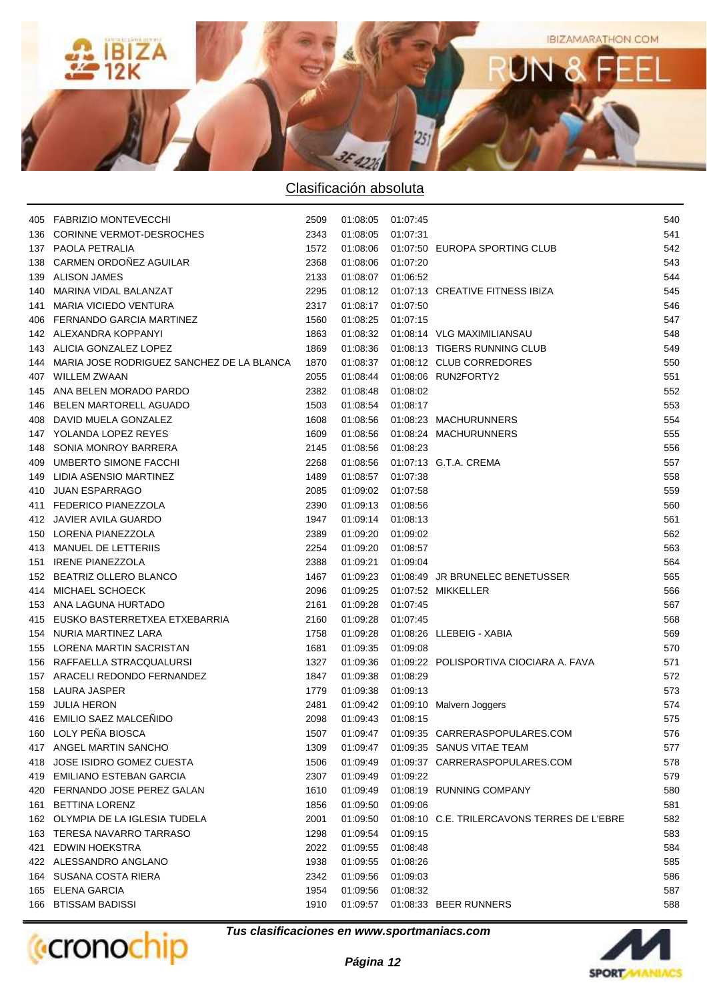

|     | 405 FABRIZIO MONTEVECCHI                  | 2509 | 01:08:05 01:07:45 |          |                                             | 540 |
|-----|-------------------------------------------|------|-------------------|----------|---------------------------------------------|-----|
| 136 | CORINNE VERMOT-DESROCHES                  | 2343 | 01:08:05          | 01:07:31 |                                             | 541 |
|     | 137 PAOLA PETRALIA                        | 1572 | 01:08:06          |          | 01:07:50 EUROPA SPORTING CLUB               | 542 |
| 138 | CARMEN ORDOÑEZ AGUILAR                    | 2368 | 01:08:06          | 01:07:20 |                                             | 543 |
| 139 | ALISON JAMES                              | 2133 | 01:08:07          | 01:06:52 |                                             | 544 |
|     | 140 MARINA VIDAL BALANZAT                 | 2295 | 01:08:12          |          | 01:07:13 CREATIVE FITNESS IBIZA             | 545 |
| 141 | <b>MARIA VICIEDO VENTURA</b>              | 2317 | 01:08:17          | 01:07:50 |                                             | 546 |
| 406 | FERNANDO GARCIA MARTINEZ                  | 1560 | 01:08:25          | 01:07:15 |                                             | 547 |
|     | 142 ALEXANDRA KOPPANYI                    | 1863 | 01:08:32          |          | 01:08:14 VLG MAXIMILIANSAU                  | 548 |
|     | 143 ALICIA GONZALEZ LOPEZ                 | 1869 |                   |          | 01:08:36  01:08:13  TIGERS RUNNING CLUB     | 549 |
| 144 | MARIA JOSE RODRIGUEZ SANCHEZ DE LA BLANCA | 1870 | 01:08:37          |          | 01:08:12 CLUB CORREDORES                    | 550 |
| 407 | <b>WILLEM ZWAAN</b>                       | 2055 | 01:08:44          |          | 01:08:06 RUN2FORTY2                         | 551 |
| 145 | ANA BELEN MORADO PARDO                    | 2382 | 01:08:48          | 01:08:02 |                                             | 552 |
| 146 | BELEN MARTORELL AGUADO                    | 1503 | 01:08:54          | 01:08:17 |                                             | 553 |
|     | 408 DAVID MUELA GONZALEZ                  | 1608 | 01:08:56          |          | 01:08:23 MACHURUNNERS                       | 554 |
|     | 147 YOLANDA LOPEZ REYES                   | 1609 |                   |          | 01:08:56  01:08:24  MACHURUNNERS            | 555 |
| 148 | SONIA MONROY BARRERA                      | 2145 | 01:08:56 01:08:23 |          |                                             | 556 |
| 409 | UMBERTO SIMONE FACCHI                     | 2268 | 01:08:56          |          | 01:07:13 G.T.A. CREMA                       | 557 |
| 149 | LIDIA ASENSIO MARTINEZ                    | 1489 | 01:08:57          | 01:07:38 |                                             | 558 |
|     | 410 JUAN ESPARRAGO                        | 2085 | 01:09:02          | 01:07:58 |                                             | 559 |
| 411 | <b>FEDERICO PIANEZZOLA</b>                | 2390 | 01:09:13          | 01:08:56 |                                             | 560 |
|     | 412 JAVIER AVILA GUARDO                   | 1947 | 01:09:14          | 01:08:13 |                                             | 561 |
|     | 150 LORENA PIANEZZOLA                     | 2389 | 01:09:20          | 01:09:02 |                                             | 562 |
|     | 413 MANUEL DE LETTERIIS                   | 2254 | 01:09:20          | 01:08:57 |                                             | 563 |
| 151 | <b>IRENE PIANEZZOLA</b>                   | 2388 | 01:09:21          | 01:09:04 |                                             | 564 |
|     | 152 BEATRIZ OLLERO BLANCO                 | 1467 | 01:09:23          |          | 01:08:49 JR BRUNELEC BENETUSSER             | 565 |
|     | 414 MICHAEL SCHOECK                       | 2096 | 01:09:25          |          | 01:07:52 MIKKELLER                          | 566 |
|     | 153 ANA LAGUNA HURTADO                    | 2161 | 01:09:28          | 01:07:45 |                                             | 567 |
|     | 415 EUSKO BASTERRETXEA ETXEBARRIA         | 2160 | 01:09:28          | 01:07:45 |                                             | 568 |
|     | 154 NURIA MARTINEZ LARA                   | 1758 | 01:09:28          |          | 01:08:26 LLEBEIG - XABIA                    | 569 |
|     | 155 LORENA MARTIN SACRISTAN               | 1681 | 01:09:35          | 01:09:08 |                                             | 570 |
|     | 156 RAFFAELLA STRACQUALURSI               | 1327 | 01:09:36          |          | 01:09:22 POLISPORTIVA CIOCIARA A. FAVA      | 571 |
|     | 157 ARACELI REDONDO FERNANDEZ             | 1847 | 01:09:38          | 01:08:29 |                                             | 572 |
|     | 158 LAURA JASPER                          | 1779 | 01:09:38          | 01:09:13 |                                             | 573 |
|     | 159 JULIA HERON                           | 2481 |                   |          | 01:09:42  01:09:10  Malvern Joggers         | 574 |
|     | 416 EMILIO SAEZ MALCEÑIDO                 | 2098 | 01:09:43          | 01:08:15 |                                             | 575 |
|     | 160 LOLY PEÑA BIOSCA                      | 1507 |                   |          | 01:09:47  01:09:35  CARRERASPOPULARES.COM   | 576 |
|     | 417 ANGEL MARTIN SANCHO                   | 1309 | 01:09:47          |          | 01:09:35 SANUS VITAE TEAM                   | 577 |
|     | 418 JOSE ISIDRO GOMEZ CUESTA              | 1506 | 01:09:49          |          | 01:09:37 CARRERASPOPULARES.COM              | 578 |
|     | 419 EMILIANO ESTEBAN GARCIA               | 2307 | 01:09:49          | 01:09:22 |                                             | 579 |
|     | 420 FERNANDO JOSE PEREZ GALAN             | 1610 | 01:09:49          |          | 01:08:19 RUNNING COMPANY                    | 580 |
| 161 | <b>BETTINA LORENZ</b>                     | 1856 | 01:09:50          | 01:09:06 |                                             | 581 |
|     | 162 OLYMPIA DE LA IGLESIA TUDELA          | 2001 | 01:09:50          |          | 01:08:10 C.E. TRILERCAVONS TERRES DE L'EBRE | 582 |
|     | 163 TERESA NAVARRO TARRASO                | 1298 | 01:09:54          | 01:09:15 |                                             | 583 |
| 421 | EDWIN HOEKSTRA                            | 2022 | 01:09:55          | 01:08:48 |                                             | 584 |
|     | 422 ALESSANDRO ANGLANO                    | 1938 | 01:09:55          | 01:08:26 |                                             | 585 |
|     | 164 SUSANA COSTA RIERA                    | 2342 | 01:09:56          | 01:09:03 |                                             | 586 |
|     | 165 ELENA GARCIA                          | 1954 | 01:09:56          | 01:08:32 |                                             | 587 |
| 166 | <b>BTISSAM BADISSI</b>                    | 1910 | 01:09:57          |          | 01:08:33 BEER RUNNERS                       | 588 |
|     |                                           |      |                   |          |                                             |     |



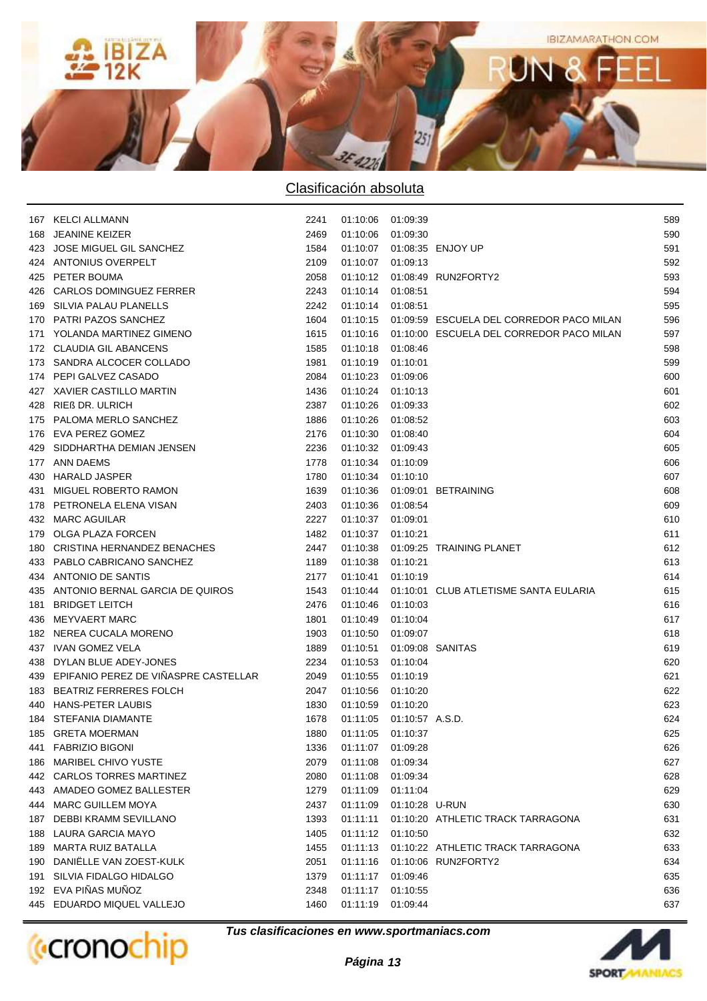

|     | 167 KELCI ALLMANN                        | 2241 | 01:10:06 01:09:39 |                            |                                                     | 589 |
|-----|------------------------------------------|------|-------------------|----------------------------|-----------------------------------------------------|-----|
| 168 | JEANINE KEIZER                           | 2469 | 01:10:06 01:09:30 |                            |                                                     | 590 |
|     | 423 JOSE MIGUEL GIL SANCHEZ              | 1584 |                   |                            | 01:10:07  01:08:35  ENJOY UP                        | 591 |
|     | 424 ANTONIUS OVERPELT                    | 2109 | 01:10:07 01:09:13 |                            |                                                     | 592 |
|     | 425 PETER BOUMA                          | 2058 |                   |                            | 01:10:12  01:08:49  RUN2FORTY2                      | 593 |
|     | 426 CARLOS DOMINGUEZ FERRER              | 2243 | 01:10:14 01:08:51 |                            |                                                     | 594 |
|     | 169 SILVIA PALAU PLANELLS                | 2242 | 01:10:14 01:08:51 |                            |                                                     | 595 |
|     | 170 PATRI PAZOS SANCHEZ                  | 1604 |                   |                            | 01:10:15  01:09:59  ESCUELA DEL CORREDOR PACO MILAN | 596 |
|     | 171 YOLANDA MARTINEZ GIMENO              | 1615 |                   |                            | 01:10:16  01:10:00  ESCUELA DEL CORREDOR PACO MILAN | 597 |
|     | 172 CLAUDIA GIL ABANCENS                 | 1585 | 01:10:18 01:08:46 |                            |                                                     | 598 |
|     | 173 SANDRA ALCOCER COLLADO               | 1981 | 01:10:19 01:10:01 |                            |                                                     | 599 |
|     | 174 PEPI GALVEZ CASADO                   | 2084 | 01:10:23 01:09:06 |                            |                                                     | 600 |
|     | 427 XAVIER CASTILLO MARTIN               | 1436 | 01:10:24 01:10:13 |                            |                                                     | 601 |
|     | 428 RIEß DR. ULRICH                      | 2387 | 01:10:26 01:09:33 |                            |                                                     | 602 |
|     | 175 PALOMA MERLO SANCHEZ                 | 1886 | 01:10:26 01:08:52 |                            |                                                     | 603 |
|     | 176 EVA PEREZ GOMEZ                      | 2176 | 01:10:30 01:08:40 |                            |                                                     | 604 |
|     | 429 SIDDHARTHA DEMIAN JENSEN             | 2236 | 01:10:32 01:09:43 |                            |                                                     | 605 |
|     | 177 ANN DAEMS                            | 1778 | 01:10:34 01:10:09 |                            |                                                     | 606 |
|     | 430 HARALD JASPER                        | 1780 | 01:10:34 01:10:10 |                            |                                                     | 607 |
|     | 431 MIGUEL ROBERTO RAMON                 | 1639 |                   |                            | 01:10:36  01:09:01  BETRAINING                      | 608 |
|     | 178 PETRONELA ELENA VISAN                | 2403 | 01:10:36 01:08:54 |                            |                                                     | 609 |
|     | 432 MARC AGUILAR                         | 2227 | 01:10:37 01:09:01 |                            |                                                     | 610 |
|     | 179 OLGA PLAZA FORCEN                    | 1482 | 01:10:37 01:10:21 |                            |                                                     | 611 |
|     | 180 CRISTINA HERNANDEZ BENACHES          | 2447 |                   |                            | 01:10:38  01:09:25  TRAINING PLANET                 | 612 |
|     | 433 PABLO CABRICANO SANCHEZ              | 1189 | 01:10:38 01:10:21 |                            |                                                     | 613 |
|     | 434 ANTONIO DE SANTIS                    | 2177 | 01:10:41          | 01:10:19                   |                                                     | 614 |
|     | 435 ANTONIO BERNAL GARCIA DE QUIROS      | 1543 | 01:10:44          |                            | 01:10:01 CLUB ATLETISME SANTA EULARIA               | 615 |
|     | 181 BRIDGET LEITCH                       | 2476 | 01:10:46          | 01:10:03                   |                                                     | 616 |
|     | 436 MEYVAERT MARC                        | 1801 | 01:10:49          | 01:10:04                   |                                                     | 617 |
|     | 182 NEREA CUCALA MORENO                  | 1903 | 01:10:50          | 01:09:07                   |                                                     | 618 |
|     | 437 IVAN GOMEZ VELA                      | 1889 | 01:10:51          |                            | 01:09:08 SANITAS                                    | 619 |
|     | 438 DYLAN BLUE ADEY-JONES                | 2234 | 01:10:53 01:10:04 |                            |                                                     | 620 |
|     | 439 EPIFANIO PEREZ DE VIÑASPRE CASTELLAR | 2049 | 01:10:55          | 01:10:19                   |                                                     | 621 |
|     | 183 BEATRIZ FERRERES FOLCH               | 2047 | 01:10:56          | 01:10:20                   |                                                     | 622 |
|     | 440 HANS-PETER LAUBIS                    | 1830 | 01:10:59 01:10:20 |                            |                                                     | 623 |
|     | 184 STEFANIA DIAMANTE                    | 1678 |                   | 01:11:05  01:10:57  A.S.D. |                                                     | 624 |
|     | 185 GRETA MOERMAN                        | 1880 | 01:11:05 01:10:37 |                            |                                                     | 625 |
|     | 441 FABRIZIO BIGONI                      | 1336 | 01:11:07          | 01:09:28                   |                                                     | 626 |
|     | 186 MARIBEL CHIVO YUSTE                  | 2079 | 01:11:08          | 01:09:34                   |                                                     | 627 |
|     | 442 CARLOS TORRES MARTINEZ               | 2080 | 01:11:08          | 01:09:34                   |                                                     | 628 |
|     | 443 AMADEO GOMEZ BALLESTER               | 1279 | 01:11:09          | 01:11:04                   |                                                     | 629 |
|     | 444 MARC GUILLEM MOYA                    | 2437 | 01:11:09          | 01:10:28 U-RUN             |                                                     | 630 |
|     | 187 DEBBI KRAMM SEVILLANO                | 1393 | 01:11:11          |                            | 01:10:20 ATHLETIC TRACK TARRAGONA                   | 631 |
|     | 188 LAURA GARCIA MAYO                    | 1405 | 01:11:12          | 01:10:50                   |                                                     | 632 |
|     | 189 MARTA RUIZ BATALLA                   | 1455 | 01:11:13          |                            | 01:10:22 ATHLETIC TRACK TARRAGONA                   | 633 |
|     | 190 DANIELLE VAN ZOEST-KULK              | 2051 | 01:11:16          |                            | 01:10:06 RUN2FORTY2                                 | 634 |
|     | 191 SILVIA FIDALGO HIDALGO               | 1379 | 01:11:17          | 01:09:46                   |                                                     | 635 |
|     | 192 EVA PIÑAS MUÑOZ                      | 2348 | 01:11:17          | 01:10:55                   |                                                     | 636 |
|     | 445 EDUARDO MIQUEL VALLEJO               | 1460 | 01:11:19          | 01:09:44                   |                                                     | 637 |
|     |                                          |      |                   |                            |                                                     |     |



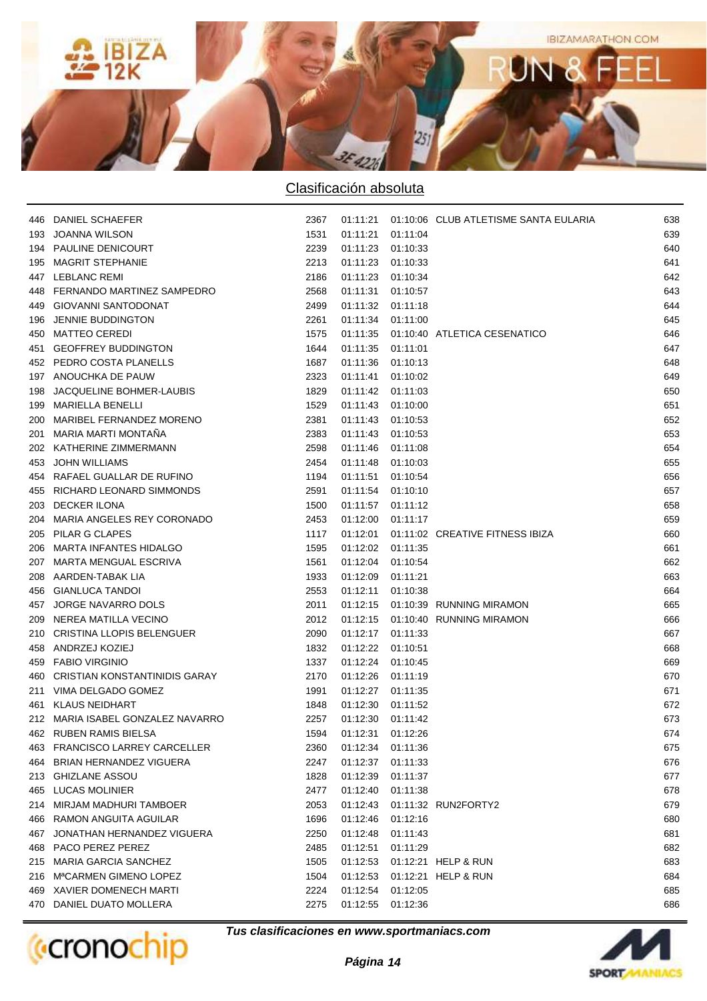

|     | 446 DANIEL SCHAEFER               | 2367 | 01:11:21          |          | 01:10:06 CLUB ATLETISME SANTA EULARIA | 638 |
|-----|-----------------------------------|------|-------------------|----------|---------------------------------------|-----|
| 193 | JOANNA WILSON                     | 1531 | 01:11:21          | 01:11:04 |                                       | 639 |
|     | 194 PAULINE DENICOURT             | 2239 | 01:11:23          | 01:10:33 |                                       | 640 |
| 195 | MAGRIT STEPHANIE                  | 2213 | 01:11:23          | 01:10:33 |                                       | 641 |
|     | 447 LEBLANC REMI                  | 2186 | 01:11:23          | 01:10:34 |                                       | 642 |
|     | 448 FERNANDO MARTINEZ SAMPEDRO    | 2568 | 01:11:31          | 01:10:57 |                                       | 643 |
| 449 | <b>GIOVANNI SANTODONAT</b>        | 2499 | 01:11:32          | 01:11:18 |                                       | 644 |
| 196 | JENNIE BUDDINGTON                 | 2261 | 01:11:34          | 01:11:00 |                                       | 645 |
|     | 450 MATTEO CEREDI                 | 1575 | 01:11:35          |          | 01:10:40 ATLETICA CESENATICO          | 646 |
| 451 | <b>GEOFFREY BUDDINGTON</b>        | 1644 | 01:11:35          | 01:11:01 |                                       | 647 |
|     | 452 PEDRO COSTA PLANELLS          | 1687 | 01:11:36          | 01:10:13 |                                       | 648 |
|     | 197 ANOUCHKA DE PAUW              | 2323 | 01:11:41          | 01:10:02 |                                       | 649 |
| 198 | JACQUELINE BOHMER-LAUBIS          | 1829 | 01:11:42          | 01:11:03 |                                       | 650 |
|     | 199 MARIELLA BENELLI              | 1529 | 01:11:43          | 01:10:00 |                                       | 651 |
|     | 200 MARIBEL FERNANDEZ MORENO      | 2381 | 01:11:43          | 01:10:53 |                                       | 652 |
| 201 | MARIA MARTI MONTAÑA               | 2383 | 01:11:43          | 01:10:53 |                                       | 653 |
|     | 202 KATHERINE ZIMMERMANN          | 2598 | 01:11:46          | 01:11:08 |                                       | 654 |
|     | 453 JOHN WILLIAMS                 | 2454 | 01:11:48          | 01:10:03 |                                       | 655 |
|     | 454 RAFAEL GUALLAR DE RUFINO      | 1194 | 01:11:51          | 01:10:54 |                                       | 656 |
|     | 455 RICHARD LEONARD SIMMONDS      | 2591 | 01:11:54          | 01:10:10 |                                       | 657 |
| 203 | DECKER ILONA                      | 1500 | 01:11:57          | 01:11:12 |                                       | 658 |
|     | 204 MARIA ANGELES REY CORONADO    | 2453 | 01:12:00 01:11:17 |          |                                       | 659 |
| 205 | PILAR G CLAPES                    | 1117 | 01:12:01          |          | 01:11:02 CREATIVE FITNESS IBIZA       | 660 |
| 206 | MARTA INFANTES HIDALGO            | 1595 | 01:12:02          | 01:11:35 |                                       | 661 |
| 207 | MARTA MENGUAL ESCRIVA             | 1561 | 01:12:04          | 01:10:54 |                                       | 662 |
| 208 | AARDEN-TABAK LIA                  | 1933 | 01:12:09          | 01:11:21 |                                       | 663 |
| 456 | <b>GIANLUCA TANDOI</b>            | 2553 | 01:12:11          | 01:10:38 |                                       | 664 |
| 457 | JORGE NAVARRO DOLS                | 2011 | 01:12:15          |          | 01:10:39 RUNNING MIRAMON              | 665 |
| 209 | NEREA MATILLA VECINO              | 2012 | 01:12:15          |          | 01:10:40 RUNNING MIRAMON              | 666 |
| 210 | <b>CRISTINA LLOPIS BELENGUER</b>  | 2090 | 01:12:17          | 01:11:33 |                                       | 667 |
| 458 | ANDRZEJ KOZIEJ                    | 1832 | 01:12:22          | 01:10:51 |                                       | 668 |
| 459 | FABIO VIRGINIO                    | 1337 | 01:12:24          | 01:10:45 |                                       | 669 |
|     | 460 CRISTIAN KONSTANTINIDIS GARAY | 2170 | 01:12:26          | 01:11:19 |                                       | 670 |
| 211 | VIMA DELGADO GOMEZ                | 1991 | 01:12:27          | 01:11:35 |                                       | 671 |
|     | 461 KLAUS NEIDHART                | 1848 | 01:12:30          | 01:11:52 |                                       | 672 |
|     | 212 MARIA ISABEL GONZALEZ NAVARRO | 2257 | 01:12:30          | 01:11:42 |                                       | 673 |
|     | 462 RUBEN RAMIS BIELSA            | 1594 | 01:12:31          | 01:12:26 |                                       | 674 |
|     | 463 FRANCISCO LARREY CARCELLER    | 2360 | 01:12:34          | 01:11:36 |                                       | 675 |
| 464 | BRIAN HERNANDEZ VIGUERA           | 2247 | 01:12:37          | 01:11:33 |                                       | 676 |
| 213 | <b>GHIZLANE ASSOU</b>             | 1828 | 01:12:39          | 01:11:37 |                                       | 677 |
| 465 | <b>LUCAS MOLINIER</b>             | 2477 | 01:12:40          | 01:11:38 |                                       | 678 |
| 214 | MIRJAM MADHURI TAMBOER            | 2053 | 01:12:43          |          | 01:11:32 RUN2FORTY2                   | 679 |
|     | 466 RAMON ANGUITA AGUILAR         | 1696 | 01:12:46          | 01:12:16 |                                       | 680 |
| 467 | JONATHAN HERNANDEZ VIGUERA        | 2250 | 01:12:48          | 01:11:43 |                                       | 681 |
| 468 | PACO PEREZ PEREZ                  | 2485 | 01:12:51          | 01:11:29 |                                       | 682 |
|     | 215 MARIA GARCIA SANCHEZ          | 1505 | 01:12:53          |          | 01:12:21 HELP & RUN                   | 683 |
|     | 216 MªCARMEN GIMENO LOPEZ         | 1504 | 01:12:53          |          | 01:12:21 HELP & RUN                   | 684 |
|     | 469 XAVIER DOMENECH MARTI         | 2224 | 01:12:54          | 01:12:05 |                                       | 685 |
|     | 470 DANIEL DUATO MOLLERA          | 2275 | 01:12:55          | 01:12:36 |                                       | 686 |
|     |                                   |      |                   |          |                                       |     |



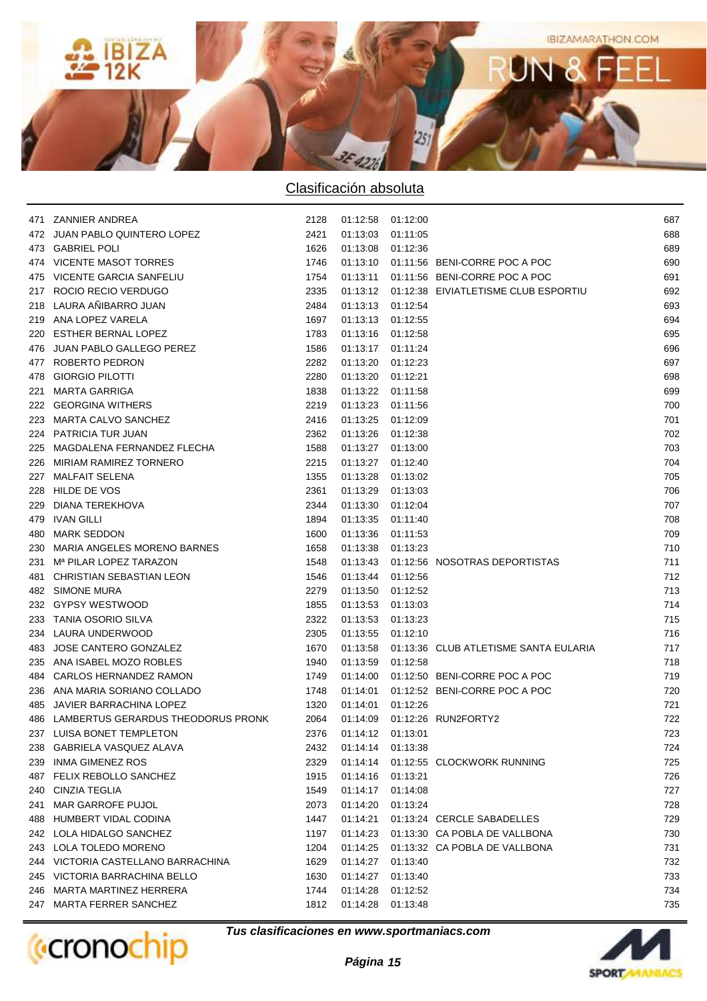

|     | 471 ZANNIER ANDREA                     | 2128 | 01:12:58 01:12:00 |          |                                                 | 687 |
|-----|----------------------------------------|------|-------------------|----------|-------------------------------------------------|-----|
|     | 472 JUAN PABLO QUINTERO LOPEZ          | 2421 | 01:13:03          | 01:11:05 |                                                 | 688 |
|     | 473 GABRIEL POLI                       | 1626 | 01:13:08 01:12:36 |          |                                                 | 689 |
|     | 474 VICENTE MASOT TORRES               | 1746 |                   |          | 01:13:10  01:11:56  BENI-CORRE POC A POC        | 690 |
|     | 475 VICENTE GARCIA SANFELIU            | 1754 |                   |          | 01:13:11  01:11:56  BENI-CORRE POC A POC        | 691 |
| 217 | ROCIO RECIO VERDUGO                    | 2335 |                   |          | 01:13:12  01:12:38  EIVIATLETISME CLUB ESPORTIU | 692 |
| 218 | LAURA AÑIBARRO JUAN                    | 2484 | 01:13:13 01:12:54 |          |                                                 | 693 |
|     | 219 ANA LOPEZ VARELA                   | 1697 | 01:13:13 01:12:55 |          |                                                 | 694 |
| 220 | <b>ESTHER BERNAL LOPEZ</b>             | 1783 | 01:13:16 01:12:58 |          |                                                 | 695 |
|     | 476 JUAN PABLO GALLEGO PEREZ           | 1586 | 01:13:17          | 01:11:24 |                                                 | 696 |
| 477 | ROBERTO PEDRON                         | 2282 | 01:13:20          | 01:12:23 |                                                 | 697 |
| 478 | <b>GIORGIO PILOTTI</b>                 | 2280 | 01:13:20          | 01:12:21 |                                                 | 698 |
| 221 | <b>MARTA GARRIGA</b>                   | 1838 | 01:13:22 01:11:58 |          |                                                 | 699 |
| 222 | <b>GEORGINA WITHERS</b>                | 2219 | 01:13:23          | 01:11:56 |                                                 | 700 |
| 223 | <b>MARTA CALVO SANCHEZ</b>             | 2416 | 01:13:25          | 01:12:09 |                                                 | 701 |
|     | 224 PATRICIA TUR JUAN                  | 2362 | 01:13:26          | 01:12:38 |                                                 | 702 |
| 225 | MAGDALENA FERNANDEZ FLECHA             | 1588 | 01:13:27          | 01:13:00 |                                                 | 703 |
| 226 | MIRIAM RAMIREZ TORNERO                 | 2215 | 01:13:27          | 01:12:40 |                                                 | 704 |
| 227 | <b>MALFAIT SELENA</b>                  | 1355 | 01:13:28          | 01:13:02 |                                                 | 705 |
| 228 | HILDE DE VOS                           | 2361 | 01:13:29          | 01:13:03 |                                                 | 706 |
| 229 | DIANA TEREKHOVA                        | 2344 | 01:13:30 01:12:04 |          |                                                 | 707 |
| 479 | IVAN GILLI                             | 1894 | 01:13:35          | 01:11:40 |                                                 | 708 |
|     | 480 MARK SEDDON                        | 1600 | 01:13:36 01:11:53 |          |                                                 | 709 |
|     | 230 MARIA ANGELES MORENO BARNES        | 1658 | 01:13:38 01:13:23 |          |                                                 | 710 |
|     | 231 M <sup>a</sup> PILAR LOPEZ TARAZON | 1548 |                   |          | 01:13:43  01:12:56  NOSOTRAS DEPORTISTAS        | 711 |
| 481 | CHRISTIAN SEBASTIAN LEON               | 1546 | 01:13:44          | 01:12:56 |                                                 | 712 |
|     | 482 SIMONE MURA                        | 2279 | 01:13:50          | 01:12:52 |                                                 | 713 |
|     | 232 GYPSY WESTWOOD                     | 1855 | 01:13:53          | 01:13:03 |                                                 | 714 |
|     | 233 TANIA OSORIO SILVA                 | 2322 | 01:13:53          | 01:13:23 |                                                 | 715 |
|     | 234 LAURA UNDERWOOD                    | 2305 | 01:13:55 01:12:10 |          |                                                 | 716 |
|     | 483 JOSE CANTERO GONZALEZ              | 1670 |                   |          | 01:13:58 01:13:36 CLUB ATLETISME SANTA EULARIA  | 717 |
|     | 235 ANA ISABEL MOZO ROBLES             | 1940 | 01:13:59          | 01:12:58 |                                                 | 718 |
|     | 484 CARLOS HERNANDEZ RAMON             | 1749 |                   |          | 01:14:00  01:12:50  BENI-CORRE POC A POC        | 719 |
|     | 236 ANA MARIA SORIANO COLLADO          | 1748 |                   |          | 01:14:01  01:12:52  BENI-CORRE POC A POC        | 720 |
|     | 485 JAVIER BARRACHINA LOPEZ            | 1320 | 01:14:01          | 01:12:26 |                                                 | 721 |
|     | 486 LAMBERTUS GERARDUS THEODORUS PRONK | 2064 | 01:14:09          |          | 01:12:26 RUN2FORTY2                             | 722 |
|     | 237 LUISA BONET TEMPLETON              | 2376 | 01:14:12 01:13:01 |          |                                                 | 723 |
| 238 | GABRIELA VASQUEZ ALAVA                 | 2432 | 01:14:14          | 01:13:38 |                                                 | 724 |
| 239 | <b>INMA GIMENEZ ROS</b>                | 2329 | 01:14:14          |          | 01:12:55 CLOCKWORK RUNNING                      | 725 |
|     | 487 FELIX REBOLLO SANCHEZ              | 1915 | 01:14:16          | 01:13:21 |                                                 | 726 |
|     | 240 CINZIA TEGLIA                      | 1549 | 01:14:17          | 01:14:08 |                                                 | 727 |
| 241 | MAR GARROFE PUJOL                      | 2073 | 01:14:20          | 01:13:24 |                                                 | 728 |
|     | 488 HUMBERT VIDAL CODINA               | 1447 | 01:14:21          |          | 01:13:24 CERCLE SABADELLES                      | 729 |
|     | 242 LOLA HIDALGO SANCHEZ               | 1197 | 01:14:23          |          | 01:13:30 CA POBLA DE VALLBONA                   | 730 |
|     | 243 LOLA TOLEDO MORENO                 | 1204 | 01:14:25          |          | 01:13:32 CA POBLA DE VALLBONA                   | 731 |
|     | 244 VICTORIA CASTELLANO BARRACHINA     | 1629 | 01:14:27          | 01:13:40 |                                                 | 732 |
|     | 245 VICTORIA BARRACHINA BELLO          | 1630 | 01:14:27          | 01:13:40 |                                                 | 733 |
|     | 246 MARTA MARTINEZ HERRERA             | 1744 | 01:14:28          | 01:12:52 |                                                 | 734 |
|     | 247 MARTA FERRER SANCHEZ               | 1812 | 01:14:28          | 01:13:48 |                                                 | 735 |
|     |                                        |      |                   |          |                                                 |     |



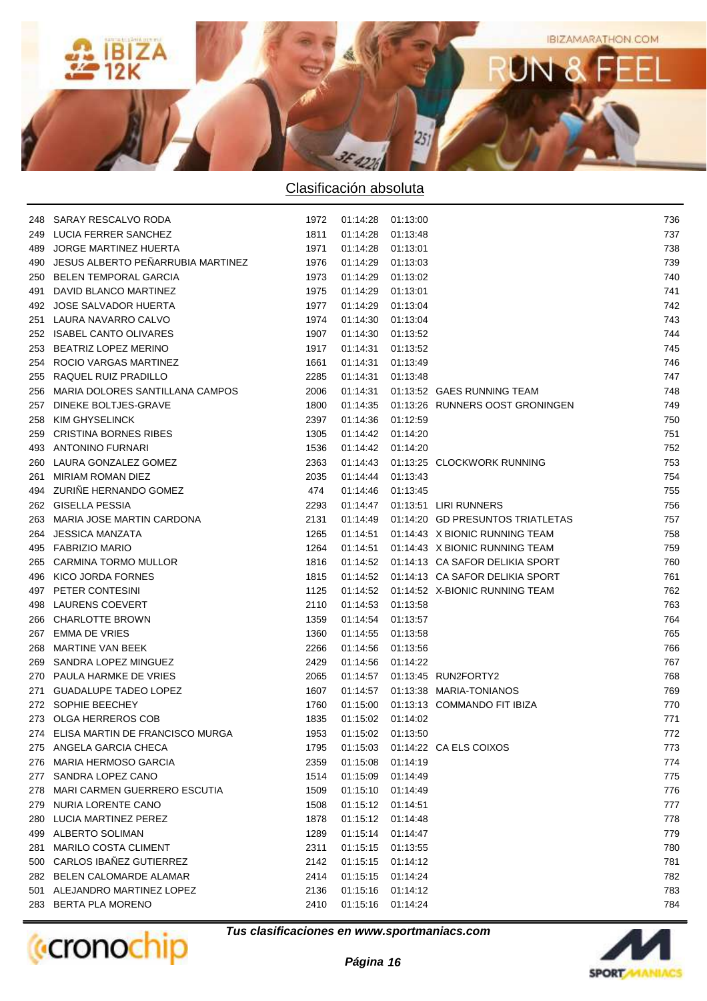

|     | 248 SARAY RESCALVO RODA             | 1972 | 01:14:28 01:13:00 |          |                                             | 736 |
|-----|-------------------------------------|------|-------------------|----------|---------------------------------------------|-----|
| 249 | LUCIA FERRER SANCHEZ                | 1811 | 01:14:28          | 01:13:48 |                                             | 737 |
| 489 | <b>JORGE MARTINEZ HUERTA</b>        | 1971 | 01:14:28          | 01:13:01 |                                             | 738 |
| 490 | JESUS ALBERTO PEÑARRUBIA MARTINEZ   | 1976 | 01:14:29          | 01:13:03 |                                             | 739 |
| 250 | <b>BELEN TEMPORAL GARCIA</b>        | 1973 | 01:14:29          | 01:13:02 |                                             | 740 |
| 491 | DAVID BLANCO MARTINEZ               | 1975 | 01:14:29          | 01:13:01 |                                             | 741 |
| 492 | <b>JOSE SALVADOR HUERTA</b>         | 1977 | 01:14:29          | 01:13:04 |                                             | 742 |
| 251 | LAURA NAVARRO CALVO                 | 1974 | 01:14:30          | 01:13:04 |                                             | 743 |
| 252 | <b>ISABEL CANTO OLIVARES</b>        | 1907 | 01:14:30          | 01:13:52 |                                             | 744 |
| 253 | BEATRIZ LOPEZ MERINO                | 1917 | 01:14:31          | 01:13:52 |                                             | 745 |
| 254 | ROCIO VARGAS MARTINEZ               | 1661 | 01:14:31          | 01:13:49 |                                             | 746 |
| 255 | RAQUEL RUIZ PRADILLO                | 2285 | 01:14:31          | 01:13:48 |                                             | 747 |
| 256 | MARIA DOLORES SANTILLANA CAMPOS     | 2006 | 01:14:31          |          | 01:13:52 GAES RUNNING TEAM                  | 748 |
| 257 | DINEKE BOLTJES-GRAVE                | 1800 |                   |          | 01:14:35  01:13:26  RUNNERS OOST GRONINGEN  | 749 |
| 258 | <b>KIM GHYSELINCK</b>               | 2397 | 01:14:36          | 01:12:59 |                                             | 750 |
| 259 | <b>CRISTINA BORNES RIBES</b>        | 1305 | 01:14:42          | 01:14:20 |                                             | 751 |
| 493 | <b>ANTONINO FURNARI</b>             | 1536 | 01:14:42          | 01:14:20 |                                             | 752 |
| 260 | LAURA GONZALEZ GOMEZ                | 2363 | 01:14:43          |          | 01:13:25 CLOCKWORK RUNNING                  | 753 |
| 261 | MIRIAM ROMAN DIEZ                   | 2035 | 01:14:44          | 01:13:43 |                                             | 754 |
| 494 | ZURIÑE HERNANDO GOMEZ               | 474  | 01:14:46          | 01:13:45 |                                             | 755 |
| 262 | <b>GISELLA PESSIA</b>               | 2293 | 01:14:47          |          | 01:13:51 LIRI RUNNERS                       | 756 |
| 263 | MARIA JOSE MARTIN CARDONA           | 2131 |                   |          | 01:14:49  01:14:20  GD PRESUNTOS TRIATLETAS | 757 |
| 264 | <b>JESSICA MANZATA</b>              | 1265 |                   |          | 01:14:51  01:14:43  X  BIONIC RUNNING TEAM  | 758 |
| 495 | <b>FABRIZIO MARIO</b>               | 1264 | 01:14:51          |          | 01:14:43 X BIONIC RUNNING TEAM              | 759 |
| 265 | CARMINA TORMO MULLOR                | 1816 |                   |          | 01:14:52 01:14:13 CA SAFOR DELIKIA SPORT    | 760 |
| 496 | KICO JORDA FORNES                   | 1815 |                   |          | 01:14:52  01:14:13  CA SAFOR DELIKIA SPORT  | 761 |
| 497 | PETER CONTESINI                     | 1125 |                   |          | 01:14:52  01:14:52  X-BIONIC RUNNING TEAM   | 762 |
| 498 | LAURENS COEVERT                     | 2110 | 01:14:53 01:13:58 |          |                                             | 763 |
| 266 | <b>CHARLOTTE BROWN</b>              | 1359 | 01:14:54          | 01:13:57 |                                             | 764 |
| 267 | <b>EMMA DE VRIES</b>                | 1360 | 01:14:55 01:13:58 |          |                                             | 765 |
| 268 | <b>MARTINE VAN BEEK</b>             | 2266 | 01:14:56          | 01:13:56 |                                             | 766 |
| 269 | SANDRA LOPEZ MINGUEZ                | 2429 | 01:14:56          | 01:14:22 |                                             | 767 |
|     | PAULA HARMKE DE VRIES               | 2065 |                   |          | 01:14:57  01:13:45  RUN2FORTY2              | 768 |
| 270 | <b>GUADALUPE TADEO LOPEZ</b>        | 1607 |                   |          | 01:14:57  01:13:38  MARIA TONIANOS          | 769 |
| 271 |                                     |      |                   |          |                                             |     |
| 272 | SOPHIE BEECHEY<br>OLGA HERREROS COB | 1760 | 01:15:02 01:14:02 |          | 01:15:00  01:13:13  COMMANDO FIT IBIZA      | 770 |
| 273 |                                     | 1835 | 01:15:02 01:13:50 |          |                                             | 771 |
|     | 274 ELISA MARTIN DE FRANCISCO MURGA | 1953 |                   |          |                                             | 772 |
|     | 275 ANGELA GARCIA CHECA             | 1795 | 01:15:03          |          | 01:14:22 CA ELS COIXOS                      | 773 |
| 276 | <b>MARIA HERMOSO GARCIA</b>         | 2359 | 01:15:08          | 01:14:19 |                                             | 774 |
| 277 | SANDRA LOPEZ CANO                   | 1514 | 01:15:09          | 01:14:49 |                                             | 775 |
| 278 | MARI CARMEN GUERRERO ESCUTIA        | 1509 | 01:15:10          | 01:14:49 |                                             | 776 |
| 279 | NURIA LORENTE CANO                  | 1508 | 01:15:12          | 01:14:51 |                                             | 777 |
| 280 | LUCIA MARTINEZ PEREZ                | 1878 | 01:15:12          | 01:14:48 |                                             | 778 |
| 499 | ALBERTO SOLIMAN                     | 1289 | 01:15:14          | 01:14:47 |                                             | 779 |
| 281 | MARILO COSTA CLIMENT                | 2311 | 01:15:15          | 01:13:55 |                                             | 780 |
| 500 | CARLOS IBAÑEZ GUTIERREZ             | 2142 | 01:15:15          | 01:14:12 |                                             | 781 |
| 282 | BELEN CALOMARDE ALAMAR              | 2414 | 01:15:15          | 01:14:24 |                                             | 782 |
|     | 501 ALEJANDRO MARTINEZ LOPEZ        | 2136 | 01:15:16          | 01:14:12 |                                             | 783 |
| 283 | <b>BERTA PLA MORENO</b>             | 2410 | 01:15:16          | 01:14:24 |                                             | 784 |



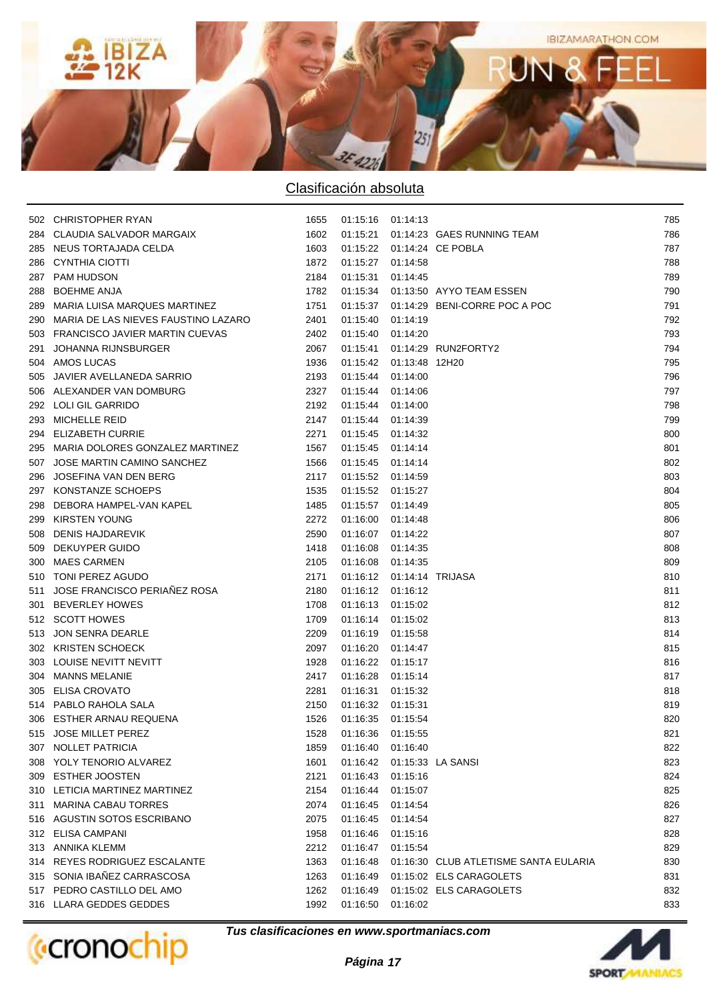

|     | 502 CHRISTOPHER RYAN                    | 1655 | 01:15:16 01:14:13           |          |                                          | 785 |
|-----|-----------------------------------------|------|-----------------------------|----------|------------------------------------------|-----|
|     | 284 CLAUDIA SALVADOR MARGAIX            | 1602 |                             |          | 01:15:21  01:14:23  GAES RUNNING TEAM    | 786 |
|     | 285 NEUS TORTAJADA CELDA                | 1603 |                             |          | 01:15:22  01:14:24  CE POBLA             | 787 |
| 286 | CYNTHIA CIOTTI                          | 1872 | 01:15:27 01:14:58           |          |                                          | 788 |
|     | 287 PAM HUDSON                          | 2184 | 01:15:31                    | 01:14:45 |                                          | 789 |
|     | 288 BOEHME ANJA                         | 1782 |                             |          | 01:15:34  01:13:50  AYYO TEAM ESSEN      | 790 |
|     | 289 MARIA LUISA MARQUES MARTINEZ        | 1751 |                             |          | 01:15:37  01:14:29  BENI-CORRE POC A POC | 791 |
|     | 290 MARIA DE LAS NIEVES FAUSTINO LAZARO | 2401 | 01:15:40 01:14:19           |          |                                          | 792 |
|     | 503 FRANCISCO JAVIER MARTIN CUEVAS      | 2402 | 01:15:40 01:14:20           |          |                                          | 793 |
| 291 | <b>JOHANNA RIJNSBURGER</b>              | 2067 | 01.15.41                    |          | 01:14:29 RUN2FORTY2                      | 794 |
|     | 504 AMOS LUCAS                          | 1936 | 01:15:42  01:13:48  12H20   |          |                                          | 795 |
|     | 505 JAVIER AVELLANEDA SARRIO            | 2193 | 01:15:44 01:14:00           |          |                                          | 796 |
|     | 506 ALEXANDER VAN DOMBURG               | 2327 | 01:15:44 01:14:06           |          |                                          | 797 |
|     | 292 LOLI GIL GARRIDO                    | 2192 | 01:15:44 01:14:00           |          |                                          | 798 |
|     | 293 MICHELLE REID                       | 2147 | 01:15:44 01:14:39           |          |                                          | 799 |
|     | 294 ELIZABETH CURRIE                    | 2271 | 01:15:45 01:14:32           |          |                                          | 800 |
|     | 295 MARIA DOLORES GONZALEZ MARTINEZ     | 1567 | 01:15:45 01:14:14           |          |                                          | 801 |
|     | 507 JOSE MARTIN CAMINO SANCHEZ          | 1566 | 01:15:45 01:14:14           |          |                                          | 802 |
| 296 | JOSEFINA VAN DEN BERG                   | 2117 | 01:15:52 01:14:59           |          |                                          | 803 |
|     | 297 KONSTANZE SCHOEPS                   | 1535 | 01:15:52 01:15:27           |          |                                          | 804 |
| 298 | DEBORA HAMPEL-VAN KAPEL                 | 1485 | 01:15:57 01:14:49           |          |                                          | 805 |
|     | 299 KIRSTEN YOUNG                       | 2272 | 01:16:00 01:14:48           |          |                                          | 806 |
|     | 508 DENIS HAJDAREVIK                    | 2590 | 01:16:07 01:14:22           |          |                                          | 807 |
|     | 509 DEKUYPER GUIDO                      | 1418 | 01:16:08 01:14:35           |          |                                          | 808 |
|     | 300 MAES CARMEN                         | 2105 | 01:16:08 01:14:35           |          |                                          | 809 |
|     | 510 TONI PEREZ AGUDO                    | 2171 | 01:16:12  01:14:14  TRIJASA |          |                                          | 810 |
|     | 511 JOSE FRANCISCO PERIAÑEZ ROSA        | 2180 | 01:16:12 01:16:12           |          |                                          | 811 |
|     | 301 BEVERLEY HOWES                      | 1708 | 01:16:13 01:15:02           |          |                                          | 812 |
|     | 512 SCOTT HOWES                         | 1709 | 01:16:14 01:15:02           |          |                                          | 813 |
|     | 513 JON SENRA DEARLE                    | 2209 | 01:16:19 01:15:58           |          |                                          | 814 |
|     | 302 KRISTEN SCHOECK                     | 2097 | 01:16:20 01:14:47           |          |                                          | 815 |
|     | 303 LOUISE NEVITT NEVITT                | 1928 | 01:16:22 01:15:17           |          |                                          | 816 |
|     | 304 MANNS MELANIE                       | 2417 | 01:16:28                    | 01:15:14 |                                          | 817 |
|     | 305 ELISA CROVATO                       | 2281 | 01:16:31                    | 01:15:32 |                                          | 818 |
|     | 514 PABLO RAHOLA SALA                   | 2150 | 01:16:32 01:15:31           |          |                                          | 819 |
|     | 306 ESTHER ARNAU REQUENA                | 1526 | 01:16:35 01:15:54           |          |                                          | 820 |
|     | 515 JOSE MILLET PEREZ                   | 1528 | 01:16:36 01:15:55           |          |                                          | 821 |
|     | 307 NOLLET PATRICIA                     | 1859 | 01:16:40                    | 01:16:40 |                                          | 822 |
|     | 308 YOLY TENORIO ALVAREZ                | 1601 | 01:16:42                    |          | 01:15:33 LA SANSI                        | 823 |
|     | 309 ESTHER JOOSTEN                      | 2121 | 01:16:43                    | 01:15:16 |                                          | 824 |
|     | 310 LETICIA MARTINEZ MARTINEZ           | 2154 | 01:16:44                    | 01:15:07 |                                          | 825 |
|     | 311 MARINA CABAU TORRES                 | 2074 | 01:16:45                    | 01:14:54 |                                          | 826 |
|     | 516 AGUSTIN SOTOS ESCRIBANO             | 2075 | 01:16:45                    | 01:14:54 |                                          | 827 |
|     | 312 ELISA CAMPANI                       | 1958 | 01:16:46                    | 01:15:16 |                                          | 828 |
|     | 313 ANNIKA KLEMM                        | 2212 | 01:16:47                    | 01:15:54 |                                          | 829 |
|     | 314 REYES RODRIGUEZ ESCALANTE           | 1363 | 01:16:48                    |          | 01:16:30 CLUB ATLETISME SANTA EULARIA    | 830 |
|     | 315 SONIA IBAÑEZ CARRASCOSA             | 1263 | 01:16:49                    |          | 01:15:02 ELS CARAGOLETS                  | 831 |
|     | 517 PEDRO CASTILLO DEL AMO              | 1262 | 01:16:49                    |          | 01:15:02 ELS CARAGOLETS                  | 832 |
|     | 316 LLARA GEDDES GEDDES                 | 1992 | 01:16:50                    | 01:16:02 |                                          | 833 |



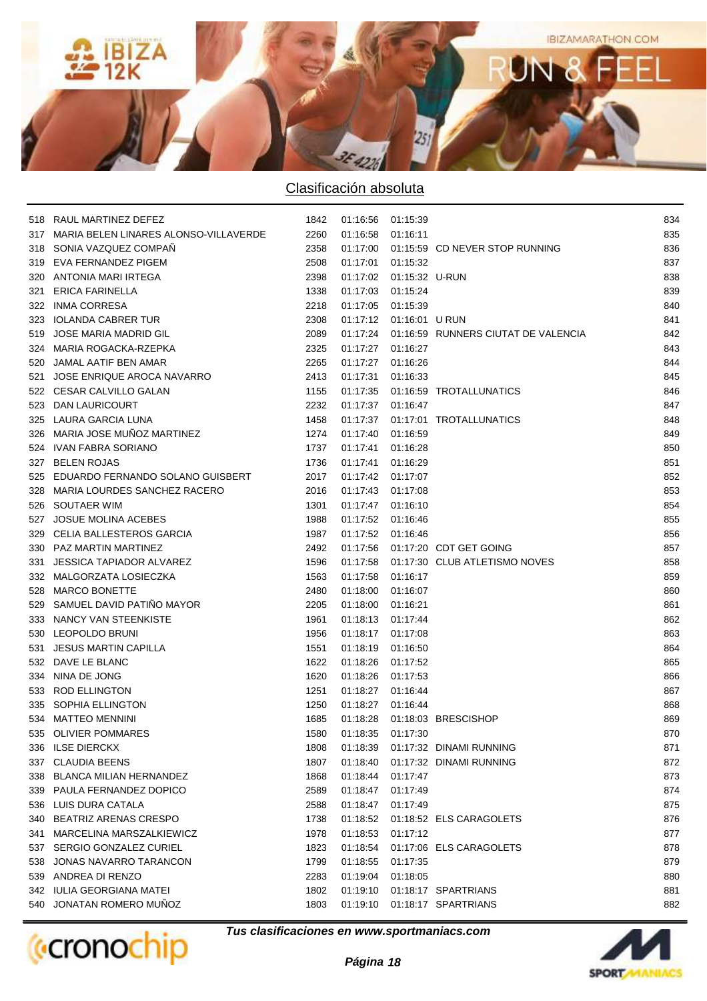

|     | 518 RAUL MARTINEZ DEFEZ                   | 1842 | 01:16:56 01:15:39 |                           |                                              | 834 |
|-----|-------------------------------------------|------|-------------------|---------------------------|----------------------------------------------|-----|
|     | 317 MARIA BELEN LINARES ALONSO-VILLAVERDE | 2260 | 01:16:58 01:16:11 |                           |                                              | 835 |
|     | 318 SONIA VAZQUEZ COMPAÑ                  | 2358 |                   |                           | 01:17:00  01:15:59  CD NEVER STOP RUNNING    | 836 |
|     | 319 EVA FERNANDEZ PIGEM                   | 2508 | 01:17:01 01:15:32 |                           |                                              | 837 |
|     | 320 ANTONIA MARI IRTEGA                   | 2398 |                   | 01:17:02  01:15:32  U-RUN |                                              | 838 |
| 321 | <b>ERICA FARINELLA</b>                    | 1338 | 01:17:03 01:15:24 |                           |                                              | 839 |
|     | 322 INMA CORRESA                          | 2218 | 01:17:05 01:15:39 |                           |                                              | 840 |
|     | 323 IOLANDA CABRER TUR                    | 2308 |                   | 01:17:12  01:16:01  URUN  |                                              | 841 |
|     | 519 JOSE MARIA MADRID GIL                 | 2089 |                   |                           | 01:17:24 01:16:59 RUNNERS CIUTAT DE VALENCIA | 842 |
|     | 324 MARIA ROGACKA-RZEPKA                  | 2325 | 01:17:27 01:16:27 |                           |                                              | 843 |
|     | 520 JAMAL AATIF BEN AMAR                  | 2265 | 01:17:27 01:16:26 |                           |                                              | 844 |
| 521 | JOSE ENRIQUE AROCA NAVARRO                | 2413 | 01:17:31 01:16:33 |                           |                                              | 845 |
|     | 522 CESAR CALVILLO GALAN                  | 1155 |                   |                           | 01:17:35   01:16:59   TROTALLUNATICS         | 846 |
|     | 523 DAN LAURICOURT                        | 2232 | 01:17:37 01:16:47 |                           |                                              | 847 |
|     | 325 LAURA GARCIA LUNA                     | 1458 |                   |                           | 01:17:37    01:17:01    TROTALLUNATICS       | 848 |
|     | 326 MARIA JOSE MUÑOZ MARTINEZ             | 1274 | 01:17:40          | 01:16:59                  |                                              | 849 |
|     | 524 IVAN FABRA SORIANO                    | 1737 | 01:17:41          | 01:16:28                  |                                              | 850 |
|     | 327 BELEN ROJAS                           | 1736 | 01:17:41          | 01:16:29                  |                                              | 851 |
|     | 525 EDUARDO FERNANDO SOLANO GUISBERT      | 2017 | 01:17:42 01:17:07 |                           |                                              | 852 |
|     | 328 MARIA LOURDES SANCHEZ RACERO          | 2016 | 01:17:43          | 01:17:08                  |                                              | 853 |
|     | 526 SOUTAER WIM                           | 1301 | 01:17:47 01:16:10 |                           |                                              | 854 |
|     | 527 JOSUE MOLINA ACEBES                   | 1988 | 01:17:52 01:16:46 |                           |                                              | 855 |
|     | 329 CELIA BALLESTEROS GARCIA              | 1987 | 01:17:52 01:16:46 |                           |                                              | 856 |
|     | 330 PAZ MARTIN MARTINEZ                   | 2492 |                   |                           | 01:17:56  01:17:20  CDT GET GOING            | 857 |
|     | 331 JESSICA TAPIADOR ALVAREZ              | 1596 |                   |                           | 01:17:58  01:17:30  CLUB ATLETISMO NOVES     | 858 |
|     | 332 MALGORZATA LOSIECZKA                  | 1563 | 01:17:58 01:16:17 |                           |                                              | 859 |
|     | 528 MARCO BONETTE                         | 2480 | 01:18:00          | 01:16:07                  |                                              | 860 |
|     | 529 SAMUEL DAVID PATIÑO MAYOR             | 2205 | 01:18:00          | 01:16:21                  |                                              | 861 |
|     | 333 NANCY VAN STEENKISTE                  | 1961 | 01:18:13 01:17:44 |                           |                                              | 862 |
|     | 530 LEOPOLDO BRUNI                        | 1956 | 01:18:17          | 01:17:08                  |                                              | 863 |
| 531 | JESUS MARTIN CAPILLA                      | 1551 | 01:18:19          | 01:16:50                  |                                              | 864 |
|     | 532 DAVE LE BLANC                         | 1622 | 01:18:26          | 01:17:52                  |                                              | 865 |
|     | 334 NINA DE JONG                          | 1620 | 01:18:26          | 01:17:53                  |                                              | 866 |
|     | 533 ROD ELLINGTON                         | 1251 | 01:18:27          | 01:16:44                  |                                              | 867 |
|     | 335 SOPHIA ELLINGTON                      | 1250 | 01:18:27 01:16:44 |                           |                                              | 868 |
|     | 534 MATTEO MENNINI                        | 1685 |                   |                           | 01:18:28  01:18:03  BRESCISHOP               | 869 |
|     | 535 OLIVIER POMMARES                      | 1580 | 01:18:35 01:17:30 |                           |                                              | 870 |
|     | 336 ILSE DIERCKX                          | 1808 | 01:18:39          |                           | 01:17:32 DINAMI RUNNING                      | 871 |
|     | 337 CLAUDIA BEENS                         | 1807 | 01:18:40          |                           | 01:17:32 DINAMI RUNNING                      | 872 |
|     | 338 BLANCA MILIAN HERNANDEZ               | 1868 | 01:18:44          | 01:17:47                  |                                              | 873 |
|     | 339 PAULA FERNANDEZ DOPICO                | 2589 | 01:18:47          | 01:17:49                  |                                              | 874 |
|     | 536 LUIS DURA CATALA                      | 2588 | 01:18:47          | 01:17:49                  |                                              | 875 |
|     | 340 BEATRIZ ARENAS CRESPO                 | 1738 | 01:18:52          |                           | 01:18:52 ELS CARAGOLETS                      | 876 |
| 341 | MARCELINA MARSZALKIEWICZ                  | 1978 | 01:18:53          | 01:17:12                  |                                              | 877 |
| 537 | SERGIO GONZALEZ CURIEL                    | 1823 | 01:18:54          |                           | 01:17:06 ELS CARAGOLETS                      | 878 |
| 538 | JONAS NAVARRO TARANCON                    | 1799 | 01:18:55          | 01:17:35                  |                                              | 879 |
| 539 | ANDREA DI RENZO                           | 2283 | 01:19:04          | 01:18:05                  |                                              | 880 |
|     | 342 IULIA GEORGIANA MATEI                 | 1802 | 01:19:10          |                           | 01:18:17 SPARTRIANS                          | 881 |
|     | 540 JONATAN ROMERO MUNOZ                  | 1803 | 01:19:10          |                           | 01:18:17 SPARTRIANS                          | 882 |
|     |                                           |      |                   |                           |                                              |     |



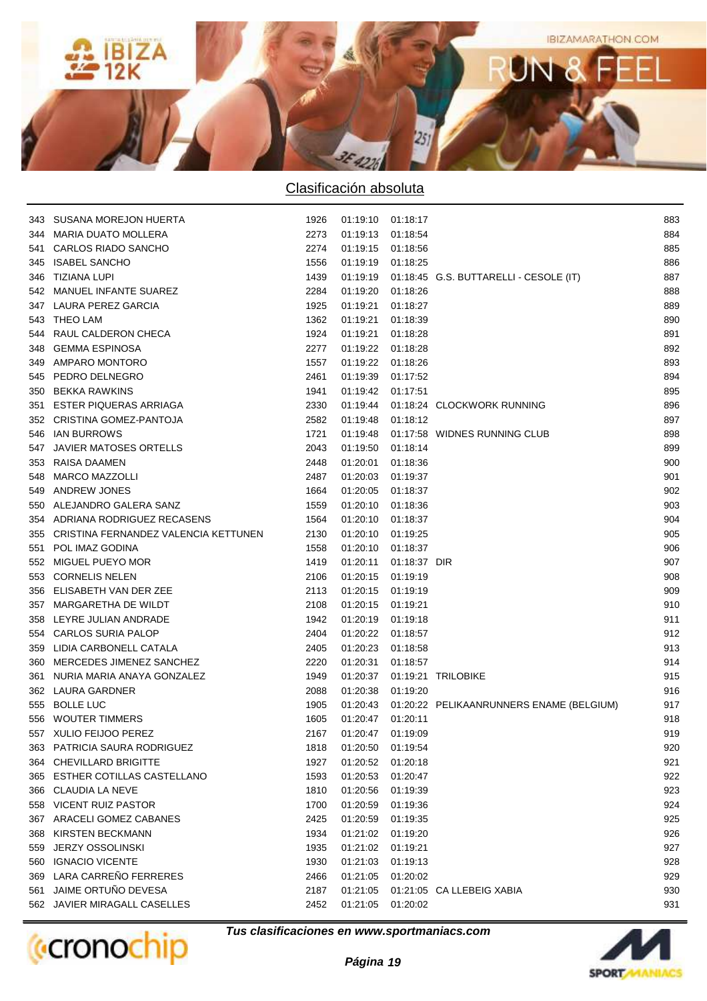

|     | 343 SUSANA MOREJON HUERTA                | 1926 | 01:19:10 01:18:17 |              |                                                     | 883 |
|-----|------------------------------------------|------|-------------------|--------------|-----------------------------------------------------|-----|
|     | 344 MARIA DUATO MOLLERA                  | 2273 | 01:19:13          | 01:18:54     |                                                     | 884 |
| 541 | <b>CARLOS RIADO SANCHO</b>               | 2274 | 01:19:15          | 01:18:56     |                                                     | 885 |
| 345 | <b>ISABEL SANCHO</b>                     | 1556 | 01:19:19          | 01:18:25     |                                                     | 886 |
| 346 | TIZIANA LUPI                             | 1439 | 01:19:19          |              | 01:18:45 G.S. BUTTARELLI - CESOLE (IT)              | 887 |
|     | 542 MANUEL INFANTE SUAREZ                | 2284 | 01:19:20          | 01:18:26     |                                                     | 888 |
|     | 347 LAURA PEREZ GARCIA                   | 1925 | 01:19:21          | 01:18:27     |                                                     | 889 |
|     | 543 THEO LAM                             | 1362 | 01:19:21          | 01:18:39     |                                                     | 890 |
| 544 | RAUL CALDERON CHECA                      | 1924 | 01:19:21          | 01:18:28     |                                                     | 891 |
| 348 | <b>GEMMA ESPINOSA</b>                    | 2277 | 01:19:22          | 01:18:28     |                                                     | 892 |
|     | 349 AMPARO MONTORO                       | 1557 | 01:19:22          | 01:18:26     |                                                     | 893 |
|     | 545 PEDRO DELNEGRO                       | 2461 | 01:19:39          | 01:17:52     |                                                     | 894 |
|     | 350 BEKKA RAWKINS                        | 1941 | 01:19:42          | 01:17:51     |                                                     | 895 |
| 351 | <b>ESTER PIQUERAS ARRIAGA</b>            | 2330 | 01:19:44          |              | 01:18:24 CLOCKWORK RUNNING                          | 896 |
|     | 352 CRISTINA GOMEZ-PANTOJA               | 2582 | 01:19:48          | 01:18:12     |                                                     | 897 |
|     | 546 IAN BURROWS                          | 1721 | 01:19:48          |              | 01:17:58 WIDNES RUNNING CLUB                        | 898 |
| 547 | <b>JAVIER MATOSES ORTELLS</b>            | 2043 | 01:19:50          | 01:18:14     |                                                     | 899 |
|     | 353 RAISA DAAMEN                         | 2448 | 01:20:01          | 01:18:36     |                                                     | 900 |
| 548 | <b>MARCO MAZZOLLI</b>                    | 2487 | 01:20:03          | 01:19:37     |                                                     | 901 |
|     | 549 ANDREW JONES                         | 1664 | 01:20:05          | 01:18:37     |                                                     | 902 |
|     | 550 ALEJANDRO GALERA SANZ                | 1559 | 01:20:10          | 01:18:36     |                                                     | 903 |
|     | 354 ADRIANA RODRIGUEZ RECASENS           | 1564 | 01:20:10          | 01:18:37     |                                                     | 904 |
|     | 355 CRISTINA FERNANDEZ VALENCIA KETTUNEN | 2130 | 01:20:10          | 01:19:25     |                                                     | 905 |
| 551 | POL IMAZ GODINA                          | 1558 | 01:20:10          | 01:18:37     |                                                     | 906 |
|     | 552 MIGUEL PUEYO MOR                     | 1419 | 01:20:11          | 01:18:37 DIR |                                                     | 907 |
|     | 553 CORNELIS NELEN                       | 2106 | 01:20:15          | 01:19:19     |                                                     | 908 |
|     | 356 ELISABETH VAN DER ZEE                | 2113 | 01:20:15          | 01:19:19     |                                                     | 909 |
|     | 357 MARGARETHA DE WILDT                  | 2108 | 01:20:15          | 01:19:21     |                                                     | 910 |
|     | 358 LEYRE JULIAN ANDRADE                 | 1942 | 01:20:19          | 01:19:18     |                                                     | 911 |
|     | 554 CARLOS SURIA PALOP                   | 2404 | 01:20:22          | 01:18:57     |                                                     | 912 |
|     | 359 LIDIA CARBONELL CATALA               | 2405 | 01:20:23          | 01:18:58     |                                                     | 913 |
|     | 360 MERCEDES JIMENEZ SANCHEZ             | 2220 | 01:20:31          | 01:18:57     |                                                     | 914 |
|     | 361 NURIA MARIA ANAYA GONZALEZ           | 1949 | 01:20:37          |              | 01:19:21 TRILOBIKE                                  | 915 |
|     | 362 LAURA GARDNER                        | 2088 | 01:20:38          | 01:19:20     |                                                     | 916 |
|     | 555 BOLLE LUC                            | 1905 |                   |              | 01:20:43  01:20:22  PELIKAANRUNNERS ENAME (BELGIUM) | 917 |
|     | 556 WOUTER TIMMERS                       | 1605 | 01:20:47          | 01:20:11     |                                                     | 918 |
|     | 557 XULIO FEIJOO PEREZ                   | 2167 | 01:20:47          | 01:19:09     |                                                     | 919 |
|     | 363 PATRICIA SAURA RODRIGUEZ             | 1818 | 01:20:50          | 01:19:54     |                                                     | 920 |
|     | 364 CHEVILLARD BRIGITTE                  | 1927 | 01:20:52          | 01:20:18     |                                                     | 921 |
| 365 | <b>ESTHER COTILLAS CASTELLANO</b>        | 1593 | 01:20:53          | 01:20:47     |                                                     | 922 |
|     | 366 CLAUDIA LA NEVE                      | 1810 | 01:20:56          | 01:19:39     |                                                     | 923 |
| 558 | <b>VICENT RUIZ PASTOR</b>                | 1700 | 01:20:59          | 01:19:36     |                                                     | 924 |
| 367 | ARACELI GOMEZ CABANES                    | 2425 | 01:20:59          | 01:19:35     |                                                     | 925 |
| 368 | <b>KIRSTEN BECKMANN</b>                  | 1934 | 01:21:02          | 01:19:20     |                                                     | 926 |
| 559 | <b>JERZY OSSOLINSKI</b>                  | 1935 | 01:21:02          | 01:19:21     |                                                     | 927 |
| 560 | <b>IGNACIO VICENTE</b>                   | 1930 | 01:21:03          | 01:19:13     |                                                     | 928 |
|     | 369 LARA CARREÑO FERRERES                | 2466 | 01:21:05          | 01:20:02     |                                                     | 929 |
| 561 | JAIME ORTUÑO DEVESA                      | 2187 | 01:21:05          |              | 01:21:05 CA LLEBEIG XABIA                           | 930 |
|     | 562 JAVIER MIRAGALL CASELLES             | 2452 | 01:21:05          | 01:20:02     |                                                     | 931 |
|     |                                          |      |                   |              |                                                     |     |



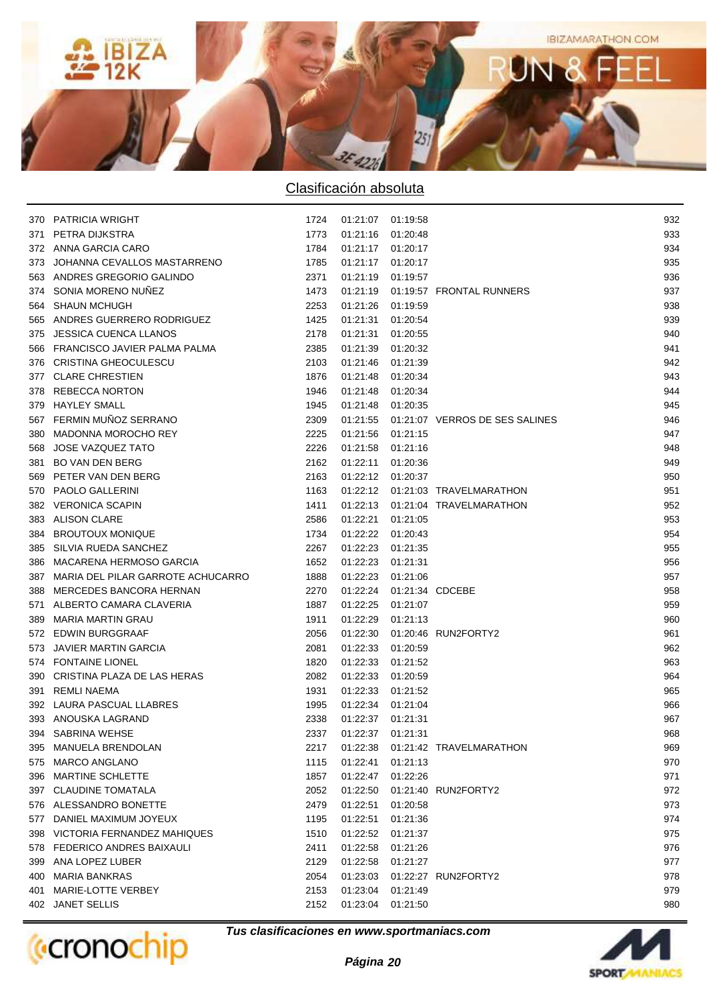

|     | 370 PATRICIA WRIGHT                   | 1724 | 01:21:07 01:19:58          |          |                                           | 932 |
|-----|---------------------------------------|------|----------------------------|----------|-------------------------------------------|-----|
| 371 | PETRA DIJKSTRA                        | 1773 | 01:21:16 01:20:48          |          |                                           | 933 |
|     | 372 ANNA GARCIA CARO                  | 1784 | 01:21:17 01:20:17          |          |                                           | 934 |
|     | 373 JOHANNA CEVALLOS MASTARRENO       | 1785 | 01:21:17 01:20:17          |          |                                           | 935 |
|     | 563 ANDRES GREGORIO GALINDO           | 2371 | 01:21:19 01:19:57          |          |                                           | 936 |
|     | 374 SONIA MORENO NUÑEZ                | 1473 |                            |          | 01:21:19   01:19:57   FRONTAL RUNNERS     | 937 |
|     | 564 SHAUN MCHUGH                      | 2253 | 01:21:26 01:19:59          |          |                                           | 938 |
|     | 565 ANDRES GUERRERO RODRIGUEZ         | 1425 | 01:21:31 01:20:54          |          |                                           | 939 |
|     | 375 JESSICA CUENCA LLANOS             | 2178 | 01:21:31 01:20:55          |          |                                           | 940 |
|     | 566 FRANCISCO JAVIER PALMA PALMA      | 2385 | 01:21:39 01:20:32          |          |                                           | 941 |
|     | 376 CRISTINA GHEOCULESCU              | 2103 | 01:21:46 01:21:39          |          |                                           | 942 |
|     | 377 CLARE CHRESTIEN                   | 1876 | 01:21:48 01:20:34          |          |                                           | 943 |
|     | 378 REBECCA NORTON                    | 1946 | 01:21:48 01:20:34          |          |                                           | 944 |
|     | 379 HAYLEY SMALL                      | 1945 | 01:21:48 01:20:35          |          |                                           | 945 |
|     | 567 FERMIN MUÑOZ SERRANO              | 2309 |                            |          | 01:21:55  01:21:07  VERROS DE SES SALINES | 946 |
|     | 380 MADONNA MOROCHO REY               | 2225 | 01:21:56 01:21:15          |          |                                           | 947 |
|     | 568 JOSE VAZQUEZ TATO                 | 2226 | 01:21:58 01:21:16          |          |                                           | 948 |
|     | 381 BO VAN DEN BERG                   | 2162 | 01:22:11 01:20:36          |          |                                           | 949 |
|     | 569 PETER VAN DEN BERG                | 2163 | 01:22:12 01:20:37          |          |                                           | 950 |
|     | 570 PAOLO GALLERINI                   | 1163 |                            |          | 01:22:12  01:21:03  TRAVELMARATHON        | 951 |
|     | 382 VERONICA SCAPIN                   | 1411 |                            |          | 01:22:13  01:21:04  TRAVELMARATHON        | 952 |
|     | 383 ALISON CLARE                      | 2586 | 01:22:21 01:21:05          |          |                                           | 953 |
|     | 384 BROUTOUX MONIQUE                  | 1734 | 01:22:22 01:20:43          |          |                                           | 954 |
|     | 385 SILVIA RUEDA SANCHEZ              | 2267 | 01:22:23 01:21:35          |          |                                           | 955 |
|     | 386 MACARENA HERMOSO GARCIA           | 1652 | 01:22:23 01:21:31          |          |                                           | 956 |
|     | 387 MARIA DEL PILAR GARROTE ACHUCARRO | 1888 | 01:22:23 01:21:06          |          |                                           | 957 |
|     | 388 MERCEDES BANCORA HERNAN           | 2270 | 01:22:24  01:21:34  CDCEBE |          |                                           | 958 |
|     | 571 ALBERTO CAMARA CLAVERIA           | 1887 | 01:22:25 01:21:07          |          |                                           | 959 |
|     | 389 MARIA MARTIN GRAU                 | 1911 | 01:22:29 01:21:13          |          |                                           | 960 |
|     | 572 EDWIN BURGGRAAF                   | 2056 |                            |          | 01:22:30  01:20:46  RUN2FORTY2            | 961 |
|     | 573 JAVIER MARTIN GARCIA              | 2081 | 01:22:33 01:20:59          |          |                                           | 962 |
|     | 574 FONTAINE LIONEL                   | 1820 | 01:22:33                   | 01:21:52 |                                           | 963 |
|     | 390 CRISTINA PLAZA DE LAS HERAS       | 2082 | 01:22:33 01:20:59          |          |                                           | 964 |
|     | 391 REMLI NAEMA                       | 1931 | 01:22:33 01:21:52          |          |                                           | 965 |
|     | 392 LAURA PASCUAL LLABRES             | 1995 | 01:22:34 01:21:04          |          |                                           | 966 |
|     | 393 ANOUSKA LAGRAND                   | 2338 | 01:22:37 01:21:31          |          |                                           | 967 |
|     | 394 SABRINA WEHSE                     | 2337 | 01:22:37 01:21:31          |          |                                           | 968 |
|     | 395 MANUELA BRENDOLAN                 | 2217 | 01:22:38                   |          | 01:21:42 TRAVELMARATHON                   | 969 |
|     | 575 MARCO ANGLANO                     | 1115 | 01:22:41                   | 01:21:13 |                                           | 970 |
|     | 396 MARTINE SCHLETTE                  | 1857 | 01:22:47                   | 01:22:26 |                                           | 971 |
|     | 397 CLAUDINE TOMATALA                 | 2052 |                            |          | 01:22:50  01:21:40  RUN2FORTY2            | 972 |
|     | 576 ALESSANDRO BONETTE                | 2479 | 01:22:51                   | 01:20:58 |                                           | 973 |
|     | 577 DANIEL MAXIMUM JOYEUX             | 1195 | 01:22:51                   | 01:21:36 |                                           | 974 |
|     | 398 VICTORIA FERNANDEZ MAHIQUES       | 1510 | 01:22:52 01:21:37          |          |                                           | 975 |
|     | 578 FEDERICO ANDRES BAIXAULI          | 2411 | 01:22:58                   | 01:21:26 |                                           | 976 |
|     | 399 ANA LOPEZ LUBER                   | 2129 | 01:22:58                   | 01:21:27 |                                           | 977 |
|     | 400 MARIA BANKRAS                     | 2054 |                            |          | 01:23:03  01:22:27  RUN2FORTY2            | 978 |
|     | 401 MARIE-LOTTE VERBEY                | 2153 | 01:23:04                   | 01:21:49 |                                           | 979 |
|     | 402 JANET SELLIS                      | 2152 | 01:23:04                   | 01:21:50 |                                           | 980 |
|     |                                       |      |                            |          |                                           |     |



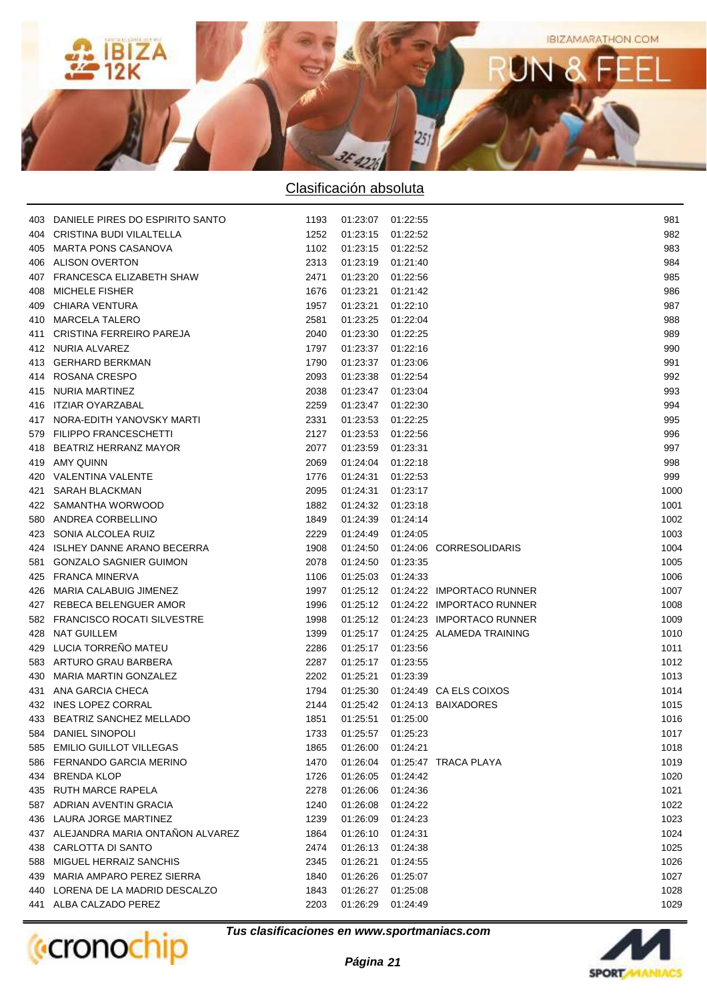

| 403 DANIELE PIRES DO ESPIRITO SANTO        | 1193 | 01:23:07 01:22:55 |          |                                      | 981  |
|--------------------------------------------|------|-------------------|----------|--------------------------------------|------|
| 404 CRISTINA BUDI VILALTELLA               | 1252 | 01:23:15 01:22:52 |          |                                      | 982  |
| 405 MARTA PONS CASANOVA                    | 1102 | 01:23:15 01:22:52 |          |                                      | 983  |
| 406 ALISON OVERTON                         | 2313 | 01:23:19 01:21:40 |          |                                      | 984  |
| 407 FRANCESCA ELIZABETH SHAW               | 2471 | 01:23:20 01:22:56 |          |                                      | 985  |
| 408 MICHELE FISHER                         | 1676 | 01:23:21 01:21:42 |          |                                      | 986  |
| 409 CHIARA VENTURA                         | 1957 | 01:23:21 01:22:10 |          |                                      | 987  |
| 410 MARCELA TALERO                         | 2581 | 01:23:25 01:22:04 |          |                                      | 988  |
| 411 CRISTINA FERREIRO PAREJA               | 2040 | 01:23:30 01:22:25 |          |                                      | 989  |
| 412 NURIA ALVAREZ                          | 1797 | 01:23:37 01:22:16 |          |                                      | 990  |
| 413 GERHARD BERKMAN                        | 1790 | 01:23:37 01:23:06 |          |                                      | 991  |
| 414 ROSANA CRESPO                          | 2093 | 01:23:38 01:22:54 |          |                                      | 992  |
| 415 NURIA MARTINEZ                         | 2038 | 01:23:47 01:23:04 |          |                                      | 993  |
| 416 ITZIAR OYARZABAL                       | 2259 | 01:23:47 01:22:30 |          |                                      | 994  |
| 417 NORA-EDITH YANOVSKY MARTI              | 2331 | 01:23:53 01:22:25 |          |                                      | 995  |
| 579 FILIPPO FRANCESCHETTI                  | 2127 | 01:23:53 01:22:56 |          |                                      | 996  |
| 418 BEATRIZ HERRANZ MAYOR                  | 2077 | 01:23:59 01:23:31 |          |                                      | 997  |
| 419 AMY QUINN                              | 2069 | 01:24:04 01:22:18 |          |                                      | 998  |
| 420 VALENTINA VALENTE                      | 1776 | 01:24:31 01:22:53 |          |                                      | 999  |
| 421 SARAH BLACKMAN                         | 2095 | 01:24:31 01:23:17 |          |                                      | 1000 |
| 422 SAMANTHA WORWOOD                       | 1882 | 01:24:32 01:23:18 |          |                                      | 1001 |
| 580 ANDREA CORBELLINO                      | 1849 | 01:24:39 01:24:14 |          |                                      | 1002 |
| 423 SONIA ALCOLEA RUIZ                     | 2229 | 01:24:49 01:24:05 |          |                                      | 1003 |
| 424 ISLHEY DANNE ARANO BECERRA             | 1908 |                   |          | 01:24:50  01:24:06  CORRESOLIDARIS   | 1004 |
| 581 GONZALO SAGNIER GUIMON                 | 2078 | 01:24:50 01:23:35 |          |                                      | 1005 |
| 425 FRANCA MINERVA                         | 1106 | 01:25:03 01:24:33 |          |                                      | 1006 |
| 426 MARIA CALABUIG JIMENEZ                 | 1997 |                   |          |                                      | 1007 |
| 427 REBECA BELENGUER AMOR                  |      |                   |          |                                      | 1008 |
| 582 FRANCISCO ROCATI SILVESTRE             | 1996 |                   |          |                                      | 1009 |
|                                            | 1998 |                   |          |                                      |      |
| 428 NAT GUILLEM<br>429 LUCIA TORREÑO MATEU | 1399 |                   |          | 01:25:17  01:24:25  ALAMEDA TRAINING | 1010 |
|                                            | 2286 | 01:25:17 01:23:56 |          |                                      | 1011 |
| 583 ARTURO GRAU BARBERA                    | 2287 | 01:25:17 01:23:55 |          |                                      | 1012 |
| 430 MARIA MARTIN GONZALEZ                  | 2202 | 01:25:21 01:23:39 |          |                                      | 1013 |
| 431 ANA GARCIA CHECA                       | 1794 |                   |          | 01:25:30  01:24:49  CA ELS COIXOS    | 1014 |
| 432 INES LOPEZ CORRAL                      | 2144 |                   |          | 01:25:42  01:24:13  BAIXADORES       | 1015 |
| 433 BEATRIZ SANCHEZ MELLADO                | 1851 | 01:25:51 01:25:00 |          |                                      | 1016 |
| 584 DANIEL SINOPOLI                        | 1733 | 01:25:57 01:25:23 |          |                                      | 1017 |
| 585 EMILIO GUILLOT VILLEGAS                | 1865 | 01:26:00          | 01:24:21 |                                      | 1018 |
| 586 FERNANDO GARCIA MERINO                 | 1470 | 01:26:04          |          | 01:25:47 TRACA PLAYA                 | 1019 |
| 434 BRENDA KLOP                            | 1726 | 01:26:05          | 01:24:42 |                                      | 1020 |
| 435 RUTH MARCE RAPELA                      | 2278 | 01:26:06          | 01:24:36 |                                      | 1021 |
| 587 ADRIAN AVENTIN GRACIA                  | 1240 | 01:26:08          | 01:24:22 |                                      | 1022 |
| 436 LAURA JORGE MARTINEZ                   | 1239 | 01:26:09          | 01:24:23 |                                      | 1023 |
| 437 ALEJANDRA MARIA ONTAÑON ALVAREZ        | 1864 | 01:26:10          | 01:24:31 |                                      | 1024 |
| 438 CARLOTTA DI SANTO                      | 2474 | 01:26:13          | 01:24:38 |                                      | 1025 |
| 588 MIGUEL HERRAIZ SANCHIS                 | 2345 | 01:26:21          | 01:24:55 |                                      | 1026 |
| 439 MARIA AMPARO PEREZ SIERRA              | 1840 | 01:26:26          | 01:25:07 |                                      | 1027 |
| 440 LORENA DE LA MADRID DESCALZO           | 1843 | 01:26:27          | 01:25:08 |                                      | 1028 |
| 441 ALBA CALZADO PEREZ                     | 2203 | 01:26:29          | 01:24:49 |                                      | 1029 |



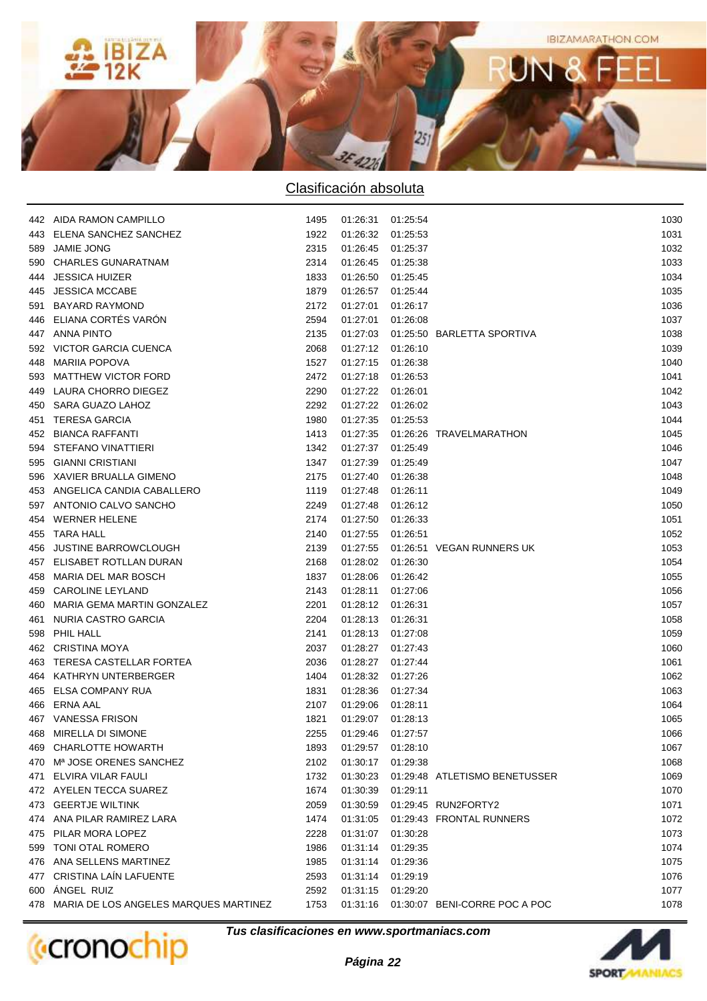

|     | 442 AIDA RAMON CAMPILLO                   | 1495 | 01:26:31 01:25:54 |          |                                          | 1030 |
|-----|-------------------------------------------|------|-------------------|----------|------------------------------------------|------|
|     | 443 ELENA SANCHEZ SANCHEZ                 | 1922 | 01:26:32 01:25:53 |          |                                          | 1031 |
|     | 589 JAMIE JONG                            | 2315 | 01:26:45 01:25:37 |          |                                          | 1032 |
|     | 590 CHARLES GUNARATNAM                    | 2314 | 01:26:45 01:25:38 |          |                                          | 1033 |
|     | 444 JESSICA HUIZER                        | 1833 | 01:26:50 01:25:45 |          |                                          | 1034 |
|     | 445 JESSICA MCCABE                        | 1879 | 01:26:57 01:25:44 |          |                                          | 1035 |
| 591 | <b>BAYARD RAYMOND</b>                     | 2172 | 01:27:01 01:26:17 |          |                                          | 1036 |
|     | 446 ELIANA CORTÉS VARÓN                   | 2594 | 01:27:01 01:26:08 |          |                                          | 1037 |
|     | 447 ANNA PINTO                            | 2135 |                   |          | 01:27:03  01:25:50  BARLETTA SPORTIVA    | 1038 |
|     | 592 VICTOR GARCIA CUENCA                  | 2068 | 01:27:12 01:26:10 |          |                                          | 1039 |
|     | 448 MARIIA POPOVA                         | 1527 | 01:27:15 01:26:38 |          |                                          | 1040 |
|     | 593 MATTHEW VICTOR FORD                   | 2472 | 01:27:18 01:26:53 |          |                                          | 1041 |
|     | 449 LAURA CHORRO DIEGEZ                   | 2290 | 01:27:22 01:26:01 |          |                                          | 1042 |
|     | 450 SARA GUAZO LAHOZ                      | 2292 | 01:27:22 01:26:02 |          |                                          | 1043 |
|     | 451 TERESA GARCIA                         | 1980 | 01:27:35 01:25:53 |          |                                          | 1044 |
|     | 452 BIANCA RAFFANTI                       | 1413 |                   |          | 01:27:35   01:26:26   TRAVELMARATHON     | 1045 |
|     | 594 STEFANO VINATTIERI                    | 1342 | 01:27:37 01:25:49 |          |                                          | 1046 |
|     | 595 GIANNI CRISTIANI                      | 1347 | 01:27:39 01:25:49 |          |                                          | 1047 |
|     | 596 XAVIER BRUALLA GIMENO                 | 2175 | 01:27:40 01:26:38 |          |                                          | 1048 |
|     | 453 ANGELICA CANDIA CABALLERO             | 1119 | 01:27:48 01:26:11 |          |                                          | 1049 |
|     | 597 ANTONIO CALVO SANCHO                  | 2249 | 01:27:48 01:26:12 |          |                                          | 1050 |
|     | 454 WERNER HELENE                         | 2174 | 01:27:50 01:26:33 |          |                                          | 1051 |
|     | 455 TARA HALL                             | 2140 | 01:27:55 01:26:51 |          |                                          | 1052 |
|     | 456 JUSTINE BARROWCLOUGH                  | 2139 |                   |          | 01:27:55   01:26:51   VEGAN RUNNERS UK   | 1053 |
|     | 457 ELISABET ROTLLAN DURAN                | 2168 | 01:28:02 01:26:30 |          |                                          | 1054 |
|     | 458 MARIA DEL MAR BOSCH                   | 1837 | 01:28:06 01:26:42 |          |                                          | 1055 |
|     | 459 CAROLINE LEYLAND                      | 2143 | 01:28:11 01:27:06 |          |                                          | 1056 |
|     | 460 MARIA GEMA MARTIN GONZALEZ            | 2201 | 01:28:12 01:26:31 |          |                                          | 1057 |
|     | 461 NURIA CASTRO GARCIA                   | 2204 | 01:28:13 01:26:31 |          |                                          | 1058 |
|     | 598 PHIL HALL                             | 2141 | 01:28:13 01:27:08 |          |                                          | 1059 |
|     | 462 CRISTINA MOYA                         | 2037 | 01:28:27 01:27:43 |          |                                          | 1060 |
|     | 463 TERESA CASTELLAR FORTEA               | 2036 | 01:28:27 01:27:44 |          |                                          | 1061 |
|     | 464 KATHRYN UNTERBERGER                   | 1404 | 01:28:32 01:27:26 |          |                                          | 1062 |
|     | 465 ELSA COMPANY RUA                      | 1831 | 01:28:36 01:27:34 |          |                                          | 1063 |
|     | 466 ERNA AAL                              | 2107 | 01:29:06 01:28:11 |          |                                          | 1064 |
|     | 467 VANESSA FRISON                        | 1821 | 01:29:07 01:28:13 |          |                                          | 1065 |
|     | 468 MIRELLA DI SIMONE                     | 2255 | 01:29:46 01:27:57 |          |                                          | 1066 |
|     | 469 CHARLOTTE HOWARTH                     | 1893 | 01:29:57 01:28:10 |          |                                          | 1067 |
|     | 470 M <sup>a</sup> JOSE ORENES SANCHEZ    | 2102 | 01:30:17          | 01:29:38 |                                          | 1068 |
|     | 471 ELVIRA VILAR FAULI                    | 1732 | 01:30:23          |          | 01:29:48 ATLETISMO BENETUSSER            | 1069 |
|     | 472 AYELEN TECCA SUAREZ                   | 1674 | 01:30:39          | 01:29:11 |                                          | 1070 |
|     | 473 GEERTJE WILTINK                       | 2059 | 01:30:59          |          | 01:29:45 RUN2FORTY2                      | 1071 |
|     | 474 ANA PILAR RAMIREZ LARA                | 1474 | 01:31:05          |          | 01:29:43 FRONTAL RUNNERS                 | 1072 |
|     | 475 PILAR MORA LOPEZ                      | 2228 | 01:31:07          | 01:30:28 |                                          | 1073 |
|     | 599 TONI OTAL ROMERO                      | 1986 | 01:31:14          | 01:29:35 |                                          | 1074 |
|     | 476 ANA SELLENS MARTINEZ                  | 1985 | 01:31:14          | 01:29:36 |                                          | 1075 |
|     | 477 CRISTINA LAÍN LAFUENTE                | 2593 | 01:31:14          | 01:29:19 |                                          | 1076 |
|     | 600 ÁNGEL RUIZ                            | 2592 | 01:31:15          | 01:29:20 |                                          | 1077 |
|     | 478 MARIA DE LOS ANGELES MARQUES MARTINEZ | 1753 |                   |          | 01:31:16  01:30:07  BENI-CORRE POC A POC | 1078 |
|     |                                           |      |                   |          |                                          |      |

**Tus clasificaciones en www.sportmaniacs.com**

**(**cronochip



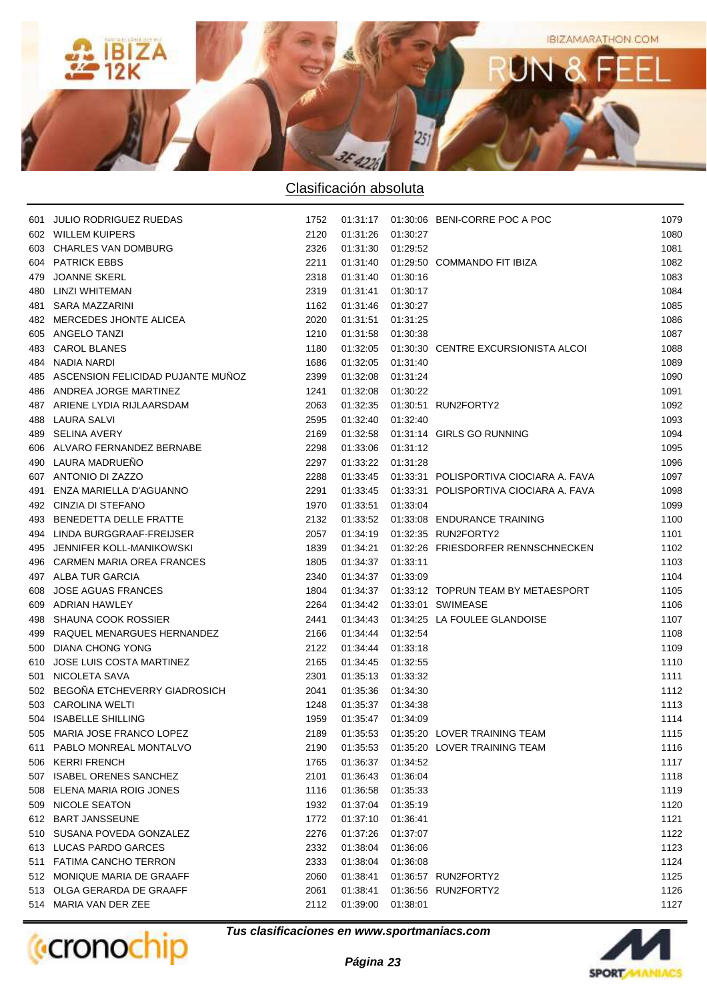

| 601 JULIO RODRIGUEZ RUEDAS            | 1752 |                   |          | 01:31:17  01:30:06  BENI-CORRE POC A POC            | 1079 |
|---------------------------------------|------|-------------------|----------|-----------------------------------------------------|------|
| 602 WILLEM KUIPERS                    | 2120 | 01:31:26 01:30:27 |          |                                                     | 1080 |
| 603 CHARLES VAN DOMBURG               | 2326 | 01:31:30 01:29:52 |          |                                                     | 1081 |
| 604 PATRICK EBBS                      | 2211 |                   |          | 01:31:40  01:29:50  COMMANDO FIT IBIZA              | 1082 |
| 479 JOANNE SKERL                      | 2318 | 01:31:40 01:30:16 |          |                                                     | 1083 |
| 480 LINZI WHITEMAN                    | 2319 | 01:31:41 01:30:17 |          |                                                     | 1084 |
| 481 SARA MAZZARINI                    | 1162 | 01:31:46 01:30:27 |          |                                                     | 1085 |
| 482 MERCEDES JHONTE ALICEA            | 2020 | 01:31:51          | 01:31:25 |                                                     | 1086 |
| 605 ANGELO TANZI                      | 1210 | 01:31:58 01:30:38 |          |                                                     | 1087 |
| 483 CAROL BLANES                      | 1180 |                   |          | 01:32:05  01:30:30  CENTRE EXCURSIONISTA ALCOI      | 1088 |
| 484 NADIA NARDI                       | 1686 | 01:32:05 01:31:40 |          |                                                     | 1089 |
| 485 ASCENSION FELICIDAD PUJANTE MUÑOZ | 2399 | 01:32:08 01:31:24 |          |                                                     | 1090 |
| 486 ANDREA JORGE MARTINEZ             | 1241 | 01:32:08 01:30:22 |          |                                                     | 1091 |
| 487 ARIENE LYDIA RIJLAARSDAM          | 2063 |                   |          | 01:32:35   01:30:51   RUN2FORTY2                    | 1092 |
| 488 LAURA SALVI                       | 2595 | 01:32:40 01:32:40 |          |                                                     | 1093 |
| 489 SELINA AVERY                      | 2169 |                   |          | 01:32:58  01:31:14  GIRLS GO RUNNING                | 1094 |
| 606 ALVARO FERNANDEZ BERNABE          | 2298 | 01:33:06 01:31:12 |          |                                                     | 1095 |
| 490 LAURA MADRUEÑO                    | 2297 | 01:33:22 01:31:28 |          |                                                     | 1096 |
| 607 ANTONIO DI ZAZZO                  | 2288 |                   |          | 01:33:45   01:33:31   POLISPORTIVA CIOCIARA A. FAVA | 1097 |
| 491 ENZA MARIELLA D'AGUANNO           | 2291 |                   |          | 01:33:45   01:33:31   POLISPORTIVA CIOCIARA A. FAVA | 1098 |
| 492 CINZIA DI STEFANO                 | 1970 | 01:33:51 01:33:04 |          |                                                     | 1099 |
| 493 BENEDETTA DELLE FRATTE            | 2132 |                   |          | 01:33:52  01:33:08  ENDURANCE TRAINING              | 1100 |
| 494 LINDA BURGGRAAF-FREIJSER          | 2057 |                   |          | 01:34:19  01:32:35  RUN2FORTY2                      | 1101 |
| 495 JENNIFER KOLL-MANIKOWSKI          | 1839 |                   |          | 01:34:21  01:32:26  FRIESDORFER RENNSCHNECKEN       | 1102 |
| 496 CARMEN MARIA OREA FRANCES         | 1805 | 01:34:37 01:33:11 |          |                                                     | 1103 |
| 497 ALBA TUR GARCIA                   | 2340 | 01:34:37 01:33:09 |          |                                                     | 1104 |
| 608 JOSE AGUAS FRANCES                | 1804 |                   |          | 01:34:37   01:33:12   TOPRUN TEAM BY METAESPORT     | 1105 |
| 609 ADRIAN HAWLEY                     | 2264 |                   |          | 01:34:42  01:33:01  SWIMEASE                        | 1106 |
| 498 SHAUNA COOK ROSSIER               | 2441 |                   |          | 01:34:43  01:34:25  LA FOULEE GLANDOISE             | 1107 |
| 499 RAQUEL MENARGUES HERNANDEZ        | 2166 | 01:34:44 01:32:54 |          |                                                     | 1108 |
| 500 DIANA CHONG YONG                  | 2122 | 01:34:44 01:33:18 |          |                                                     | 1109 |
| 610 JOSE LUIS COSTA MARTINEZ          | 2165 | 01:34:45 01:32:55 |          |                                                     | 1110 |
| 501 NICOLETA SAVA                     | 2301 | 01:35:13 01:33:32 |          |                                                     | 1111 |
| 502 BEGOÑA ETCHEVERRY GIADROSICH      | 2041 | 01:35:36 01:34:30 |          |                                                     | 1112 |
| 503 CAROLINA WELTI                    | 1248 | 01:35:37 01:34:38 |          |                                                     | 1113 |
| 504 ISABELLE SHILLING                 | 1959 | 01:35:47 01:34:09 |          |                                                     | 1114 |
| 505 MARIA JOSE FRANCO LOPEZ           | 2189 |                   |          | 01:35:53  01:35:20  LOVER TRAINING TEAM             | 1115 |
| 611 PABLO MONREAL MONTALVO            | 2190 | 01:35:53          |          | 01:35:20 LOVER TRAINING TEAM                        | 1116 |
| 506 KERRI FRENCH                      | 1765 | 01:36:37          | 01:34:52 |                                                     | 1117 |
| 507 ISABEL ORENES SANCHEZ             | 2101 | 01:36:43          | 01:36:04 |                                                     | 1118 |
| 508 ELENA MARIA ROIG JONES            | 1116 | 01:36:58          | 01:35:33 |                                                     | 1119 |
| 509 NICOLE SEATON                     | 1932 | 01:37:04          | 01:35:19 |                                                     | 1120 |
| 612 BART JANSSEUNE                    | 1772 | 01:37:10          | 01:36:41 |                                                     | 1121 |
| 510 SUSANA POVEDA GONZALEZ            | 2276 | 01:37:26          | 01:37:07 |                                                     | 1122 |
| 613 LUCAS PARDO GARCES                | 2332 | 01:38:04          | 01:36:06 |                                                     | 1123 |
| 511 FATIMA CANCHO TERRON              | 2333 | 01:38:04          | 01:36:08 |                                                     | 1124 |
| 512 MONIQUE MARIA DE GRAAFF           | 2060 | 01:38:41          |          | 01:36:57 RUN2FORTY2                                 | 1125 |
| 513 OLGA GERARDA DE GRAAFF            | 2061 | 01:38:41          |          | 01:36:56 RUN2FORTY2                                 | 1126 |
| 514 MARIA VAN DER ZEE                 | 2112 | 01:39:00          | 01:38:01 |                                                     | 1127 |
|                                       |      |                   |          |                                                     |      |